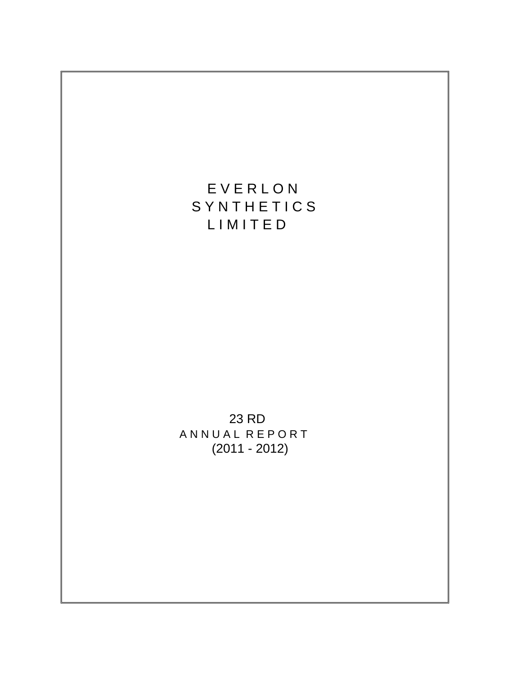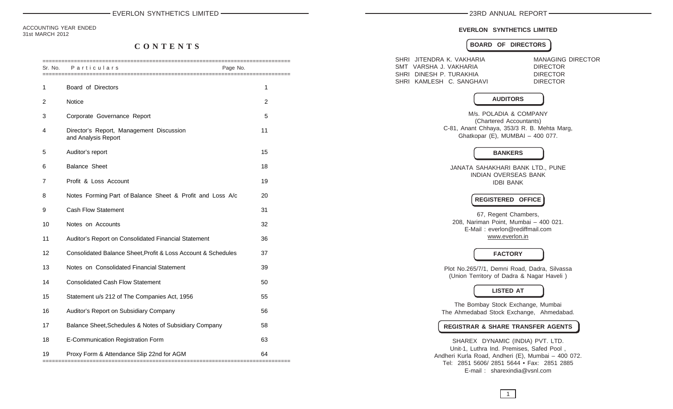ACCOUNTING YEAR ENDED 31st MARCH 2012

## **C O N T E N T S**

| Sr. No.        | Particulars                                                     | Page No.       |
|----------------|-----------------------------------------------------------------|----------------|
| 1              | Board of Directors                                              | 1              |
| $\overline{2}$ | <b>Notice</b>                                                   | $\overline{2}$ |
| 3              | Corporate Governance Report                                     | 5              |
| 4              | Director's Report, Management Discussion<br>and Analysis Report | 11             |
| 5              | Auditor's report                                                | 15             |
| 6              | <b>Balance Sheet</b>                                            | 18             |
| 7              | Profit & Loss Account                                           | 19             |
| 8              | Notes Forming Part of Balance Sheet & Profit and Loss A/c       | 20             |
| 9              | <b>Cash Flow Statement</b>                                      | 31             |
| 10             | Notes on Accounts                                               | 32             |
| 11             | Auditor's Report on Consolidated Financial Statement            | 36             |
| 12             | Consolidated Balance Sheet, Profit & Loss Account & Schedules   | 37             |
| 13             | Notes on Consolidated Financial Statement                       | 39             |
| 14             | <b>Consolidated Cash Flow Statement</b>                         | 50             |
| 15             | Statement u/s 212 of The Companies Act, 1956                    | 55             |
| 16             | Auditor's Report on Subsidiary Company                          | 56             |
| 17             | Balance Sheet, Schedules & Notes of Subsidiary Company          | 58             |
| 18             | E-Communication Registration Form                               | 63             |
| 19             | Proxy Form & Attendance Slip 22nd for AGM                       | 64             |

#### **EVERLON SYNTHETICS LIMITED**

#### **BOARD OF DIRECTORS**

| SHRI JITENDRA K. VAKHARIA<br>SMT VARSHA J. VAKHARIA<br>SHRI DINESH P. TURAKHIA<br>SHRI KAMLESH C. SANGHAVI |                                                                                                                   | <b>MANAGING DIRECTOR</b><br><b>DIRECTOR</b><br><b>DIRECTOR</b><br><b>DIRECTOR</b> |
|------------------------------------------------------------------------------------------------------------|-------------------------------------------------------------------------------------------------------------------|-----------------------------------------------------------------------------------|
|                                                                                                            | <b>AUDITORS</b>                                                                                                   |                                                                                   |
| C-81, Anant Chhaya, 353/3 R. B. Mehta Marg,                                                                | M/s. POLADIA & COMPANY<br>(Chartered Accountants)<br>Ghatkopar (E), MUMBAI - 400 077.                             |                                                                                   |
|                                                                                                            | <b>BANKERS</b>                                                                                                    |                                                                                   |
|                                                                                                            | JANATA SAHAKHARI BANK LTD., PUNE<br>INDIAN OVERSEAS BANK<br><b>IDBI BANK</b>                                      |                                                                                   |
|                                                                                                            | <b>REGISTERED OFFICE</b>                                                                                          |                                                                                   |
|                                                                                                            | 67, Regent Chambers,<br>208, Nariman Point, Mumbai - 400 021.<br>E-Mail: everlon@rediffmail.com<br>www.everlon.in |                                                                                   |
|                                                                                                            | <b>FACTORY</b>                                                                                                    |                                                                                   |
| Plot No.265/7/1, Demni Road, Dadra, Silvassa<br>(Union Territory of Dadra & Nagar Haveli)                  |                                                                                                                   |                                                                                   |
|                                                                                                            | <b>LISTED AT</b>                                                                                                  |                                                                                   |
| The Ahmedabad Stock Exchange, Ahmedabad.                                                                   | The Bombay Stock Exchange, Mumbai                                                                                 |                                                                                   |
| <b>REGISTRAR &amp; SHARE TRANSFER AGENTS</b>                                                               |                                                                                                                   |                                                                                   |
| Andheri Kurla Road, Andheri (E), Mumbai - 400 072.<br>Tel: 2851 5606/ 2851 5644 • Fax: 2851 2885           | SHAREX DYNAMIC (INDIA) PVT. LTD.<br>Unit-1, Luthra Ind. Premises, Safed Pool,                                     |                                                                                   |

E-mail : sharexindia@vsnl.com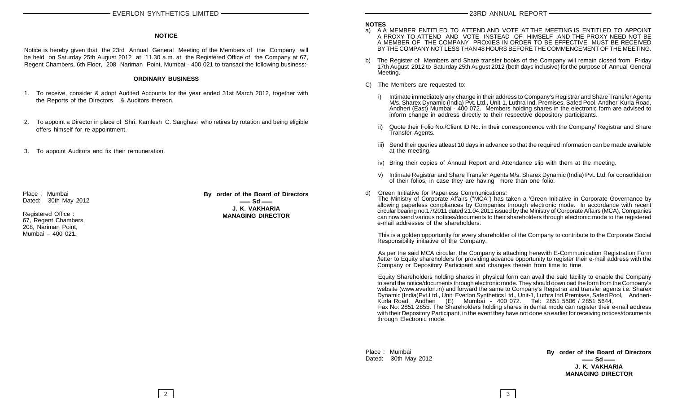#### **NOTICE**

Notice is hereby given that the 23rd Annual General Meeting of the Members of the Company will be held on Saturday 25th August 2012 at 11.30 a.m. at the Registered Office of the Company at 67, Regent Chambers, 6th Floor, 208 Nariman Point, Mumbai - 400 021 to transact the following business:-

#### **ORDINARY BUSINESS**

- 1. To receive, consider & adopt Audited Accounts for the year ended 31st March 2012, together with the Reports of the Directors & Auditors thereon.
- 2. To appoint a Director in place of Shri. Kamlesh C. Sanghavi who retires by rotation and being eligible offers himself for re-appointment.
- 3. To appoint Auditors and fix their remuneration.

Place : Mumbai Dated: 30th May 2012

Registered Office : 67, Regent Chambers, 208, Nariman Point, Mumbai – 400 021.

**By order of the Board of Directors**  $\equiv$  Sd  $\equiv$ **J. K. VAKHARIA MANAGING DIRECTOR**

#### **NOTES**

- a) A A MEMBER ENTITLED TO ATTEND AND VOTE AT THE MEETING IS ENTITLED TO APPOINT A PROXY TO ATTEND AND VOTE INSTEAD OF HIMSELF AND THE PROXY NEED NOT BE A MEMBER OF THE COMPANY PROXIES IN ORDER TO BE EFFECTIVE MUST BE RECEIVED BY THE COMPANY NOT LESS THAN 48 HOURS BEFORE THE COMMENCEMENT OF THE MEETING.
- b) The Register of Members and Share transfer books of the Company will remain closed from Friday 17th August 2012 to Saturday 25th August 2012 (both days inclusive) for the purpose of Annual General Meeting.
- C) The Members are requested to:
	- i) Intimate immediately any change in their address to Company's Registrar and Share Transfer Agents M/s. Sharex Dynamic (India) Pvt. Ltd., Unit-1, Luthra Ind. Premises, Safed Pool, Andheri Kurla Road, Andheri (East) Mumbai - 400 072. Members holding shares in the electronic form are advised to inform change in address directly to their respective depository participants.
	- Quote their Folio No./Client ID No. in their correspondence with the Company/ Registrar and Share Transfer Agents.
	- iii) Send their queries atleast 10 days in advance so that the required information can be made available at the meeting.
	- iv) Bring their copies of Annual Report and Attendance slip with them at the meeting.
	- v) Intimate Registrar and Share Transfer Agents M/s. Sharex Dynamic (India) Pvt. Ltd. for consolidation of their folios, in case they are having more than one folio.
- d) Green Initiative for Paperless Communications:

The Ministry of Corporate Affairs ("MCA") has taken a 'Green Initiative in Corporate Governance by allowing paperless compliances by Companies through electronic mode. In accordance with recent circular bearing no.17/2011 dated 21.04.2011 issued by the Ministry of Corporate Affairs (MCA), Companies can now send various notices/documents to their shareholders through electronic mode to the registered e-mail addresses of the shareholders.

This is a golden opportunity for every shareholder of the Company to contribute to the Corporate Social Responsibility initiative of the Company.

As per the said MCA circular, the Company is attaching herewith E-Communication Registration Form /letter to Equity shareholders for providing advance opportunity to register their e-mail address with the Company or Depository Participant and changes therein from time to time.

Equity Shareholders holding shares in physical form can avail the said facility to enable the Company to send the notice/documents through electronic mode. They should download the form from the Company's website (www.everlon.in) and forward the same to Company's Registrar and transfer agents i.e. Sharex Dynamic (India)Pvt.Ltd., Unit: Everlon Synthetics Ltd., Unit-1, Luthra Ind.Premises, Safed Pool, Andheri-Kurla Road, Andheri (E) Mumbai - 400 072. Tel: 2851 5506 / 2851 5644, Fax No: 2851 2855. The Shareholders holding shares in demat mode can register their e-mail address with their Depository Participant, in the event they have not done so earlier for receiving notices/documents through Electronic mode.

Place : Mumbai Dated: 30th May 2012 **By order of the Board of Directors**  $-$  Sd  $-$ **J. K. VAKHARIA MANAGING DIRECTOR**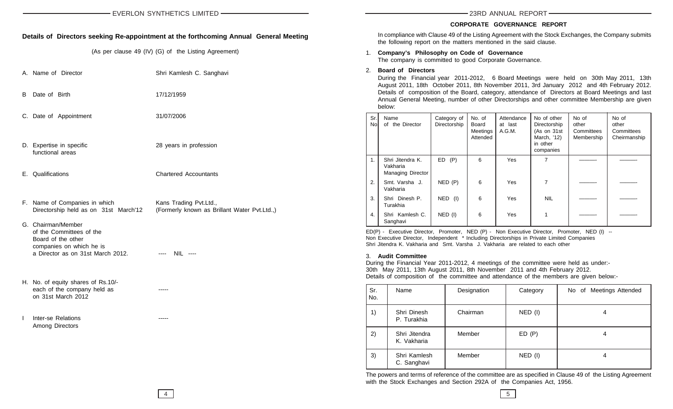#### **CORPORATE GOVERNANCE REPORT**

#### **Details of Directors seeking Re-appointment at the forthcoming Annual General Meeting**

(As per clause 49 (IV) (G) of the Listing Agreement)

- A. Name of Director Shri Kamlesh C. Sanghavi
- B Date of Birth 17/12/1959
- C. Date of Appointment 31/07/2006
- D. Expertise in specific **28 years in profession** functional areas
- E. Qualifications Chartered Accountants
- 
- 
- 
- F. Name of Companies in which Kans Trading Pvt.Ltd., Directorship held as on 31st March'12 (Formerly known as Brillant Water Pvt.Ltd.,)
- G. Chairman/Member
- of the Committees of the Board of the other companies on which he is a Director as on 31st March 2012. ---- NIL ----
- H. No. of equity shares of Rs.10/ each of the company held as ----on 31st March 2012
- I Inter-se Relations ----- Among Directors

| In compliance with Clause 49 of the Listing Agreement with the Stock Exchanges, the Company submits |
|-----------------------------------------------------------------------------------------------------|
| the following report on the matters mentioned in the said clause.                                   |
|                                                                                                     |

1. **Company's Philosophy on Code of Governance** The company is committed to good Corporate Governance.

#### 2. **Board of Directors**

During the Financial year 2011-2012, 6 Board Meetings were held on 30th May 2011, 13th August 2011, 18th October 2011, 8th November 2011, 3rd January 2012 and 4th February 2012. Details of composition of the Board, category, attendance of Directors at Board Meetings and last Annual General Meeting, number of other Directorships and other committee Membership are given below:

| Sr.<br>No. | Name<br>the Director<br>of                        | Category of<br>Directorship | No. of<br>Board<br>Meetings<br>Attended | Attendance<br>at last<br>A.G.M. | No of other<br>Directorship<br>(As on 31st<br>March, '12)<br>in other<br>companies | No of<br>other<br>Committees<br>Membership | No of<br>other<br>Committees<br>Cheirmanship |
|------------|---------------------------------------------------|-----------------------------|-----------------------------------------|---------------------------------|------------------------------------------------------------------------------------|--------------------------------------------|----------------------------------------------|
| 1.         | Shri Jitendra K.<br>Vakharia<br>Managing Director | ED(P)                       | 6                                       | <b>Yes</b>                      | 7                                                                                  |                                            |                                              |
| 2.         | Smt. Varsha J.<br>Vakharia                        | NED(P)                      | 6                                       | <b>Yes</b>                      | 7                                                                                  |                                            |                                              |
| 3.         | Shri Dinesh P.<br>Turakhia                        | NED (I)                     | 6                                       | Yes                             | <b>NIL</b>                                                                         |                                            |                                              |
| 4.         | Shri Kamlesh C.<br>Sanghavi                       | $NED$ (I)                   | 6                                       | Yes                             |                                                                                    |                                            |                                              |

ED(P) - Executive Director, Promoter, NED (P) - Non Executive Director, Promoter, NED (I) -- Non Executive Director, Independent \* Including Directorships in Private Limited Companies Shri Jitendra K. Vakharia and Smt. Varsha J. Vakharia are related to each other

#### 3. **Audit Committee**

During the Financial Year 2011-2012, 4 meetings of the committee were held as under:- 30th May 2011, 13th August 2011, 8th November 2011 and 4th February 2012. Details of composition of the committee and attendance of the members are given below:-

| Sr.<br>No. | Name                         | Designation | Category  | No of Meetings Attended |
|------------|------------------------------|-------------|-----------|-------------------------|
| 1)         | Shri Dinesh<br>P. Turakhia   | Chairman    | NED (I)   | 4                       |
| 2)         | Shri Jitendra<br>K. Vakharia | Member      | ED(P)     | 4                       |
| 3)         | Shri Kamlesh<br>C. Sanghavi  | Member      | $NED$ (I) | 4                       |

The powers and terms of reference of the committee are as specified in Clause 49 of the Listing Agreement with the Stock Exchanges and Section 292A of the Companies Act, 1956.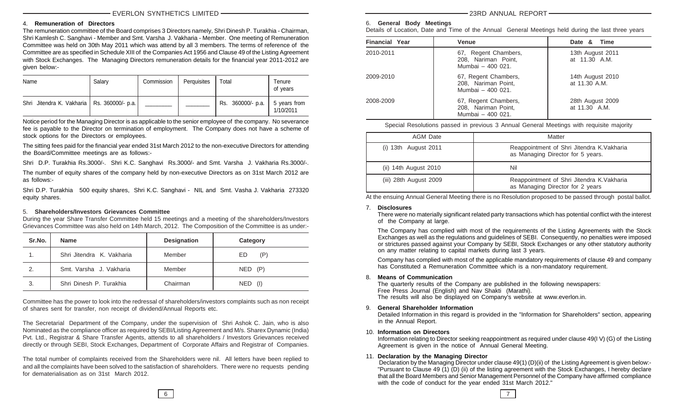#### EVERLON SYNTHETICS LIMITED

#### 4. **Remuneration of Directors**

The remuneration committee of the Board comprises 3 Directors namely, Shri Dinesh P. Turakhia - Chairman, Shri Kamlesh C. Sanghavi - Member and Smt. Varsha J. Vakharia - Member. One meeting of Remuneration Committee was held on 30th May 2011 which was attend by all 3 members. The terms of reference of the Committee are as specified in Schedule XIII of the Companies Act 1956 and Clause 49 of the Listing Agreement with Stock Exchanges. The Managing Directors remuneration details for the financial year 2011-2012 are given below:-

| Name                                          | Salarv | Commission | Perquisites | Total             | Tenure<br>of years        |
|-----------------------------------------------|--------|------------|-------------|-------------------|---------------------------|
| Shri Jitendra K. Vakharia   Rs. 360000/- p.a. |        |            |             | Rs. 360000/- p.a. | 5 years from<br>1/10/2011 |

Notice period for the Managing Director is as applicable to the senior employee of the company. No severance fee is payable to the Director on termination of employment. The Company does not have a scheme of stock options for the Directors or employees.

The sitting fees paid for the financial year ended 31st March 2012 to the non-executive Directors for attending the Board/Committee meetings are as follows:-

Shri D.P. Turakhia Rs.3000/-. Shri K.C. Sanghavi Rs.3000/- and Smt. Varsha J. Vakharia Rs.3000/-.

The number of equity shares of the company held by non-executive Directors as on 31st March 2012 are as follows:-

Shri D.P. Turakhia 500 equity shares, Shri K.C. Sanghavi - NIL and Smt. Vasha J. Vakharia 273320 equity shares.

#### 5. **Shareholders/Investors Grievances Committee**

During the year Share Transfer Committee held 15 meetings and a meeting of the shareholders/Investors Grievances Committee was also held on 14th March, 2012. The Composition of the Committee is as under:-

| Sr.No. | <b>Name</b>               | <b>Designation</b> | Category  |
|--------|---------------------------|--------------------|-----------|
|        | Shri Jitendra K. Vakharia | Member             | ED<br>(P) |
| 2.     | Smt. Varsha J. Vakharia   | Member             | NED (P)   |
| 3.     | Shri Dinesh P. Turakhia   | Chairman           | NED (I)   |

Committee has the power to look into the redressal of shareholders/investors complaints such as non receipt of shares sent for transfer, non receipt of dividend/Annual Reports etc.

The Secretarial Department of the Company, under the supervision of Shri Ashok C. Jain, who is also Nominated as the compliance officer as required by SEBI/Listing Agreement and M/s. Sharex Dynamic (India) Pvt. Ltd., Registrar & Share Transfer Agents, attends to all shareholders / Investors Grievances received directly or through SEBI, Stock Exchanges, Department of Corporate Affairs and Registrar of Companies.

The total number of complaints received from the Shareholders were nil. All letters have been replied to and all the complaints have been solved to the satisfaction of shareholders. There were no requests pending for dematerialisation as on 31st March 2012.

23RD ANNUAL REPORT

#### 6. **General Body Meetings**

Details of Location, Date and Time of the Annual General Meetings held during the last three years

| <b>Financial Year</b> | <b>Venue</b>                                                     | Date & Time                       |
|-----------------------|------------------------------------------------------------------|-----------------------------------|
| 2010-2011             | 67, Regent Chambers,<br>208, Nariman Point,<br>Mumbai - 400 021. | 13th August 2011<br>at 11.30 A.M. |
| 2009-2010             | 67, Regent Chambers,<br>208, Nariman Point,<br>Mumbai - 400 021. | 14th August 2010<br>at 11.30 A.M. |
| 2008-2009             | 67, Regent Chambers,<br>208, Nariman Point,<br>Mumbai - 400 021. | 28th August 2009<br>at 11.30 A.M. |

Special Resolutions passed in previous 3 Annual General Meetings with requisite majority

| AGM Date                   | Matter                                                                          |
|----------------------------|---------------------------------------------------------------------------------|
| $(i)$ 13th August 2011     | Reappointment of Shri Jitendra K. Vakharia<br>as Managing Director for 5 years. |
| (ii) $14$ th August $2010$ | Nil                                                                             |
| (iii) 28th August 2009     | Reappointment of Shri Jitendra K. Vakharia<br>as Managing Director for 2 years  |

At the ensuing Annual General Meeting there is no Resolution proposed to be passed through postal ballot.

#### 7. **Disclosures**

There were no materially significant related party transactions which has potential conflict with the interest of the Company at large.

The Company has complied with most of the requirements of the Listing Agreements with the Stock Exchanges as well as the regulations and guidelines of SEBI. Consequently, no penalties were imposed or strictures passed against your Company by SEBI, Stock Exchanges or any other statutory authority on any matter relating to capital markets during last 3 years.

Company has complied with most of the applicable mandatory requirements of clause 49 and company has Constituted a Remuneration Committee which is a non-mandatory requirement.

#### 8. **Means of Communication**

The quarterly results of the Company are published in the following newspapers: Free Press Journal (English) and Nav Shakti (Marathi). The results will also be displayed on Company's website at www.everlon.in.

#### 9. **General Shareholder Information**

Detailed Information in this regard is provided in the "Information for Shareholders" section, appearing in the Annual Report.

#### 10. **Information on Directors**

Information relating to Director seeking reappointment as required under clause 49(I V) (G) of the Listing Agreement is given in the notice of Annual General Meeting.

#### 11. **Declaration by the Managing Director**

 Declaration by the Managing Director under clause 49(1) (D)(ii) of the Listing Agreement is given below:- "Pursuant to Clause 49 (1) (D) (ii) of the listing agreement with the Stock Exchanges, I hereby declare that all the Board Members and Senior Management Personnel of the Company have affirmed compliance with the code of conduct for the year ended 31st March 2012."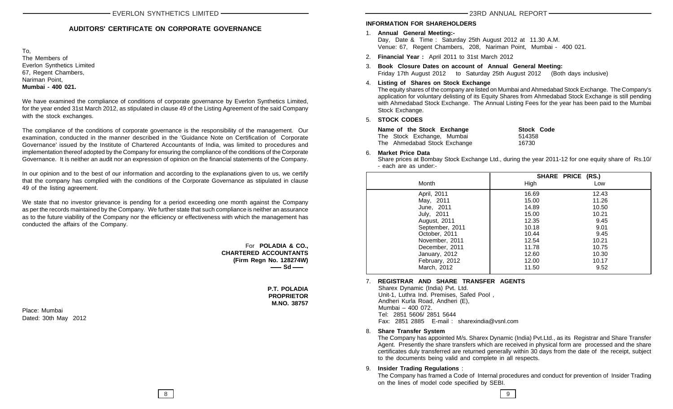#### **AUDITORS' CERTIFICATE ON CORPORATE GOVERNANCE**

To, The Members of Everlon Synthetics Limited 67, Regent Chambers, Nariman Point, **Mumbai - 400 021.**

We have examined the compliance of conditions of corporate governance by Everlon Synthetics Limited, for the year ended 31st March 2012, as stipulated in clause 49 of the Listing Agreement of the said Company with the stock exchanges.

The compliance of the conditions of corporate governance is the responsibility of the management. Our examination, conducted in the manner described in the 'Guidance Note on Certification of Corporate Governance' issued by the Institute of Chartered Accountants of India, was limited to procedures and implementation thereof adopted by the Company for ensuring the compliance of the conditions of the Corporate Governance. It is neither an audit nor an expression of opinion on the financial statements of the Company.

In our opinion and to the best of our information and according to the explanations given to us, we certify that the company has complied with the conditions of the Corporate Governance as stipulated in clause 49 of the listing agreement.

We state that no investor grievance is pending for a period exceeding one month against the Company as per the records maintained by the Company. We further state that such compliance is neither an assurance as to the future viability of the Company nor the efficiency or effectiveness with which the management has conducted the affairs of the Company.

> For **POLADIA & CO., CHARTERED ACCOUNTANTS (Firm Regn No. 128274W)** — Sd —

> > **P.T. POLADIA PROPRIETOR M.NO. 38757**

#### **INFORMATION FOR SHAREHOLDERS**

- 1. **Annual General Meeting:-** Day, Date & Time : Saturday 25th August 2012 at 11.30 A.M. Venue: 67, Regent Chambers, 208, Nariman Point, Mumbai - 400 021.
- 2. **Financial Year :** April 2011 to 31st March 2012

3. **Book Closure Dates on account of Annual General Meeting:** Friday 17th August 2012 to Saturday 25th August 2012 (Both days inclusive)

#### 4. **Listing of Shares on Stock Exchange**

The equity shares of the company are listed on Mumbai and Ahmedabad Stock Exchange. The Company's application for voluntary delisting of its Equity Shares from Ahmedabad Stock Exchange is still pending with Ahmedabad Stock Exchange. The Annual Listing Fees for the year has been paid to the Mumbai Stock Exchange.

#### 5. **STOCK CODES**

| Name of the Stock Exchange   | <b>Stock Code</b> |
|------------------------------|-------------------|
| The Stock Exchange, Mumbai   | 514358            |
| The Ahmedabad Stock Exchange | 16730             |

#### 6. **Market Price Data**

Share prices at Bombay Stock Exchange Ltd., during the year 2011-12 for one equity share of Rs.10/ - each are as under:-

|                 |       | SHARE PRICE (RS.) |
|-----------------|-------|-------------------|
| Month           | High  | Low               |
| April, 2011     | 16.69 | 12.43             |
| May, 2011       | 15.00 | 11.26             |
| June, 2011      | 14.89 | 10.50             |
| July, 2011      | 15.00 | 10.21             |
| August, 2011    | 12.35 | 9.45              |
| September, 2011 | 10.18 | 9.01              |
| October, 2011   | 10.44 | 9.45              |
| November, 2011  | 12.54 | 10.21             |
| December, 2011  | 11.78 | 10.75             |
| January, 2012   | 12.60 | 10.30             |
| February, 2012  | 12.00 | 10.17             |
| March, 2012     | 11.50 | 9.52              |

#### 7. **REGISTRAR AND SHARE TRANSFER AGENTS**

 Sharex Dynamic (India) Pvt. Ltd. Unit-1, Luthra Ind. Premises, Safed Pool , Andheri Kurla Road, Andheri (E), Mumbai – 400 072. Tel: 2851 5606/ 2851 5644 Fax: 2851 2885 E-mail : sharexindia@vsnl.com

#### 8. **Share Transfer System**

The Company has appointed M/s. Sharex Dynamic (India) Pvt.Ltd., as its Registrar and Share Transfer Agent. Presently the share transfers which are received in physical form are processed and the share certificates duly transferred are returned generally within 30 days from the date of the receipt, subject to the documents being valid and complete in all respects.

#### 9. **Insider Trading Regulations** :

The Company has framed a Code of Internal procedures and conduct for prevention of Insider Trading on the lines of model code specified by SEBI.

Place: Mumbai Dated: 30th May 2012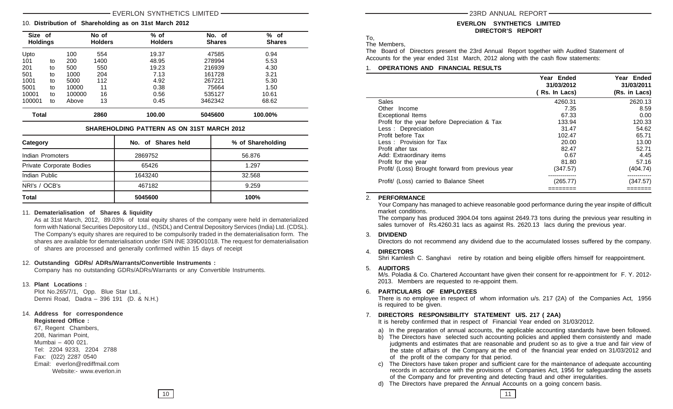#### EVERLON SYNTHETICS LIMITED

#### 10. **Distribution of Shareholding as on 31st March 2012**

| Size of<br><b>Holdings</b> |    |        | No of<br><b>Holders</b> | $%$ of<br><b>Holders</b> | No. of<br><b>Shares</b> | % of<br><b>Shares</b> |
|----------------------------|----|--------|-------------------------|--------------------------|-------------------------|-----------------------|
| Upto                       |    | 100    | 554                     | 19.37                    | 47585                   | 0.94                  |
| 101                        | to | 200    | 1400                    | 48.95                    | 278994                  | 5.53                  |
| 201                        | to | 500    | 550                     | 19.23                    | 216939                  | 4.30                  |
| 501                        | to | 1000   | 204                     | 7.13                     | 161728                  | 3.21                  |
| 1001                       | to | 5000   | 112                     | 4.92                     | 267221                  | 5.30                  |
| 5001                       | to | 10000  | 11                      | 0.38                     | 75664                   | 1.50                  |
| 10001                      | to | 100000 | 16                      | 0.56                     | 535127                  | 10.61                 |
| 100001                     | to | Above  | 13                      | 0.45                     | 3462342                 | 68.62                 |
| <b>Total</b>               |    |        | 2860                    | 100.00                   | 5045600                 | 100.00%               |

#### **SHAREHOLDING PATTERN AS ON 31ST MARCH 2012**

| Category                 | No. of Shares held | % of Shareholding |
|--------------------------|--------------------|-------------------|
| Indian Promoters         | 2869752            | 56.876            |
| Private Corporate Bodies | 65426              | 1.297             |
| Indian Public            | 1643240            | 32.568            |
| NRI's / OCB's            | 467182             | 9.259             |
| Total                    | 5045600            | 100%              |

#### 11. **Dematerialisation of Shares & liquidity**

As at 31st March, 2012, 89.03% of total equity shares of the company were held in dematerialized form with National Securities Depository Ltd., (NSDL) and Central Depository Services (India) Ltd. (CDSL). The Company's equity shares are required to be compulsorily traded in the dematerialisation form. The shares are available for dematerialisation under ISIN INE 339D01018. The request for dematerialisation of shares are processed and generally confirmed within 15 days of receipt

#### 12. **Outstanding GDRs/ ADRs/Warrants/Convertible Instruments :**

Company has no outstanding GDRs/ADRs/Warrants or any Convertible Instruments.

#### 13. **Plant Locations :**

Plot No.265/7/1, Opp. Blue Star Ltd., Demni Road, Dadra – 396 191 (D. & N.H.)

#### 14. **Address for correspondence**

**Registered Office :** 67, Regent Chambers, 208, Nariman Point, Mumbai – 400 021. Tel: 2204 9233, 2204 2788 Fax: (022) 2287 0540 Email: everlon@rediffmail.com Website:- www.everlon.in

#### **EVERLON SYNTHETICS LIMITED DIRECTOR'S REPORT**

To,

The Members,

The Board of Directors present the 23rd Annual Report together with Audited Statement of Accounts for the year ended 31st March, 2012 along with the cash flow statements:

#### 1. **OPERATIONS AND FINANCIAL RESULTS**

|                                                   | Year Ended<br>31/03/2012<br>( Rs. In Lacs) | Year Ended<br>31/03/2011<br>(Rs. in Lacs) |
|---------------------------------------------------|--------------------------------------------|-------------------------------------------|
| Sales                                             | 4260.31                                    | 2620.13                                   |
| Other Income                                      | 7.35                                       | 8.59                                      |
| <b>Exceptional Items</b>                          | 67.33                                      | 0.00                                      |
| Profit for the year before Depreciation & Tax     | 133.94                                     | 120.33                                    |
| Less: Depreciation                                | 31.47                                      | 54.62                                     |
| Profit before Tax                                 | 102.47                                     | 65.71                                     |
| Less: Provision for Tax                           | 20.00                                      | 13.00                                     |
| Profit after tax                                  | 82.47                                      | 52.71                                     |
| Add: Extraordinary items                          | 0.67                                       | 4.45                                      |
| Profit for the year                               | 81.80                                      | 57.16                                     |
| Profit/ (Loss) Brought forward from previous year | (347.57)                                   | (404.74)                                  |
| Profit/ (Loss) carried to Balance Sheet           | ----------<br>(265.77)                     | (347.57)                                  |
|                                                   |                                            |                                           |

#### 2. **PERFORMANCE**

Your Company has managed to achieve reasonable good performance during the year inspite of difficult market conditions.

The company has produced 3904.04 tons against 2649.73 tons during the previous year resulting in sales turnover of Rs.4260.31 lacs as against Rs. 2620.13 lacs during the previous year.

#### 3. **DIVIDEND**

Directors do not recommend any dividend due to the accumulated losses suffered by the company.

#### 4. **DIRECTORS**

Shri Kamlesh C. Sanghavi retire by rotation and being eligible offers himself for reappointment.

#### 5. **AUDITORS**

M/s. Poladia & Co. Chartered Accountant have given their consent for re-appointment for F. Y. 2012- 2013. Members are requested to re-appoint them.

#### 6. **PARTICULARS OF EMPLOYEES**

There is no employee in respect of whom information u/s. 217 (2A) of the Companies Act, 1956 is required to be given.

#### 7. **DIRECTORS RESPONSIBILITY STATEMENT U/S. 217 ( 2AA)**

It is hereby confirmed that in respect of Financial Year ended on 31/03/2012.

- a) In the preparation of annual accounts, the applicable accounting standards have been followed.
- b) The Directors have selected such accounting policies and applied them consistently and made judgments and estimates that are reasonable and prudent so as to give a true and fair view of the state of affairs of the Company at the end of the financial year ended on 31/03/2012 and of the profit of the company for that period.
- c) The Directors have taken proper and sufficient care for the maintenance of adequate accounting records in accordance with the provisions of Companies Act, 1956 for safeguarding the assets of the Company and for preventing and detecting fraud and other irregularities.
- d) The Directors have prepared the Annual Accounts on a going concern basis.

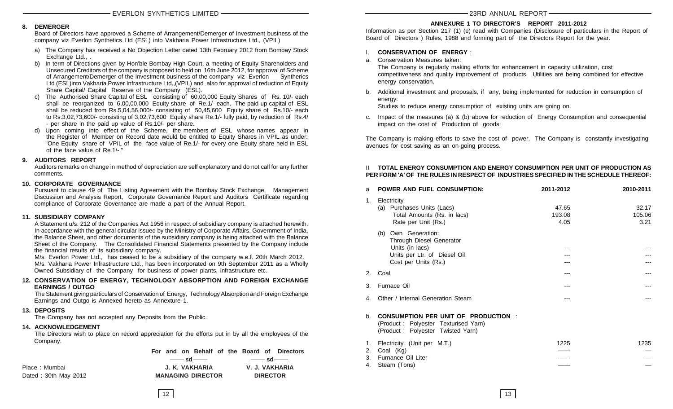#### **8. DEMERGER**

Board of Directors have approved a Scheme of Arrangement/Demerger of Investment business of the company viz Everlon Synthetics Ltd (ESL) into Vakharia Power Infrastructure Ltd., (VPIL)

- a) The Company has received a No Objection Letter dated 13th February 2012 from Bombay Stock Exchange Ltd., .
- b) In term of Directions given by Hon'ble Bombay High Court, a meeting of Equity Shareholders and Unsecured Creditors of the company is proposed to held on 16th June 2012, for approval of Scheme of Arrangement/Demerger of the Investment business of the company viz Everlon Syntherics Ltd (ESL)into Vakharia Power Infrastructure Ltd.,(VPIL) and also for approval of reduction of Equity Share Capital/ Capital Reserve of the Company (ESL).
- c) The Authorised Share Capital of ESL consisting of 60,00,000 Equity Shares of Rs. 10/- each shall be reorganized to 6,00,00,000 Equity share of Re.1/- each. The paid up capital of ESL shall be reduced from Rs.5,04,56,000/- consisting of 50,45,600 Equity share of Rs.10/- each to Rs.3,02,73,600/- consisting of 3,02,73,600 Equity share Re.1/- fully paid, by reduction of Rs.4/ - per share in the paid up value of Rs.10/- per share.
- d) Upon coming into effect of the Scheme, the members of ESL whose names appear in the Register of Member on Record date would be entitled to Equity Shares in VPIL as under: "One Equity share of VPIL of the face value of Re.1/- for every one Equity share held in ESL of the face value of Re 1/-"

#### **9. AUDITORS REPORT**

Auditors remarks on change in method of depreciation are self explanatory and do not call for any further comments.

#### **10. CORPORATE GOVERNANCE**

Pursuant to clause 49 of The Listing Agreement with the Bombay Stock Exchange, Management Discussion and Analysis Report, Corporate Governance Report and Auditors Certificate regarding compliance of Corporate Governance are made a part of the Annual Report.

#### **11. SUBSIDIARY COMPANY**

A Statement u/s. 212 of the Companies Act 1956 in respect of subsidiary company is attached herewith. In accordance with the general circular issued by the Ministry of Corporate Affairs, Government of India, the Balance Sheet, and other documents of the subsidiary company is being attached with the Balance Sheet of the Company. The Consolidated Financial Statements presented by the Company include the financial results of its subsidiary company.

M/s. Everlon Power Ltd., has ceased to be a subsidiary of the company w.e.f. 20th March 2012. M/s. Vakharia Power Infrastructure Ltd., has been incorporated on 9th September 2011 as a Wholly Owned Subsidiary of the Company for business of power plants, infrastructure etc.

#### **12. CONSERVATION OF ENERGY, TECHNOLOGY ABSORPTION AND FOREIGN EXCHANGE EARNINGS / OUTGO**

The Statement giving particulars of Conservation of Energy, Technology Absorption and Foreign Exchange Earnings and Outgo is Annexed hereto as Annexture 1.

#### **13. DEPOSITS**

The Company has not accepted any Deposits from the Public.

#### **14. ACKNOWLEDGEMENT**

The Directors wish to place on record appreciation for the efforts put in by all the employees of the Company.

**For and on Behalf of the Board of Directors**

Place : Mumbai **J. K. VAKHARIA V. J. VAKHARIA** Dated : 30th May 2012 **MANAGING DIRECTOR DIRECTOR**

<u>and sdeed sdeed sdeed sdeed</u> sdeed and sdeed sdeed sdeed sdeed state and solve and solve and solve and solve and s<br>The sdeed state and solve and solve and solve and solve and solve and solve and solve and solve and solve

#### 23RD ANNUAL REPORT

#### **ANNEXURE 1 TO DIRECTOR'S REPORT 2011-2012**

Information as per Section 217 (1) (e) read with Companies (Disclosure of particulars in the Report of Board of Directors ) Rules, 1988 and forming part of the Directors Report for the year.

#### I. **CONSERVATION OF ENERGY** :

a. Conservation Measures taken:

The Company is regularly making efforts for enhancement in capacity utilization, cost competitiveness and quality improvement of products. Utilities are being combined for effective energy conservation.

b. Additional investment and proposals, if any, being implemented for reduction in consumption of energy:

Studies to reduce energy consumption of existing units are going on.

c. Impact of the measures (a) & (b) above for reduction of Energy Consumption and consequential impact on the cost of Production of goods:

The Company is making efforts to save the cost of power. The Company is constantly investigating avenues for cost saving as an on-going process.

#### II **TOTAL ENERGY CONSUMPTION AND ENERGY CONSUMPTION PER UNIT OF PRODUCTION AS PER FORM 'A' OF THE RULES IN RESPECT OF INDUSTRIES SPECIFIED IN THE SCHEDULE THEREOF:**

| a                    | <b>POWER AND FUEL CONSUMPTION:</b>                                                                                         | 2011-2012               | 2010-2011               |
|----------------------|----------------------------------------------------------------------------------------------------------------------------|-------------------------|-------------------------|
| 1.                   | Electricity<br>(a) Purchases Units (Lacs)<br>Total Amounts (Rs. in lacs)<br>Rate per Unit (Rs.)                            | 47.65<br>193.08<br>4.05 | 32.17<br>105.06<br>3.21 |
|                      | (b) Own Generation:<br>Through Diesel Generator<br>Units (in lacs)<br>Units per Ltr. of Diesel Oil<br>Cost per Units (Rs.) |                         |                         |
| 2 <sub>1</sub>       | Coal                                                                                                                       |                         |                         |
| 3.                   | Furnace Oil                                                                                                                | ---                     |                         |
| 4.                   | Other / Internal Generation Steam                                                                                          |                         |                         |
| b <sub>1</sub>       | <b>CONSUMPTION PER UNIT OF PRODUCTION:</b><br>(Product: Polyester Texturised Yarn)<br>(Product: Polyester Twisted Yarn)    |                         |                         |
| 1.<br>2.<br>3.<br>4. | Electricity (Unit per M.T.)<br>Coal (Kg)<br>Furnance Oil Liter<br>Steam (Tons)                                             | 1225                    | 1235                    |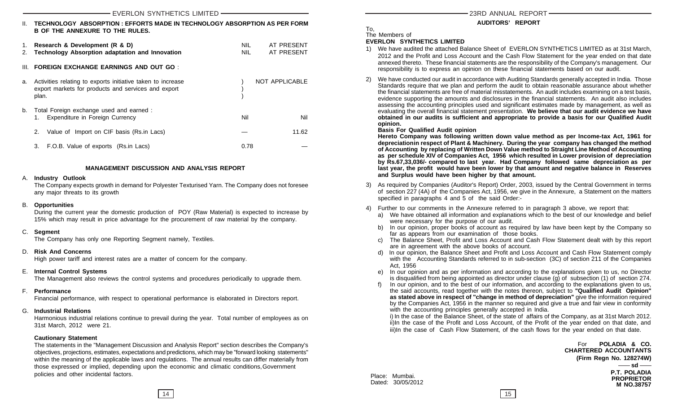|          | EVERLON SYNTHETICS LIMITED                                                                                                  |                          |                          |  |
|----------|-----------------------------------------------------------------------------------------------------------------------------|--------------------------|--------------------------|--|
| Ш.       | TECHNOLOGY ABSORPTION : EFFORTS MADE IN TECHNOLOGY ABSORPTION AS PER FORM<br><b>B OF THE ANNEXURE TO THE RULES.</b>         |                          |                          |  |
| 1.<br>2. | Research & Development (R & D)<br><b>Technology Absorption adaptation and Innovation</b>                                    | <b>NIL</b><br><b>NIL</b> | AT PRESENT<br>AT PRESENT |  |
| III.     | <b>FOREIGN EXCHANGE EARNINGS AND OUT GO:</b>                                                                                |                          |                          |  |
| а.       | Activities relating to exports initiative taken to increase<br>export markets for products and services and export<br>plan. |                          | NOT APPLICABLE           |  |
| b.       | Total Foreign exchange used and earned :<br>Expenditure in Foreign Currency<br>1.                                           | Nil                      | Nil                      |  |
|          | 2.<br>Value of Import on CIF basis (Rs.in Lacs)                                                                             |                          | 11.62                    |  |
|          | 3.<br>F.O.B. Value of exports (Rs.in Lacs)                                                                                  | 0.78                     |                          |  |

#### **MANAGEMENT DISCUSSION AND ANALYSIS REPORT**

#### A. **Industry Outlook**

The Company expects growth in demand for Polyester Texturised Yarn. The Company does not foresee any major threats to its growth

#### B. **Opportunities**

During the current year the domestic production of POY (Raw Material) is expected to increase by 15% which may result in price advantage for the procurement of raw material by the company.

#### C. **Segment**

The Company has only one Reporting Segment namely, Textiles.

#### D. **Risk And Concerns**

High power tariff and interest rates are a matter of concern for the company.

#### E. **Internal Control Systems**

The Management also reviews the control systems and procedures periodically to upgrade them.

#### F. **Performance**

Financial performance, with respect to operational performance is elaborated in Directors report.

#### G. **Industrial Relations**

Harmonious industrial relations continue to prevail during the year. Total number of employees as on 31st March, 2012 were 21.

#### **Cautionary Statement**

The statements in the "Management Discussion and Analysis Report" section describes the Company's objectives, projections, estimates, expectations and predictions, which may be "forward looking statements" within the meaning of the applicable laws and regulations. The annual results can differ materially from those expressed or implied, depending upon the economic and climatic conditions,Government policies and other incidental factors.

#### **AUDITORS' REPORT**

To, The Members of

#### **EVERLON SYNTHETICS LIMITED**

- 1) We have audited the attached Balance Sheet of EVERLON SYNTHETICS LIMITED as at 31st March, 2012 and the Profit and Loss Account and the Cash Flow Statement for the year ended on that date annexed thereto. These financial statements are the responsibility of the Company's management. Our responsibility is to express an opinion on these financial statements based on our audit.
- 2) We have conducted our audit in accordance with Auditing Standards generally accepted in India. Those Standards require that we plan and perform the audit to obtain reasonable assurance about whether the financial statements are free of material misstatements. An audit includes examining on a test basis, evidence supporting the amounts and disclosures in the financial statements. An audit also includes assessing the accounting principles used and significant estimates made by management, as well as evaluating the overall financial statement presentation. **We believe that our audit evidence we have obtained in our audits is sufficient and appropriate to provide a basis for our Qualified Audit opinion.**

#### **Basis For Qualified Audit opinion**

**Hereto Company was following written down value method as per Income-tax Act, 1961 for depreciationin respect of Plant & Machinery. During the year company has changed the method of Accounting by replacing of Written Down Value method to Straight Line Method of Accounting as per schedule XIV of Companies Act, 1956 which resulted in Lower provision of depreciation by Rs.67,33,036/- compared to last year. Had Company followed same depreciation as per last year, the profit would have been lower by that amount and negative balance in Reserves and Surplus would have been higher by that amount.**

- 3) As required by Companies (Auditor's Report) Order, 2003, issued by the Central Government in terms of section 227 (4A) of the Companies Act, 1956, we give in the Annexure, a Statement on the matters specified in paragraphs 4 and 5 of the said Order:-
- 4) Further to our comments in the Annexure referred to in paragraph 3 above, we report that:
	- a) We have obtained all information and explanations which to the best of our knowledge and belief were necessary for the purpose of our audit.
	- b) In our opinion, proper books of account as required by law have been kept by the Company so far as appears from our examination of those books.
	- c) The Balance Sheet, Profit and Loss Account and Cash Flow Statement dealt with by this report are in agreement with the above books of account.
	- d) In our opinion, the Balance Sheet and Profit and Loss Account and Cash Flow Statement comply with the Accounting Standards referred to in sub-section (3C) of section 211 of the Companies Act, 1956
	- e) In our opinion and as per information and according to the explanations given to us, no Director is disqualified from being appointed as director under clause (g) of subsection (1) of section 274.
	- In our opinion, and to the best of our information, and according to the explanations given to us, the said accounts, read together with the notes thereon, subject to **"Qualified Audit Opinion" as stated above in respect of "change in method of depreciation"** give the information required by the Companies Act, 1956 in the manner so required and give a true and fair view in conformity with the accounting principles generally accepted in India.

i) In the case of the Balance Sheet, of the state of affairs of the Company, as at 31st March 2012. ii)In the case of the Profit and Loss Account, of the Profit of the year ended on that date, and iii)In the case of Cash Flow Statement, of the cash flows for the year ended on that date.

> For **POLADIA & CO. CHARTERED ACCOUNTANTS (Firm Regn No. 128274W) P.T. POLADIA PROPRIETOR M NO.38757** — sd —

Place: Mumbai. Dated: 30/05/2012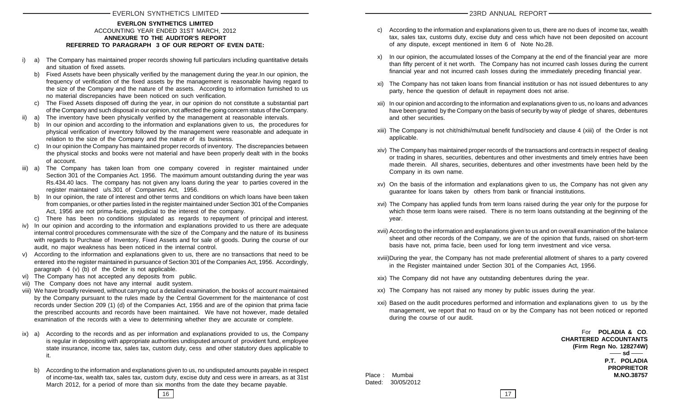#### **EVERLON SYNTHETICS LIMITED** ACCOUNTING YEAR ENDED 31ST MARCH, 2012 **ANNEXURE TO THE AUDITOR'S REPORT REFERRED TO PARAGRAPH 3 OF OUR REPORT OF EVEN DATE:**

- i) a) The Company has maintained proper records showing full particulars including quantitative details and situation of fixed assets.
	- b) Fixed Assets have been physically verified by the management during the year.In our opinion, the frequency of verification of the fixed assets by the management is reasonable having regard to the size of the Company and the nature of the assets. According to information furnished to us no material discrepancies have been noticed on such verification.
	- c) The Fixed Assets disposed off during the year, in our opinion do not constitute a substantial part of the Company and such disposal in our opinion, not affected the going concern status of the Company.
- ii) a) The inventory have been physically verified by the management at reasonable intervals.
	- b) In our opinion and according to the information and explanations given to us, the procedures for physical verification of inventory followed by the management were reasonable and adequate in relation to the size of the Company and the nature of its business.
	- c) In our opinion the Company has maintained proper records of inventory. The discrepancies between the physical stocks and books were not material and have been properly dealt with in the books of account.
- iii) a) The Company has taken loan from one company covered in register maintained under Section 301 of the Companies Act. 1956. The maximum amount outstanding during the year was Rs.434.40 lacs. The company has not given any loans during the year to parties covered in the register maintained u/s.301 of Companies Act, 1956.
	- b) In our opinion, the rate of interest and other terms and conditions on which loans have been taken from companies, or other parties listed in the register maintained under Section 301 of the Companies Act, 1956 are not prima-facie, prejudicial to the interest of the company.
	- c) There has been no conditions stipulated as regards to repayment of principal and interest.
- iv) In our opinion and according to the information and explanations provided to us there are adequate internal control procedures commensurate with the size of the Company and the nature of its business with regards to Purchase of Inventory, Fixed Assets and for sale of goods. During the course of our audit, no major weakness has been noticed in the internal control.
- v) According to the information and explanations given to us, there are no transactions that need to be entered into the register maintained in pursuance of Section 301 of the Companies Act, 1956. Accordingly, paragraph 4 (v) (b) of the Order is not applicable.
- vi) The Company has not accepted any deposits from public.
- vii) The Company does not have any internal audit system.
- viii) We have broadly reviewed, without carrying out a detailed examination, the books of account maintained by the Company pursuant to the rules made by the Central Government for the maintenance of cost records under Section 209 (1) (d) of the Companies Act, 1956 and are of the opinion that prima facie the prescribed accounts and records have been maintained. We have not however, made detailed examination of the records with a view to determining whether they are accurate or complete.
- ix) a) According to the records and as per information and explanations provided to us, the Company is regular in depositing with appropriate authorities undisputed amount of provident fund, employee state insurance, income tax, sales tax, custom duty, cess and other statutory dues applicable to it.
	- b) According to the information and explanations given to us, no undisputed amounts payable in respect of income-tax, wealth tax, sales tax, custom duty, excise duty and cess were in arrears, as at 31st March 2012, for a period of more than six months from the date they became payable.
- c) According to the information and explanations given to us, there are no dues of income tax, wealth tax, sales tax, customs duty, excise duty and cess which have not been deposited on account of any dispute, except mentioned in Item 6 of Note No.28.
- x) In our opinion, the accumulated losses of the Company at the end of the financial year are more than fifty percent of it net worth. The Company has not incurred cash losses during the current financial year and not incurred cash losses during the immediately preceding financial year.
- xi) The Company has not taken loans from financial institution or has not issued debentures to any party, hence the question of default in repayment does not arise.
- xii) In our opinion and according to the information and explanations given to us, no loans and advances have been granted by the Company on the basis of security by way of pledge of shares, debentures and other securities.
- xiii) The Company is not chit/nidhi/mutual benefit fund/society and clause 4 (xiii) of the Order is not applicable.
- xiv) The Company has maintained proper records of the transactions and contracts in respect of dealing or trading in shares, securities, debentures and other investments and timely entries have been made therein. All shares, securities, debentures and other investments have been held by the Company in its own name.
- xv) On the basis of the information and explanations given to us, the Company has not given any guarantee for loans taken by others from bank or financial institutions.
- xvi) The Company has applied funds from term loans raised during the year only for the purpose for which those term loans were raised. There is no term loans outstanding at the beginning of the year.
- xvii) According to the information and explanations given to us and on overall examination of the balance sheet and other records of the Company, we are of the opinion that funds, raised on short-term basis have not, prima facie, been used for long term investment and vice versa.
- xviii)During the year, the Company has not made preferential allotment of shares to a party covered in the Register maintained under Section 301 of the Companies Act, 1956.
- xix) The Company did not have any outstanding debentures during the year.
- xx) The Company has not raised any money by public issues during the year.
- xxi) Based on the audit procedures performed and information and explanations given to us by the management, we report that no fraud on or by the Company has not been noticed or reported during the course of our audit.

For **POLADIA & CO**. **CHARTERED ACCOUNTANTS (Firm Regn No. 128274W) P.T. POLADIA PROPRIETOR** Place : Mumbai **M.NO.38757 sd**

Dated: 30/05/2012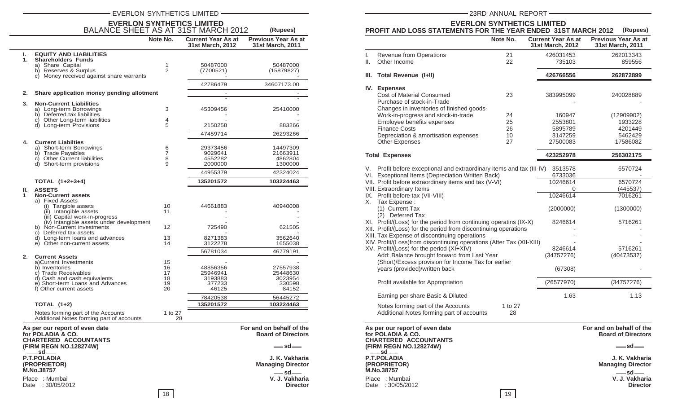#### EVERLON SYNTHETICS LIMITED **CONTRACT CONTRACT CONTRACT CONTRACT CONTRACT CONTRACT CONTRACT CONTRACT CONTRACT CONTRACT CONTRACT CONTRACT CONTRACT CONTRACT CONTRACT CONTRACT CONTRACT CONTRACT CONTRACT CONTRACT CONTRACT CONTR**

| <b>EVERLON SYNTHETICS LIMITED<br/>BALANCE SHEET AS AT 31ST MARCH 2012</b>           | Note No.       | <b>Current Year As at</b><br>31st March, 2012 | (Rupees)<br><b>Previous Year As at</b><br>31st March, 2011 |
|-------------------------------------------------------------------------------------|----------------|-----------------------------------------------|------------------------------------------------------------|
| <b>EQUITY AND LIABILITIES</b><br>ı.                                                 |                |                                               |                                                            |
| <b>Shareholders Funds</b><br>1.                                                     |                |                                               |                                                            |
| a) Share Capital<br>b) Reserves & Surplus                                           | 1<br>2         | 50487000<br>(7700521)                         | 50487000<br>(15879827)                                     |
| c) Money received against share warrants                                            |                |                                               |                                                            |
|                                                                                     |                | 42786479                                      | 34607173.00                                                |
| 2.<br>Share application money pending allotment                                     |                |                                               |                                                            |
| 3.<br><b>Non-Current Liabilities</b>                                                |                |                                               |                                                            |
| a) Long-term Borrowings                                                             | 3              | 45309456                                      | 25410000                                                   |
| b) Deferred tax liabilities                                                         |                |                                               |                                                            |
| c) Other Long-term liabilities<br>d) Long-term Provisions                           | 4<br>5         | 2150258                                       | 883266                                                     |
|                                                                                     |                | 47459714                                      | 26293266                                                   |
|                                                                                     |                |                                               |                                                            |
| <b>Current Liabilties</b><br>4.<br>a) Short-term Borrowings                         | 6              | 29373456                                      | 14497309                                                   |
| b) Trade Payables                                                                   | $\overline{7}$ | 9029641                                       | 21663911                                                   |
| c) Other Current liabilities                                                        | 8              | 4552282                                       | 4862804                                                    |
| d) Short-term provisions                                                            | 9              | 2000000                                       | 1300000                                                    |
|                                                                                     |                | 44955379                                      | 42324024                                                   |
| TOTAL (1+2+3+4)                                                                     |                | 135201572                                     | 103224463                                                  |
| <b>ASSETS</b><br>Ш.<br><b>Non-Current assets</b><br>1<br>a) Fixed Assets            |                |                                               |                                                            |
| (i) Tangible assets<br>(ii) Intangible assets                                       | 10<br>11       | 44661883                                      | 40940008                                                   |
| (iii) Capital work-in-progress                                                      |                |                                               |                                                            |
| (iv) Intangible assets under development<br>b) Non-Current investments              | 12             | 725490                                        | 621505                                                     |
| c) Deferred tax assets                                                              |                |                                               |                                                            |
| d) Long-term loans and advances                                                     | 13             | 8271383                                       | 3562640                                                    |
| e) Other non-current assets                                                         | 14             | 3122278                                       | 1655038                                                    |
| 2.<br><b>Current Assets</b>                                                         |                | 56781034                                      | 46779191                                                   |
| a)Current Investments                                                               | 15             |                                               |                                                            |
| b) Inventories<br>c) Trade Receivables                                              | 16<br>17       | 48856356                                      | 27557938                                                   |
| d) Cash and cash equivalents                                                        | 18             | 25946941<br>3193883                           | 25448630<br>3023954                                        |
| e) Short-term Loans and Advances                                                    | 19             | 377233                                        | 330598                                                     |
| f) Other current assets                                                             | 20             | 46125                                         | 84152                                                      |
|                                                                                     |                | 78420538                                      | 56445272                                                   |
| TOTAL $(1+2)$                                                                       |                | 135201572                                     | 103224463                                                  |
| Notes forming part of the Accounts<br>Additional Notes forming part of accounts     | 1 to 27<br>28  |                                               |                                                            |
| As per our report of even date<br>for POLADIA & CO.<br><b>CHARTERED ACCOUNTANTS</b> |                |                                               | For and on behalf of the<br><b>Board of Directors</b>      |
| (FIRM REGN NO.128274W)<br>$-$ sd $-$                                                |                |                                               | — sd—                                                      |
| <b>P.T.POLADIA</b><br>(PROPRIETOR)<br>M.No.38757                                    |                |                                               | J. K. Vakharia<br><b>Managing Director</b>                 |

Date : 30/05/2012

Place : Mumbai **V. J. Vakharia**

#### **EVERLON SYNTHETICS LIMITED PROFIT AND LOSS STATEMENTS FOR THE YEAR ENDED 31ST MARCH 2012 (Rupees) (Rupees)**

|          |                                                                                                                                                                                                                                                                                                                                                                                                                                                                                                                                                                                                                                                                                                                                                                | Note No.      | <b>Current Year As at</b><br>31st March, 2012                                                               | <b>Previous Year As at</b><br>31st March, 2011                                             |
|----------|----------------------------------------------------------------------------------------------------------------------------------------------------------------------------------------------------------------------------------------------------------------------------------------------------------------------------------------------------------------------------------------------------------------------------------------------------------------------------------------------------------------------------------------------------------------------------------------------------------------------------------------------------------------------------------------------------------------------------------------------------------------|---------------|-------------------------------------------------------------------------------------------------------------|--------------------------------------------------------------------------------------------|
| I.       | Revenue from Operations                                                                                                                                                                                                                                                                                                                                                                                                                                                                                                                                                                                                                                                                                                                                        | 21            | 426031453                                                                                                   | 262013343                                                                                  |
| Ш.       | Other Income                                                                                                                                                                                                                                                                                                                                                                                                                                                                                                                                                                                                                                                                                                                                                   | 22            | 735103                                                                                                      | 859556                                                                                     |
| Ш.       | <b>Total Revenue (I+II)</b>                                                                                                                                                                                                                                                                                                                                                                                                                                                                                                                                                                                                                                                                                                                                    |               | 426766556                                                                                                   | 262872899                                                                                  |
|          | IV. Expenses<br>Cost of Material Consumed<br>Purchase of stock-in-Trade<br>Changes in inventories of finished goods-                                                                                                                                                                                                                                                                                                                                                                                                                                                                                                                                                                                                                                           | 23            | 383995099                                                                                                   | 240028889                                                                                  |
|          | Work-in-progress and stock-in-trade                                                                                                                                                                                                                                                                                                                                                                                                                                                                                                                                                                                                                                                                                                                            | 24            | 160947                                                                                                      | (12909902)                                                                                 |
|          | Employee benefits expenses                                                                                                                                                                                                                                                                                                                                                                                                                                                                                                                                                                                                                                                                                                                                     | 25            | 2553801                                                                                                     | 1933228                                                                                    |
|          | <b>Finance Costs</b>                                                                                                                                                                                                                                                                                                                                                                                                                                                                                                                                                                                                                                                                                                                                           | 26            | 5895789                                                                                                     | 4201449                                                                                    |
|          | Depreciation & amortisation expenses                                                                                                                                                                                                                                                                                                                                                                                                                                                                                                                                                                                                                                                                                                                           | 10            | 3147259                                                                                                     | 5462429                                                                                    |
|          | <b>Other Expenses</b>                                                                                                                                                                                                                                                                                                                                                                                                                                                                                                                                                                                                                                                                                                                                          | 27            | 27500083                                                                                                    | 17586082                                                                                   |
|          | <b>Total Expenses</b>                                                                                                                                                                                                                                                                                                                                                                                                                                                                                                                                                                                                                                                                                                                                          |               | 423252978                                                                                                   | 256302175                                                                                  |
| V.<br>X. | Profit before exceptional and extraordinary items and tax (III-IV)<br>VI. Exceptional Items (Depreciation Written Back)<br>VII. Profit before extraordinary items and tax (V-VI)<br>VIII. Extraordinary Items<br>IX. Profit before tax (VII-VIII)<br>Tax Expense:<br>(1) Current Tax<br>(2) Deferred Tax<br>XI. Profit/(Loss) for the period from continuing operatins (IX-X)<br>XII. Profit/(Loss) for the period from discontinuing operations<br>XIII. Tax Expense of discontinuing operations<br>XIV. Profit/(Loss)from discontinuing operations (After Tax (XII-XIII)<br>XV. Profit/(Loss) for the period (XI+XIV)<br>Add: Balance brought forward from Last Year<br>(Short)/Excess provision for Income Tax for earlier<br>years (provided)/written back |               | 3513578<br>6733036<br>10246614<br>0<br>10246614<br>(2000000)<br>8246614<br>8246614<br>(34757276)<br>(67308) | 6570724<br>6570724<br>(445537)<br>7016261<br>(1300000)<br>5716261<br>5716261<br>(40473537) |
|          | Profit available for Appropriation                                                                                                                                                                                                                                                                                                                                                                                                                                                                                                                                                                                                                                                                                                                             |               | (26577970)                                                                                                  | (34757276)                                                                                 |
|          | Earning per share Basic & Diluted                                                                                                                                                                                                                                                                                                                                                                                                                                                                                                                                                                                                                                                                                                                              |               | 1.63                                                                                                        | 1.13                                                                                       |
|          | Notes forming part of the Accounts<br>Additional Notes forming part of accounts                                                                                                                                                                                                                                                                                                                                                                                                                                                                                                                                                                                                                                                                                | 1 to 27<br>28 |                                                                                                             |                                                                                            |

**As per our report of even date For and on behalf of the for POLADIA & CO. Board of Directors CHARTERED ACCOUNTANTS (FIRM REGN NO.128274W) P.T.POLADIA J. K. Vakharia (PROPRIETOR) Managing Director P.T.POLADIA<br>(PROPRIETOR)<br>M.No.38757** <u>sd</u> \_\_\_

Date : 30/05/2012

**sd**

Place : Mumbai **V. J. Vakharia** Sd<br>V. J. Vakharia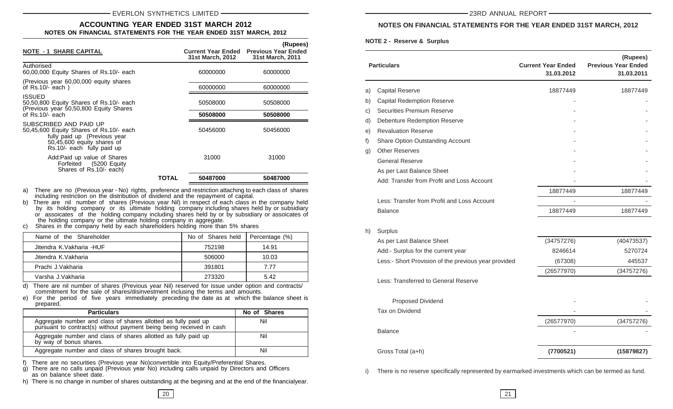#### **ACCOUNTING YEAR ENDED 31ST MARCH 2012 NOTES ON FINANCIAL STATEMENTS FOR THE YEAR ENDED 31ST MARCH, 2012**

| <b>NOTE - 1 SHARE CAPITAL</b>                                                                                                                                 |       | <b>Current Year Ended</b><br><b>31st March, 2012</b> | (Rupees)<br><b>Previous Year Ended</b><br><b>31st March, 2011</b> |
|---------------------------------------------------------------------------------------------------------------------------------------------------------------|-------|------------------------------------------------------|-------------------------------------------------------------------|
| Authorised<br>60,00,000 Equity Shares of Rs.10/- each                                                                                                         |       | 60000000                                             | 60000000                                                          |
| (Previous year 60,00,000 equity shares)<br>of $Rs.10/-$ each)                                                                                                 |       | 60000000                                             | 60000000                                                          |
| <b>ISSUED</b><br>50,50,800 Equity Shares of Rs.10/- each<br>(Previous year 50,50,800 Equity Shares)                                                           |       | 50508000                                             | 50508000                                                          |
| of $Rs.10/-$ each                                                                                                                                             |       | 50508000                                             | 50508000                                                          |
| SUBSCRIBED AND PAID UP<br>50,45,600 Equity Shares of Rs.10/- each<br>fully paid up (Previous year<br>50,45,600 equity shares of<br>Rs.10/- each fully paid up |       | 50456000                                             | 50456000                                                          |
| Add: Paid up value of Shares<br>Forfeited (5200 Equity<br>Shares of Rs.10/- each)                                                                             |       | 31000                                                | 31000                                                             |
|                                                                                                                                                               | TOTAL | 50487000                                             | 50487000                                                          |

a) There are no (Previous year - No) rights, preference and restriction attaching to each class of shares including restriction on the distribution of dividend and the repayment of capital.

b) There are nil number of shares (Previous year Nil) in respect of each class in the company held by its holding company or its ultimate holding company including shares held by or subsidiary or assoicates of the holding company including shares held by or by subsidiary or assoicates of the holding company or the ultimate holding company in aggregate.

c) Shares in the company held by each shareholders holding more than 5% shares

| Name of the Shareholder  | No of Shares held | Percentage (%) |
|--------------------------|-------------------|----------------|
| Jitendra K.Vakharia -HUF | 752198            | 14.91          |
| Jitendra K.Vakharia      | 506000            | 10.03          |
| Prachi J.Vakharia        | 391801            | 7 77           |
| Varsha J.Vakharia        | 273320            | 5.42           |

d) There are nil number of shares (Previous year Nil) reserved for issue under option and contracts/ commitment for the sale of shares/disinvestment inclusing the terms and amounts.

e) For the period of five years immediately preceding the date as at which the balance sheet is prepared.

| <b>Particulars</b>                                                                                                                     | No of Shares |
|----------------------------------------------------------------------------------------------------------------------------------------|--------------|
| Aggregate number and class of shares allotted as fully paid up<br>pursuant to contract(s) without payment being being received in cash | Nil          |
| Aggregate number and class of shares allotted as fully paid up<br>by way of bonus shares.                                              | Nil          |
| Aggregate number and class of shares brought back.                                                                                     | Nil          |

f) There are no securities (Previous year No)convertible into Equity/Preferential Shares.

g) There are no calls unpaid (Previous year No) including calls unpaid by Directors and Officers as on balance sheet date.

h) There is no change in number of shares outstanding at the begining and at the end of the financialyear.

#### **NOTES ON FINANCIAL STATEMENTS FOR THE YEAR ENDED 31ST MARCH, 2012**

**NOTE 2 - Reserve & Surplus**

|                | <b>Particulars</b>                                   | <b>Current Year Ended</b><br>31.03.2012 | (Rupees)<br><b>Previous Year Ended</b><br>31.03.2011 |
|----------------|------------------------------------------------------|-----------------------------------------|------------------------------------------------------|
| a)             | <b>Capital Reserve</b>                               | 18877449                                | 18877449                                             |
| b)             | <b>Capital Redemption Reserve</b>                    |                                         |                                                      |
| c)             | Securities Premium Reserve                           |                                         |                                                      |
| d)             | <b>Debenture Redemption Reserve</b>                  |                                         |                                                      |
| e)             | <b>Revaluation Reserve</b>                           |                                         |                                                      |
| f)             | Share Option Outstanding Account                     |                                         |                                                      |
| $\mathsf{q}$ ) | <b>Other Reserves</b>                                |                                         |                                                      |
|                | <b>General Reserve</b>                               |                                         |                                                      |
|                | As per Last Balance Sheet                            |                                         |                                                      |
|                | Add: Transfer from Profit and Loss Account           |                                         |                                                      |
|                |                                                      | 18877449                                | 18877449                                             |
|                | Less: Transfer from Profit and Loss Account          |                                         |                                                      |
|                | <b>Balance</b>                                       | 18877449                                | 18877449                                             |
| h)             | Surplus                                              |                                         |                                                      |
|                | As per Last Balance Sheet                            | (34757276)                              | (40473537)                                           |
|                | Add:- Surplus for the current year                   | 8246614                                 | 5270724                                              |
|                | Less:- Short Provision of the previous year provided | (67308)                                 | 445537                                               |
|                |                                                      | (26577970)                              | (34757276)                                           |
|                | Less: Transferred to General Reserve                 |                                         |                                                      |
|                | Proposed Dividend                                    |                                         |                                                      |
|                | Tax on Dividend                                      |                                         |                                                      |
|                |                                                      | (26577970)                              | (34757276)                                           |
|                | <b>Balance</b>                                       |                                         |                                                      |
|                | Gross Total (a+h)                                    | (7700521)                               | (15879827)                                           |

i) There is no reserve specifically represented by earmarked investments which can be termed as fund.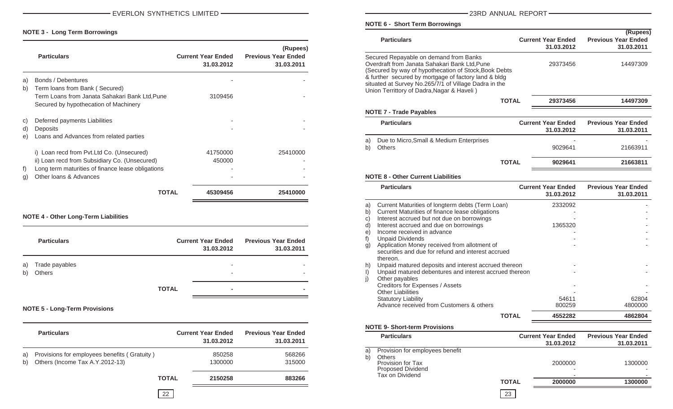#### **NOTE 3 - Long Term Borrowings**

|    | <b>Particulars</b>                                                                      | <b>Current Year Ended</b><br>31.03.2012 | (Rupees)<br><b>Previous Year Ended</b><br>31.03.2011 |
|----|-----------------------------------------------------------------------------------------|-----------------------------------------|------------------------------------------------------|
| a) | Bonds / Debentures                                                                      |                                         |                                                      |
| b) | Term loans from Bank (Secured)                                                          |                                         |                                                      |
|    | Term Loans from Janata Sahakari Bank Ltd, Pune<br>Secured by hypothecation of Machinery | 3109456                                 |                                                      |
| C) | Deferred payments Liabilities                                                           |                                         |                                                      |
| d) | Deposits                                                                                |                                         |                                                      |
| e) | Loans and Advances from related parties                                                 |                                         |                                                      |
|    | i) Loan recd from Pvt. Ltd Co. (Unsecured)                                              | 41750000                                | 25410000                                             |
|    | ii) Loan recd from Subsidiary Co. (Unsecured)                                           | 450000                                  |                                                      |
| f) | Long term maturities of finance lease obligations                                       |                                         |                                                      |
| g) | Other Ioans & Advances                                                                  |                                         |                                                      |
|    | ΤΩΤΑΙ                                                                                   | 45309456                                | 25410000                                             |

#### **NOTE 4 - Other Long-Term Liabilities**

|          | <b>Particulars</b>       |              | <b>Current Year Ended</b><br>31.03.2012 | <b>Previous Year Ended</b><br>31.03.2011 |
|----------|--------------------------|--------------|-----------------------------------------|------------------------------------------|
| a)<br>b) | Trade payables<br>Others |              | -<br>-                                  |                                          |
|          |                          | <b>TOTAL</b> | $\blacksquare$                          |                                          |

#### **NOTE 5 - Long-Term Provisions**

|          | <b>Particulars</b>                                                              |              | <b>Current Year Ended</b><br>31.03.2012 | <b>Previous Year Ended</b><br>31.03.2011 |
|----------|---------------------------------------------------------------------------------|--------------|-----------------------------------------|------------------------------------------|
| a)<br>b) | Provisions for employees benefits (Gratuity)<br>Others (Income Tax A.Y.2012-13) |              | 850258<br>1300000                       | 568266<br>315000                         |
|          |                                                                                 | <b>TOTAL</b> | 2150258                                 | 883266                                   |
|          |                                                                                 |              |                                         |                                          |

#### **NOTE 6 - Short Term Borrowings**

|             |                                         |                                          |                      | <b>Particulars</b>                                                                                                                                                                                                                                                                                              |              | <b>Current Year Ended</b>               | (Rupees)<br><b>Previous Year Ended</b>   |
|-------------|-----------------------------------------|------------------------------------------|----------------------|-----------------------------------------------------------------------------------------------------------------------------------------------------------------------------------------------------------------------------------------------------------------------------------------------------------------|--------------|-----------------------------------------|------------------------------------------|
|             |                                         | (Rupees)                                 |                      |                                                                                                                                                                                                                                                                                                                 |              | 31.03.2012                              | 31.03.2011                               |
|             | <b>Current Year Ended</b><br>31.03.2012 | <b>Previous Year Ended</b><br>31.03.2011 |                      | Secured Repayable on demand from Banks<br>Overdraft from Janata Sahakari Bank Ltd, Pune<br>(Secured by way of hypothecation of Stock, Book Debts<br>& further secured by mortgage of factory land & bldg<br>situated at Survey No.265/7/1 of Village Dadra in the<br>Union Territtory of Dadra, Nagar & Haveli) |              | 29373456                                | 14497309                                 |
| ιe          | 3109456                                 |                                          |                      |                                                                                                                                                                                                                                                                                                                 | <b>TOTAL</b> | 29373456                                | 14497309                                 |
|             |                                         |                                          |                      | <b>NOTE 7 - Trade Payables</b>                                                                                                                                                                                                                                                                                  |              |                                         |                                          |
|             |                                         |                                          |                      | <b>Particulars</b>                                                                                                                                                                                                                                                                                              |              | <b>Current Year Ended</b><br>31.03.2012 | <b>Previous Year Ended</b><br>31.03.2011 |
|             | 41750000                                | 25410000                                 | a)<br>b)             | Due to Micro, Small & Medium Enterprises<br>Others                                                                                                                                                                                                                                                              |              | 9029641                                 | 21663911                                 |
|             | 450000                                  |                                          |                      |                                                                                                                                                                                                                                                                                                                 | <b>TOTAL</b> | 9029641                                 | 21663811                                 |
|             |                                         |                                          |                      | <b>NOTE 8 - Other Current Liabilities</b>                                                                                                                                                                                                                                                                       |              |                                         |                                          |
| OTAL        | 45309456                                | 25410000                                 |                      | <b>Particulars</b>                                                                                                                                                                                                                                                                                              |              | <b>Current Year Ended</b><br>31.03.2012 | <b>Previous Year Ended</b><br>31.03.2011 |
|             |                                         |                                          | a)<br>b)<br>C)<br>d) | Current Maturities of longterm debts (Term Loan)<br>Current Maturities of finance lease obligations<br>Interest accrued but not due on borrowings<br>Interest accrued and due on borrowings                                                                                                                     |              | 2332092<br>1365320                      |                                          |
|             | <b>Current Year Ended</b><br>31.03.2012 | <b>Previous Year Ended</b><br>31.03.2011 | e)<br>g)             | Income received in advance<br><b>Unpaid Dividends</b><br>Application Money received from allotment of<br>securities and due for refund and interest accrued                                                                                                                                                     |              |                                         |                                          |
|             |                                         |                                          | h)<br>$\vert$        | thereon.<br>Unpaid matured deposits and interest accrued thereon<br>Unpaid matured debentures and interest accrued thereon<br>Other payables                                                                                                                                                                    |              |                                         |                                          |
| OTAL        |                                         |                                          |                      | Creditors for Expenses / Assets<br><b>Other Liabilities</b><br><b>Statutory Liability</b><br>Advance received from Customers & others                                                                                                                                                                           |              | 54611<br>800259                         | 62804<br>4800000                         |
|             |                                         |                                          |                      |                                                                                                                                                                                                                                                                                                                 | <b>TOTAL</b> | 4552282                                 | 4862804                                  |
|             |                                         |                                          |                      | <b>NOTE 9- Short-term Provisions</b>                                                                                                                                                                                                                                                                            |              |                                         |                                          |
|             | <b>Current Year Ended</b><br>31.03.2012 | <b>Previous Year Ended</b><br>31.03.2011 |                      | <b>Particulars</b>                                                                                                                                                                                                                                                                                              |              | <b>Current Year Ended</b><br>31.03.2012 | <b>Previous Year Ended</b><br>31.03.2011 |
|             | 850258<br>1300000                       | 568266<br>315000                         | a)<br>b)             | Provision for employees benefit<br><b>Others</b><br>Provision for Tax<br><b>Proposed Dividend</b>                                                                                                                                                                                                               |              | 2000000                                 | 1300000                                  |
| <b>OTAL</b> | 2150258                                 | 883266                                   |                      | Tax on Dividend                                                                                                                                                                                                                                                                                                 | <b>TOTAL</b> | 2000000                                 | 1300000                                  |
| 22          |                                         |                                          |                      |                                                                                                                                                                                                                                                                                                                 | 23           |                                         |                                          |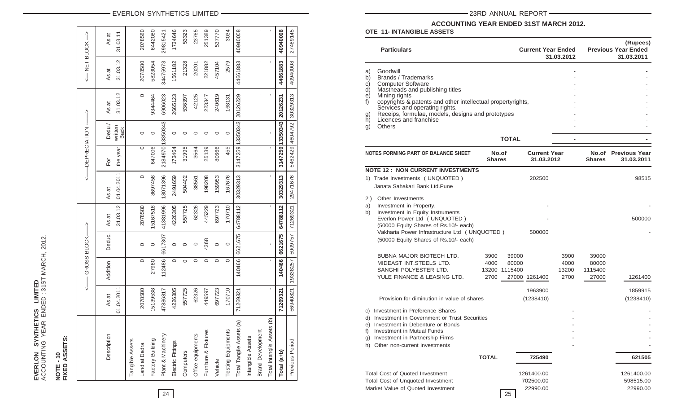# EVERLON SYNTHETICS LIMITED<br>ACCOUNTING YEAR ENDED: 31ST MARCH, 2012. ACCOUNTING YEAR ENDED : 31ST MARCH, 2012. **EVERLON SYNTHETICS LIMITED**

## **NOTE - 10<br>FIXED ASSETS: FIXED ASSETS: NOTE - 10**

|                                         | ļ<br>V     |          | GROSS BLOCK- | ↑        |            | -DEPRECIATION |                        | ↑                         | <-- NET BLOCK--> |          |
|-----------------------------------------|------------|----------|--------------|----------|------------|---------------|------------------------|---------------------------|------------------|----------|
| Description                             | As at      | Addition | Deduc.       | As at    | As at      | For           | Dedu./                 | As at                     | As at            | As at    |
|                                         | 01.04.2011 |          |              | 31.03.12 | 01.04.2011 | the year      | written<br><b>Back</b> | 31.03.12                  | 31.03.12         | 31.03.11 |
| Tangible Assets                         |            |          |              |          |            |               |                        |                           |                  |          |
| Land at Dadra                           | 2078580    | $\circ$  | 0            | 2078580  | $\circ$    | $\circ$       | $\circ$                | $\circ$                   | 2078580          | 2078580  |
| Factory Building                        | 5139538    | 27980    | $\circ$      | 5167518  | 8697458    | 647006        | $\circ$                | 9344464                   | 5823054          | 6442080  |
| Plant & Machinery                       | 47886817   | 112486   | 6617307      | 41381996 | 18071396   |               | 2184970 13350343       | 6906023                   | 34475973         | 29815421 |
| Electric Fittings                       | 4226305    | $\circ$  | 0            | 4226305  | 2491659    | 173464        | $\circ$                | 2665123                   | 1561182          | 1734646  |
| Computers                               | 557725     | $\circ$  | o            | 557725   | 504402     | 31995         | 0                      | 536397                    | 21328            | 53323    |
| Office equipments                       | 62326      | $\circ$  | 0            | 62326    | 38561      | 3564          | 0                      | 42125                     | 20201            | 23765    |
| Furniture & Fixtures                    | 449597     | $\circ$  | 4368         | 445229   | 198208     | 25139         | 0                      | 223347                    | 221882           | 251389   |
| Vehicle                                 | 697723     | $\circ$  | 0            | 697723   | 159953     | 80666         | 0                      | 240619                    | 457104           | 537770   |
| Testing Equipments                      | 170710     | $\circ$  | $\circ$      | 170710   | 167676     | 455           | $\circ$                | 168131                    | 2579             | 3034     |
| Total Tangile Assets (a)                | 71269321   | 140466   | 6621675      | 64788112 | 30329313   |               |                        | 3147259 13350343 20126229 | 44661883         | 40940008 |
| Intangible Assets                       |            |          |              |          |            |               |                        |                           |                  |          |
| <b>Brand Development</b>                | ı          | ı        |              | ı        | ï          | ı             |                        | ı                         | ı                | ı        |
| $\widehat{e}$<br>Total intangile Assets | ı          |          |              | I.       |            |               |                        |                           |                  |          |
| Total (a+b)                             | 71269321   | 140466   | 6621675      | 64788112 | 30329313   | 3147259       | 13350343               | 20126231                  | 44661883         | 40940008 |
| Previous Period                         | 56940821   | 19338257 | 5009757      | 71269321 | 29471676   |               | 5462429 4604792        | 30329313                  | 40940008         | 27469145 |

EVERLON SYNTHETICS LIMITED 23RD ANNUAL REPORT

### **ACCOUNTING YEAR ENDED 31ST MARCH 2012.**

**OTE 11- INTANGIBLE ASSETS**

| 29815           | 1734<br>S.                     | $\overline{23}$          | 251                        | 537     | <u>న</u>                   | 40940                                                          |                                                     |                                | 40940                   | 27469              |                            | <b>Particulars</b>                                                                                                                                                                                                                 |                        | <b>Current Year Ended</b>                        |                                   | 31.03.2012                    |                                    | (Rupees)<br><b>Previous Year Ended</b><br>31.03.2011 |
|-----------------|--------------------------------|--------------------------|----------------------------|---------|----------------------------|----------------------------------------------------------------|-----------------------------------------------------|--------------------------------|-------------------------|--------------------|----------------------------|------------------------------------------------------------------------------------------------------------------------------------------------------------------------------------------------------------------------------------|------------------------|--------------------------------------------------|-----------------------------------|-------------------------------|------------------------------------|------------------------------------------------------|
| 344/59/         | 1561182<br>21328               | 20201                    | 221882                     | 457104  | 2579                       | 44661883                                                       |                                                     |                                | 44661883                | 40940008           | a)<br>b)                   | Goodwill<br>Brands / Trademarks<br><b>Computer Software</b>                                                                                                                                                                        |                        |                                                  |                                   |                               |                                    |                                                      |
| <b>22000RC</b>  | 2665123<br>536397              | 42125                    | 223347                     | 240619  | 168131                     | 20126229                                                       |                                                     |                                | 20126231                | 30329313           | d)<br>e)<br>f)<br>g)<br>h) | Mastheads and publishing titles<br>Mining rights<br>copyrights & patents and other intellectual propertyrights,<br>Services and operating rights.<br>Receips, formulae, models, designs and prototypes<br>Licences and franchise   |                        |                                                  |                                   |                               |                                    |                                                      |
|                 | $\circ$<br>$\circ$             | $\circ$                  | $\circ$                    | $\circ$ | $\circ$                    | 3350343                                                        |                                                     |                                | 13350343                | 4604792            | g)                         | Others                                                                                                                                                                                                                             |                        | <b>TOTAL</b>                                     |                                   |                               |                                    |                                                      |
| 849/U           | 31995<br>173464                | 3564                     | 25139                      | 80666   | 455                        | 3147259                                                        |                                                     |                                | 3147259                 | 5462429            |                            | NOTES FORMING PART OF BALANCE SHEET                                                                                                                                                                                                | No.of<br><b>Shares</b> |                                                  | <b>Current Year</b><br>31.03.2012 |                               | <b>Shares</b>                      | No.of Previous Year<br>31.03.2011                    |
| 8071396         | 2491659<br>504402              | 38561                    | 198208                     | 159953  | 167676                     | 30329313                                                       |                                                     |                                | 30329313                | 29471676           | 2)                         | <b>NOTE 12: NON CURRENT INVESTMENTS</b><br>1) Trade Investments (UNQUOTED)<br>Janata Sahakari Bank Ltd.Pune<br>Other Investments                                                                                                   |                        | 202500                                           |                                   |                               |                                    | 98515                                                |
| 381996          | 4226305<br>557725              | 62326                    | 445229                     | 697723  | 170710                     | 64788112                                                       |                                                     |                                | 64788112                | 71269321           | a)<br>b)                   | Investment in Property.<br>Investment in Equity Instruments<br>Everlon Power Ltd ( UNQUOTED )<br>(50000 Equity Shares of Rs.10/- each)                                                                                             |                        |                                                  |                                   |                               |                                    | 500000                                               |
|                 | $\circ$<br>$\circ$             | $\circ$                  | 4368                       | $\circ$ | $\circ$                    | 6621675                                                        |                                                     |                                | 6621675                 | 5009757            |                            | Vakharia Power Infrastructure Ltd ( UNQUOTED )<br>(50000 Equity Shares of Rs.10/- each)                                                                                                                                            |                        | 500000                                           |                                   |                               |                                    |                                                      |
|                 | $\circ$<br>$\circ$             | $\circ$                  | $\circ$                    | $\circ$ | $\circ$                    | 140466                                                         |                                                     |                                | 140466                  | 19338257           |                            | BUBNA MAJOR BIOTECH LTD.<br>MIDEAST INT.STEELS LTD.<br>SANGHI POLYESTER LTD.<br>YULE FINANCE & LEASING LTD.                                                                                                                        | 3900<br>4000<br>2700   | 39000<br>80000<br>13200 1115400<br>27000 1261400 |                                   | 3900<br>4000<br>13200<br>2700 | 39000<br>80000<br>1115400<br>27000 | 1261400                                              |
| 11800811        | 4226305<br>557725              | 62326                    | 449597                     | 697723  | 170710                     | 71269321                                                       |                                                     |                                | 71269321                | 56940821           |                            | Provision for diminution in value of shares<br>c) Investment in Preference Shares                                                                                                                                                  |                        | 1963900<br>(1238410)                             |                                   |                               |                                    | 1859915<br>(1238410)                                 |
| -lant & Machine | Electric Fittings<br>Computers | 57<br>equipmer<br>Office | Fixtures<br>య<br>Furniture | Vehicle | ents<br>Equipme<br>Testing | $\widehat{\mathbf{e}}$<br>Tangile Assets<br>Total <sup>-</sup> | Development<br>Assets<br>Intangible<br><b>Brand</b> | ê<br>Assets<br>Total intangile | $(a+b)$<br><b>Total</b> | Period<br>Previous | e)<br>f)<br>g)             | d) Investment in Government or Trust Securities<br>Investment in Debenture or Bonds<br>Investment in Mutual Funds<br>Investment in Partnership Firms<br>h) Other non-current investments<br><b>Total Cost of Quoted Investment</b> | <b>TOTAL</b>           | 725490<br>1261400.00                             |                                   |                               |                                    | 621505<br>1261400.00                                 |
| 24              |                                |                          |                            |         |                            |                                                                |                                                     |                                |                         |                    |                            | Total Cost of Unquoted Investment<br>Market Value of Quoted Investment                                                                                                                                                             |                        | 702500.00<br>22990.00<br>25                      |                                   |                               |                                    | 598515.00<br>22990.00                                |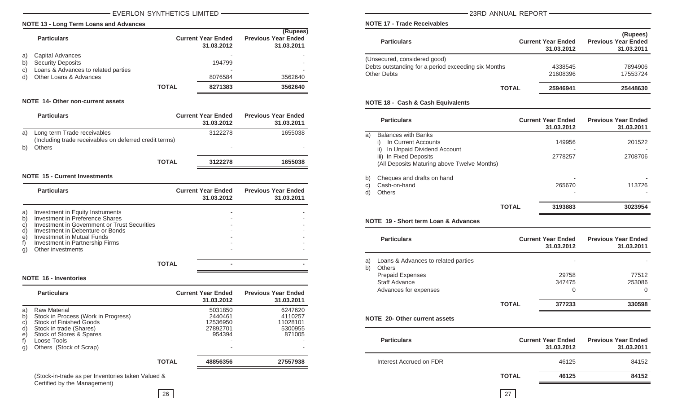#### EVERLON SYNTHETICS LIMITED 23RD ANNUAL REPORT

#### **NOTE 13 - Long Term Loans and Advances**

|    | <b>Particulars</b>                  |              | <b>Current Year Ended</b><br>31.03.2012 | (Rupees)<br><b>Previous Year Ended</b><br>31.03.2011 |
|----|-------------------------------------|--------------|-----------------------------------------|------------------------------------------------------|
| a) | Capital Advances                    |              |                                         |                                                      |
| b) | <b>Security Deposits</b>            |              | 194799                                  |                                                      |
| C) | Loans & Advances to related parties |              | -                                       |                                                      |
| d) | Other Loans & Advances              |              | 8076584                                 | 3562640                                              |
|    |                                     | <b>TOTAL</b> | 8271383                                 | 3562640                                              |

#### **NOTE 14- Other non-current assets**

|    | <b>Particulars</b>                                                                    | <b>Current Year Ended</b><br>31.03.2012 | <b>Previous Year Ended</b><br>31.03.2011 |
|----|---------------------------------------------------------------------------------------|-----------------------------------------|------------------------------------------|
| a) | Long term Trade receivables<br>(Including trade receivables on deferred credit terms) | 3122278                                 | 1655038                                  |
|    | <b>Others</b>                                                                         | $\overline{\phantom{a}}$                |                                          |
|    | <b>TOTAL</b>                                                                          | 3122278                                 | 1655038                                  |

#### **NOTE 15 - Current Investments**

|                                      | <b>Particulars</b>                                                                                                                                                                                                                            | <b>Current Year Ended</b><br>31.03.2012 | <b>Previous Year Ended</b><br>31.03.2011 |
|--------------------------------------|-----------------------------------------------------------------------------------------------------------------------------------------------------------------------------------------------------------------------------------------------|-----------------------------------------|------------------------------------------|
| a)<br>$\mathsf{b}$<br>C)<br>d)<br>e) | Investment in Equity Instruments<br>Investment in Preference Shares<br>Investment in Government or Trust Securities<br>Investment in Debenture or Bonds<br>Investmnet in Mutual Funds<br>Investment in Partnership Firms<br>Other investments |                                         |                                          |
|                                      |                                                                                                                                                                                                                                               |                                         |                                          |

<u> Andreas Andreas Andreas Andreas Andreas Andreas Andreas Andreas Andreas Andreas Andreas Andreas Andreas Andreas</u>

#### **NOTE 16 - Inventories**

|                                                  | <b>Particulars</b>                                                                                                                                                                     |              | <b>Current Year Ended</b><br>31.03.2012              | <b>Previous Year Ended</b><br>31.03.2011            |
|--------------------------------------------------|----------------------------------------------------------------------------------------------------------------------------------------------------------------------------------------|--------------|------------------------------------------------------|-----------------------------------------------------|
| a)<br>$\mathsf{b}$<br>C)<br>d)<br>e)<br>f)<br>g) | <b>Raw Material</b><br>Stock in Process (Work in Progress)<br>Stock of Finished Goods<br>Stock in trade (Shares)<br>Stock of Stores & Spares<br>Loose Tools<br>Others (Stock of Scrap) |              | 5031850<br>2440461<br>12536950<br>27892701<br>954394 | 6247620<br>4110257<br>11028101<br>5300955<br>871005 |
|                                                  |                                                                                                                                                                                        | <b>TOTAL</b> | 48856356                                             | 27557938                                            |

(Stock-in-trade as per Inventories taken Valued & Certified by the Management)

**NOTE 17 - Trade Receivables**

| <b>Particulars</b>                                  | <b>Current Year Ended</b><br>31.03.2012 | (Rupees)<br><b>Previous Year Ended</b><br>31.03.2011 |
|-----------------------------------------------------|-----------------------------------------|------------------------------------------------------|
| (Unsecured, considered good)                        |                                         |                                                      |
| Debts outstanding for a period exceeding six Months | 4338545                                 | 7894906                                              |
| <b>Other Debts</b>                                  | 21608396                                | 17553724                                             |
| <b>TOTAL</b>                                        | 25946941                                | 25448630                                             |
|                                                     |                                         |                                                      |

#### **NOTE 18 - Cash & Cash Equivalents**

| <b>Particulars</b>                                                                                               | <b>Current Year Ended</b><br>31.03.2012 | <b>Previous Year Ended</b><br>31.03.2011 |
|------------------------------------------------------------------------------------------------------------------|-----------------------------------------|------------------------------------------|
| <b>Balances with Banks</b><br>a)<br>In Current Accounts<br>$_{1}$<br>In Unpaid Dividend Account<br>$\vert \vert$ | 149956                                  | 201522                                   |
| iii)<br>In Fixed Deposits<br>(All Deposits Maturing above Twelve Months)                                         | 2778257                                 | 2708706                                  |
| b)<br>Cheques and drafts on hand<br>Cash-on-hand<br>C)<br><b>Others</b><br>d)                                    | 265670                                  | 113726                                   |
|                                                                                                                  | 3193883<br><b>TOTAL</b>                 | 3023954                                  |

#### **NOTE 19 - Short term Loan & Advances**

|          | <b>Particulars</b>                                   |              | <b>Current Year Ended</b><br>31.03.2012 | <b>Previous Year Ended</b><br>31.03.2011 |
|----------|------------------------------------------------------|--------------|-----------------------------------------|------------------------------------------|
| a)<br>b) | Loans & Advances to related parties<br><b>Others</b> |              |                                         |                                          |
|          | <b>Prepaid Expenses</b>                              |              | 29758                                   | 77512                                    |
|          | Staff Advance                                        |              | 347475                                  | 253086                                   |
|          | Advances for expenses                                |              | 0                                       | 0                                        |
|          |                                                      | <b>TOTAL</b> | 377233                                  | 330598                                   |
|          | <b>NOTE 20- Other current assets</b>                 |              |                                         |                                          |

| <b>Particulars</b>      |              | <b>Current Year Ended</b><br>31.03.2012 | <b>Previous Year Ended</b><br>31.03.2011 |
|-------------------------|--------------|-----------------------------------------|------------------------------------------|
| Interest Accrued on FDR |              | 46125                                   | 84152                                    |
|                         | <b>TOTAL</b> | 46125                                   | 84152                                    |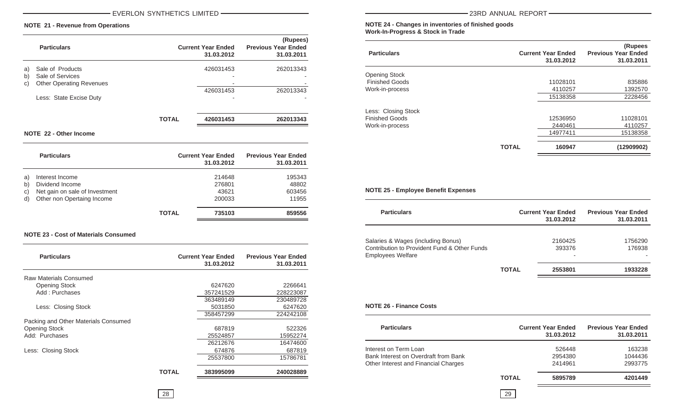#### EVERLON SYNTHETICS LIMITED 23RD ANNUAL REPORT

#### **NOTE 21 - Revenue from Operations**

|          | <b>Particulars</b>                   |              | <b>Current Year Ended</b><br>31.03.2012 | (Rupees)<br><b>Previous Year Ended</b><br>31.03.2011 |
|----------|--------------------------------------|--------------|-----------------------------------------|------------------------------------------------------|
| a)<br>b) | Sale of Products<br>Sale of Services |              | 426031453<br>-                          | 262013343                                            |
| C)       | <b>Other Operating Revenues</b>      |              | -                                       |                                                      |
|          | Less: State Excise Duty              |              | 426031453<br>۰                          | 262013343                                            |
|          |                                      | <b>TOTAL</b> | 426031453                               | 262013343                                            |

#### **NOTE 22 - Other Income**

|                      | <b>Particulars</b>                                                                                 |              | <b>Current Year Ended</b><br>31.03.2012 | <b>Previous Year Ended</b><br>31.03.2011 |
|----------------------|----------------------------------------------------------------------------------------------------|--------------|-----------------------------------------|------------------------------------------|
| a)<br>b)<br>C)<br>d) | Interest Income<br>Dividend Income<br>Net gain on sale of Investment<br>Other non Opertaing Income |              | 214648<br>276801<br>43621<br>200033     | 195343<br>48802<br>603456<br>11955       |
|                      |                                                                                                    | <b>TOTAL</b> | 735103                                  | 859556                                   |

#### **NOTE 23 - Cost of Materials Consumed**

| <b>Particulars</b>                   |       | <b>Current Year Ended</b><br>31.03.2012 | <b>Previous Year Ended</b><br>31.03.2011 |
|--------------------------------------|-------|-----------------------------------------|------------------------------------------|
| Raw Materials Consumed               |       |                                         |                                          |
| <b>Opening Stock</b>                 |       | 6247620                                 | 2266641                                  |
| Add: Purchases                       |       | 357241529                               | 228223087                                |
|                                      |       | 363489149                               | 230489728                                |
| Less: Closing Stock                  |       | 5031850                                 | 6247620                                  |
|                                      |       | 358457299                               | 224242108                                |
| Packing and Other Materials Consumed |       |                                         |                                          |
| <b>Opening Stock</b>                 |       | 687819                                  | 522326                                   |
| Add: Purchases                       |       | 25524857                                | 15952274                                 |
|                                      |       | 26212676                                | 16474600                                 |
| Less: Closing Stock                  |       | 674876                                  | 687819                                   |
|                                      |       | 25537800                                | 15786781                                 |
|                                      | TOTAL | 383995099                               | 240028889                                |

**NOTE 24 - Changes in inventories of finished goods Work-In-Progress & Stock in Trade**

| <b>Particulars</b>    |              | <b>Current Year Ended</b><br>31.03.2012 | (Rupees<br><b>Previous Year Ended</b><br>31.03.2011 |
|-----------------------|--------------|-----------------------------------------|-----------------------------------------------------|
| <b>Opening Stock</b>  |              |                                         |                                                     |
| <b>Finished Goods</b> |              | 11028101                                | 835886                                              |
| Work-in-process       |              | 4110257                                 | 1392570                                             |
|                       |              | 15138358                                | 2228456                                             |
| Less: Closing Stock   |              |                                         |                                                     |
| <b>Finished Goods</b> |              | 12536950                                | 11028101                                            |
| Work-in-process       |              | 2440461                                 | 4110257                                             |
|                       |              | 14977411                                | 15138358                                            |
|                       | <b>TOTAL</b> | 160947                                  | (12909902)                                          |

#### **NOTE 25 - Employee Benefit Expenses**

| <b>Particulars</b>                                                                                             |              | <b>Current Year Ended</b><br>31.03.2012 | <b>Previous Year Ended</b><br>31.03.2011 |
|----------------------------------------------------------------------------------------------------------------|--------------|-----------------------------------------|------------------------------------------|
| Salaries & Wages (including Bonus)<br>Contribution to Provident Fund & Other Funds<br><b>Employees Welfare</b> |              | 2160425<br>393376                       | 1756290<br>176938                        |
|                                                                                                                | <b>TOTAL</b> | 2553801                                 | 1933228                                  |

#### **NOTE 26 - Finance Costs**

| <b>Particulars</b>                   |              | <b>Current Year Ended</b><br>31.03.2012 | <b>Previous Year Ended</b><br>31.03.2011 |
|--------------------------------------|--------------|-----------------------------------------|------------------------------------------|
| Interest on Term Loan                |              | 526448                                  | 163238                                   |
| Bank Interest on Overdraft from Bank |              | 2954380                                 | 1044436                                  |
| Other Interest and Financial Charges |              | 2414961                                 | 2993775                                  |
|                                      | <b>TOTAL</b> | 5895789                                 | 4201449                                  |
|                                      |              |                                         |                                          |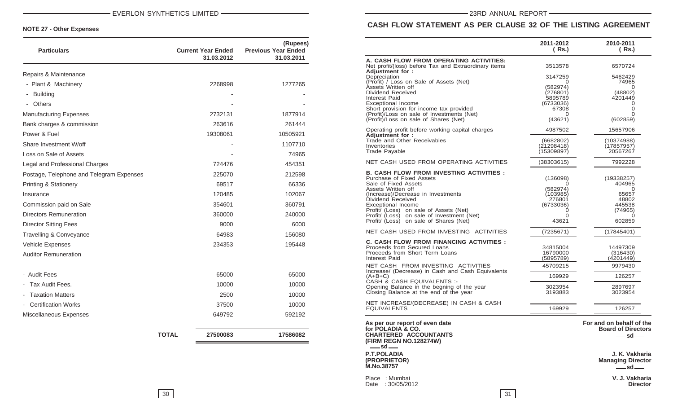| <b>Particulars</b>                          |              | <b>Current Year Ended</b><br>31.03.2012 | (Rupees)<br><b>Previous Year Ended</b><br>31.03.2011 |
|---------------------------------------------|--------------|-----------------------------------------|------------------------------------------------------|
| Repairs & Maintenance                       |              |                                         |                                                      |
| - Plant & Machinery                         |              | 2268998                                 | 1277265                                              |
| <b>Building</b><br>$\overline{\phantom{a}}$ |              |                                         |                                                      |
| Others                                      |              |                                         |                                                      |
| <b>Manufacturing Expenses</b>               |              | 2732131                                 | 1877914                                              |
| Bank charges & commission                   |              | 263616                                  | 261444                                               |
| Power & Fuel                                |              | 19308061                                | 10505921                                             |
| Share Investment W/off                      |              |                                         | 1107710                                              |
| Loss on Sale of Assets                      |              |                                         | 74965                                                |
| Legal and Professional Charges              |              | 724476                                  | 454351                                               |
| Postage, Telephone and Telegram Expenses    |              | 225070                                  | 212598                                               |
| Printing & Stationery                       |              | 69517                                   | 66336                                                |
| Insurance                                   |              | 120485                                  | 102067                                               |
| Commission paid on Sale                     |              | 354601                                  | 360791                                               |
| <b>Directors Remuneration</b>               |              | 360000                                  | 240000                                               |
| <b>Director Sitting Fees</b>                |              | 9000                                    | 6000                                                 |
| Travelling & Conveyance                     |              | 64983                                   | 156080                                               |
| Vehicle Expenses                            |              | 234353                                  | 195448                                               |
| <b>Auditor Remuneration</b>                 |              |                                         |                                                      |
| - Audit Fees                                |              | 65000                                   | 65000                                                |
| Tax Audit Fees.                             |              | 10000                                   | 10000                                                |
| <b>Taxation Matters</b>                     |              | 2500                                    | 10000                                                |
| <b>Certification Works</b>                  |              | 37500                                   | 10000                                                |
| Miscellaneous Expenses                      |              | 649792                                  | 592192                                               |
|                                             | <b>TOTAL</b> | 27500083                                | 17586082                                             |

### **CASH FLOW STATEMENT AS PER CLAUSE 32 OF THE LISTING AGREEMENT**

|                                                                                                                                                                                                                                                                                                                                                     | 2011-2012<br>( Rs.)                                                                             | 2010-2011<br>( Rs.)                                                             |
|-----------------------------------------------------------------------------------------------------------------------------------------------------------------------------------------------------------------------------------------------------------------------------------------------------------------------------------------------------|-------------------------------------------------------------------------------------------------|---------------------------------------------------------------------------------|
| A. CASH FLOW FROM OPERATING ACTIVITIES:<br>Net profit/(loss) before Tax and Extraordinary items<br>Adjustment for:                                                                                                                                                                                                                                  | 3513578                                                                                         | 6570724                                                                         |
| Depreciation<br>(Profit) / Loss on Sale of Assets (Net)<br>Assets Written off<br>Dividend Received<br>Interest Paid<br>Exceptional Income<br>Short provision for income tax provided<br>(Profit)/Loss on sale of Investments (Net)<br>(Profit)/Loss on sale of Shares (Net)                                                                         | 3147259<br>O<br>(582974)<br>(276801)<br>5895789<br>(6733036)<br>67308<br>0<br>(43621)           | 5462429<br>74965<br>0<br>(48802)<br>4201449<br>0<br>0<br>0<br>(602859)          |
| Operating profit before working capital charges<br>Adjustment for:                                                                                                                                                                                                                                                                                  | 4987502                                                                                         | 15657906                                                                        |
| Trade and Other Receivables<br>Inventories<br>Trade Payable                                                                                                                                                                                                                                                                                         | (6682802)<br>(21298418)<br>(15309897)                                                           | (10374988)<br>(17857957)<br>20567267                                            |
| NET CASH USED FROM OPERATING ACTIVITIES                                                                                                                                                                                                                                                                                                             | (38303615)                                                                                      | 7992228                                                                         |
| <b>B. CASH FLOW FROM INVESTING ACTIVITIES :</b><br>Purchase of Fixed Assets<br>Sale of Fixed Assets<br>Assets Written off<br>(Increase)/Decrease in Investments<br>Dividend Received<br><b>Exceptional Income</b><br>Profit/ (Loss) on sale of Assets (Net)<br>Profit/ (Loss) on sale of Investment (Net)<br>Profit/ (Loss) on sale of Shares (Net) | (136098)<br>$\mathbf{\Omega}$<br>(582974)<br>(103985)<br>276801<br>(6733036)<br>0<br>0<br>43621 | (19338257)<br>404965<br>0<br>65657<br>48802<br>445538<br>(74965)<br>0<br>602859 |
| NET CASH USED FROM INVESTING ACTIVITIES                                                                                                                                                                                                                                                                                                             | (7235671)                                                                                       | (17845401)                                                                      |
| <b>C. CASH FLOW FROM FINANCING ACTIVITIES :</b><br>Proceeds from Secured Loans<br>Proceeds from Short Term Loans<br>Interest Paid<br>NET CASH FROM INVESTING ACTIVITIES                                                                                                                                                                             | 34815004<br>16790000<br>(5895789)<br>45709215                                                   | 14497309<br>(316430)<br>(4201449)<br>9979430                                    |
| Increase/ (Decrease) in Cash and Cash Equivalents<br>$(A+B+C)$                                                                                                                                                                                                                                                                                      | 169929                                                                                          | 126257                                                                          |
| CASH & CASH EQUIVALENTS :-<br>Opening Balance in the begning of the year<br>Closing Balance at the end of the year                                                                                                                                                                                                                                  | 3023954<br>3193883                                                                              | 2897697<br>3023954                                                              |
| NET INCREASE/(DECREASE) IN CASH & CASH<br>EQUIVALENTS                                                                                                                                                                                                                                                                                               | 169929                                                                                          | 126257                                                                          |
| As per our report of even date<br>for POLADIA & CO.<br><b>CHARTERED ACCOUNTANTS</b><br>(FIRM REGN NO.128274W)<br>$-$ sd $-$                                                                                                                                                                                                                         |                                                                                                 | For and on behalf of the<br><b>Board of Directors</b><br>$-sd$                  |
| <b>P.T.POLADIA</b><br>(PROPRIETOR)<br><b>M.No.38757</b>                                                                                                                                                                                                                                                                                             |                                                                                                 | J. K. Vakharia<br><b>Managing Director</b><br>$-$ sd $-$                        |
| Place : Mumbai<br>Date: 30/05/2012                                                                                                                                                                                                                                                                                                                  |                                                                                                 | V. J. Vakharia<br><b>Director</b>                                               |

<u> 1989 - Johann Stoff, deutscher Stoffen und der Stoffen und der Stoffen und der Stoffen und der Stoffen und der</u>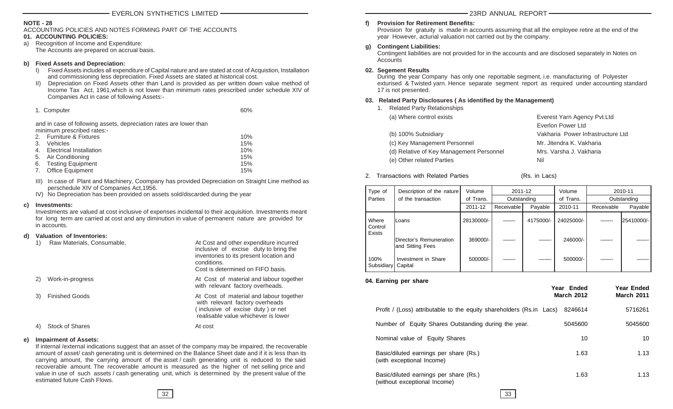#### **NOTE - 28**

ACCOUNTING POLICIES AND NOTES FORMING PART OF THE ACCOUNTS

#### **01. ACCOUNTING POLICIES:**

a) Recognition of Income and Expenditure: The Accounts are prepared on accrual basis.

#### **b) Fixed Assets and Depreciation:**

- I) Fixed Assets includes all expenditure of Capital nature and are stated at cost of Acquistion, Installation and commissioning less depreciation. Fixed Assets are stated at historical cost.
- II) Depreciation on Fixed Assets other than Land is provided as per written down value method of Income Tax Act, 1961,which is not lower than minimum rates prescribed under schedule XIV of Companies Act in case of following Assets:-

| 1. Computer | 60% |
|-------------|-----|
|             |     |

and in case of following assets, depreciation rates are lower than minimum prescribed rates:-

|    | 2. Furniture & Fixtures        | 10% |
|----|--------------------------------|-----|
| 3. | <b>Vehicles</b>                | 15% |
| 4. | <b>Electrical Installation</b> | 10% |
|    | 5. Air Conditioning            | 15% |
|    | 6. Testing Equipment           | 15% |
| 7. | Office Equipment               | 15% |

III) In case of Plant and Machinery, Coompany has provided Depreciation on Straight Line method as perschedule XIV of Companies Act,1956.

IV) No Depreciation has been provided on assets sold/discarded during the year

#### **c) Investments:**

Investments are valued at cost inclusive of expenses incidental to their acquisition. Investments meant for long term are carried at cost and any diminution in value of permanent nature are provided for in accounts.

#### **d) Valuation of Inventories:**

|    | Raw Materials, Consumable, | At Cost and other expenditure incurred<br>inclusive of excise duty to bring the<br>inventories to its present location and<br>conditions.<br>Cost is determined on FIFO basis. |
|----|----------------------------|--------------------------------------------------------------------------------------------------------------------------------------------------------------------------------|
|    | Work-in-progress           | At Cost of material and labour together<br>with relevant factory overheads.                                                                                                    |
| 3) | <b>Finished Goods</b>      | At Cost of material and labour together<br>with relevant factory overheads<br>(inclusive of excise duty) or net<br>realisable value whichever is lower                         |
| 4) | <b>Stock of Shares</b>     | At cost                                                                                                                                                                        |

#### **e) Impairment of Assets:**

If internal /external indications suggest that an asset of the company may be impaired, the recoverable amount of asset/ cash generating unit is determined on the Balance Sheet date and if it is less than its carrying amount, the carrying amount of the asset / cash generating unit is reduced to the said recoverable amount. The recoverable amount is measured as the higher of net selling price and value in use of such assets / cash generating unit, which is determined by the present value of the estimated future Cash Flows.

#### **f) Provision for Retirement Benefits:**

Provision for gratuity is made in accounts assuming that all the employee retire at the end of the year However, acturial valuation not carried out by the company.

#### **g) Contingent Liabilities:**

Contingent liabilities are not provided for in the accounts and are disclosed separately in Notes on Accounts

#### **02. Segement Results**

During the year Company has only one reportable segment, i.e. manufacturing of Polyester exturised & Twisted yarn. Hence separate segment report as required under accounting standard 17 is not presented.

#### **03. Related Party Disclosures ( As identified by the Management)**

1. Related Party Relationships

| (a) Where control exists                 | Everest Yarn Agency Pvt. Ltd      |
|------------------------------------------|-----------------------------------|
|                                          | Everlon Power Ltd                 |
| (b) 100% Subsidiary                      | Vakharia Power Infrastructure Ltd |
| (c) Key Management Personnel             | Mr. Jitendra K. Vakharia          |
| (d) Relative of Key Management Personnel | Mrs. Varsha J. Vakharia           |
| (e) Other related Parties                | Nil                               |
|                                          |                                   |

- 2. Transactions with Related Parties (Rs. in Lacs)
- Type of Description of the nature Volume 2011-12 Volume 2010-11 Parties of the transaction b of Trans. Outstanding of Trans. Outstanding 2011-12 Receivable Payable 2010-11 Receivable Payable r Where |Loans | 28130000/- | | 4175000/- | 24025000/- | |25410000/-**Control Exists** |Director's Remuneration | 369000/- | ——- | ——- | 246000/ and Sitting Fees I 100% | Investment in Share | 500000/- | ——- | ——- | 500000/-Subsidiary Capital

#### **04. Earning per share**

|                                                                        | Year Ended<br><b>March 2012</b> | Year Ended<br><b>March 2011</b> |
|------------------------------------------------------------------------|---------------------------------|---------------------------------|
| Profit / (Loss) attributable to the equity shareholders (Rs.in Lacs)   | 8246614                         | 5716261                         |
| Number of Equity Shares Outstanding during the year.                   | 5045600                         | 5045600                         |
| Nominal value of Equity Shares                                         | 10                              | 10                              |
| Basic/diluted earnings per share (Rs.)<br>(with exceptional Income)    | 1.63                            | 1.13                            |
| Basic/diluted earnings per share (Rs.)<br>(without exceptional Income) | 1.63                            | 1.13                            |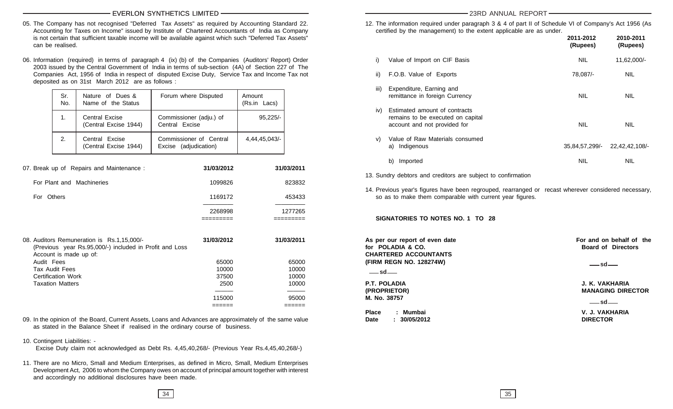#### EVERLON SYNTHETICS LIMITED **23RD ANNUAL REPORT**

- 05. The Company has not recognised "Deferred Tax Assets" as required by Accounting Standard 22. Accounting for Taxes on Income" issued by Institute of Chartered Accountants of India as Company is not certain that sufficient taxable income will be available against which such "Deferred Tax Assets" can be realised.
- 06. Information (required) in terms of paragraph 4 (ix) (b) of the Companies (Auditors' Report) Order 2003 issued by the Central Government of India in terms of sub-section (4A) of Section 227 of The Companies Act, 1956 of India in respect of disputed Excise Duty, Service Tax and Income Tax not deposited as on 31st March 2012 are as follows :

| Sr.<br>No. | Nature of Dues &<br>Name of the Status  | Forum where Disputed                             | Amount<br>(Rs.in Lacs) |
|------------|-----------------------------------------|--------------------------------------------------|------------------------|
| 1.         | Central Excise<br>(Central Excise 1944) | Commissioner (adju.) of<br>Central Excise        | $95,225/-$             |
| 2.         | Central Excise<br>(Central Excise 1944) | Commissioner of Central<br>Excise (adjudication) | 4,44,45,043/-          |

| 07. Break up of Repairs and Maintenance:                                                                                        | 31/03/2012 | 31/03/2011 |
|---------------------------------------------------------------------------------------------------------------------------------|------------|------------|
| For Plant and Machineries                                                                                                       | 1099826    | 823832     |
| For Others                                                                                                                      | 1169172    | 453433     |
|                                                                                                                                 | 2268998    | 1277265    |
|                                                                                                                                 |            |            |
| 08. Auditors Remuneration is Rs.1,15,000/-<br>(Previous year Rs.95,000/-) included in Profit and Loss<br>Account is made up of: | 31/03/2012 | 31/03/2011 |
| Audit Fees                                                                                                                      | 65000      | 65000      |
|                                                                                                                                 |            |            |
| Tax Audit Fees                                                                                                                  | 10000      | 10000      |
| Certification Work                                                                                                              | 37500      | 10000      |
| <b>Taxation Matters</b>                                                                                                         | 2500       | 10000      |
|                                                                                                                                 |            |            |
|                                                                                                                                 | 115000     | 95000      |

09. In the opinion of the Board, Current Assets, Loans and Advances are approximately of the same value as stated in the Balance Sheet if realised in the ordinary course of business.

#### 10. Contingent Liabilities: -

Excise Duty claim not acknowledged as Debt Rs. 4,45,40,268/- (Previous Year Rs.4,45,40,268/-)

11. There are no Micro, Small and Medium Enterprises, as defined in Micro, Small, Medium Enterprises Development Act, 2006 to whom the Company owes on account of principal amount together with interest and accordingly no additional disclosures have been made.

12. The information required under paragraph 3 & 4 of part II of Schedule VI of Company's Act 1956 (As certified by the management) to the extent applicable are as under.

|      |                                                                                                    | 2011-2012<br>(Rupees) | 2010-2011<br>(Rupees) |
|------|----------------------------------------------------------------------------------------------------|-----------------------|-----------------------|
| i)   | Value of Import on CIF Basis                                                                       | <b>NIL</b>            | 11,62,000/-           |
| ii)  | F.O.B. Value of Exports                                                                            | 78,087/-              | <b>NIL</b>            |
| iii) | Expenditure, Earning and<br>remittance in foreign Currency                                         | <b>NIL</b>            | <b>NIL</b>            |
| iv)  | Estimated amount of contracts<br>remains to be executed on capital<br>account and not provided for | <b>NIL</b>            | <b>NIL</b>            |
| V)   | Value of Raw Materials consumed<br>a) Indigenous                                                   | 35,84,57,299/-        | 22,42,42,108/-        |
|      | Imported<br>b)                                                                                     | <b>NIL</b>            | <b>NIL</b>            |

13. Sundry debtors and creditors are subject to confirmation

14. Previous year's figures have been regrouped, rearranged or recast wherever considered necessary, so as to make them comparable with current year figures.

**SIGNATORIES TO NOTES NO. 1 TO 28**

As per our report of even date **For and on behalf of the for POLADIA & CO. Board of Directors CHARTERED ACCOUNTANTS (FIRM REGN NO. 128274W)**

**sd**

**M. No. 38757**

**Place : Mumbai V. J. VAKHARIA Date : 30/05/2012 DIRECTOR**

<u>asset and</u>

**P.T. POLADIA J. K. VAKHARIA (PROPRIETOR) MANAGING DIRECTOR**

**sd**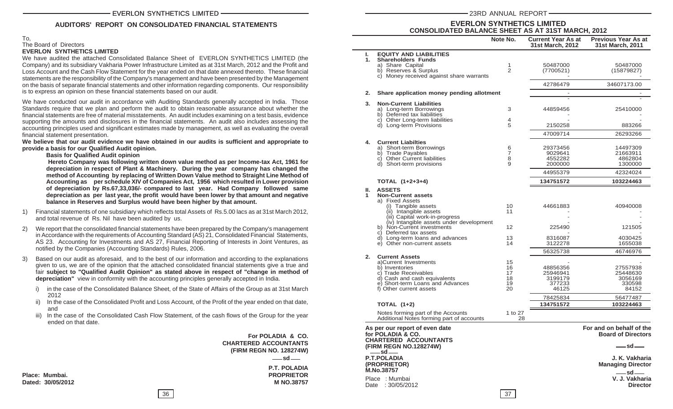#### **AUDITORS' REPORT ON CONSOLIDATED FINANCIAL STATEMENTS**

#### To, The Board of Directors **EVERLON SYNTHETICS LIMITED**

We have audited the attached Consolidated Balance Sheet of EVERLON SYNTHETICS LIMITED (the Company) and its subsidiary Vakharia Power Infrastructure Limited as at 31st March, 2012 and the Profit and Loss Account and the Cash Flow Statement for the year ended on that date annexed thereto. These financial statements are the responsibility of the Company's management and have been presented by the Management on the basis of separate financial statements and other information regarding components. Our responsibility is to express an opinion on these financial statements based on our audit.

We have conducted our audit in accordance with Auditing Standards generally accepted in India. Those Standards require that we plan and perform the audit to obtain reasonable assurance about whether the financial statements are free of material misstatements. An audit includes examining on a test basis, evidence supporting the amounts and disclosures in the financial statements. An audit also includes assessing the accounting principles used and significant estimates made by management, as well as evaluating the overall financial statement presentation.

**We believe that our audit evidence we have obtained in our audits is sufficient and appropriate to provide a basis for our Qualified Audit opinion.**

**Basis for Qualified Audit opinion**

 **Hereto Company was following written down value method as per Income-tax Act, 1961 for depreciation in respect of Plant & Machinery. During the year company has changed the method of Accounting by replacing of Written Down Value method to Straight Line Method of Accounting as per schedule XIV of Companies Act, 1956 which resulted in Lower provision of depreciation by Rs.67,33,036/- compared to last year. Had Company followed same depreciation as per last year, the profit would have been lower by that amount and negative balance in Reserves and Surplus would have been higher by that amount.**

- 1) Financial statements of one subsidiary which reflects total Assets of Rs.5.00 lacs as at 31st March 2012, and total revenue of Rs. Nil have been audited by us.
- 2) We report that the consolidated financial statements have been prepared by the Company's management in Accordance with the requirements of Accounting Standard (AS) 21, Consolidated Financial Statements, AS 23. Accounting for Investments and AS 27, Financial Reporting of Interests in Joint Ventures, as notified by the Companies (Accounting Standards) Rules, 2006.
- Based on our audit as aforesaid, and to the best of our information and according to the explanations given to us, we are of the opinion that the attached consolidated financial statements give a true and fair **subject to "Qualified Audit Opinion" as stated above in respect of "change in method of depreciation"** view in conformity with the accounting principles generally accepted in India.
	- i) in the case of the Consolidated Balance Sheet, of the State of Affairs of the Group as at 31st March 2012
	- ii) In the case of the Consolidated Profit and Loss Account, of the Profit of the year ended on that date, and
	- iii) In the case of the Consolidated Cash Flow Statement, of the cash flows of the Group for the year ended on that date.

**For POLADIA & CO. CHARTERED ACCOUNTANTS (FIRM REGN NO. 128274W) P.T. POLADIA Place: Mumbai. PROPRIETOR Dated: 30/05/2012 M NO.38757 sd**

**M.No.38757**

**sd**

|                      |                                                                                                                                                                                                                                                                                                                        | Note No.                         | <b>Current Year As at</b><br>31st March, 2012                  | <b>Previous Year As at</b><br><b>31st March, 2011</b>          |
|----------------------|------------------------------------------------------------------------------------------------------------------------------------------------------------------------------------------------------------------------------------------------------------------------------------------------------------------------|----------------------------------|----------------------------------------------------------------|----------------------------------------------------------------|
| L.<br>$\mathbf{1}$ . | <b>EQUITY AND LIABILITIES</b><br><b>Shareholders Funds</b><br>a) Share Capital<br>b) Reserves & Surplus<br>c) Money received against share warrants                                                                                                                                                                    | 1<br>2                           | 50487000<br>(7700521)                                          | 50487000<br>(15879827)                                         |
|                      |                                                                                                                                                                                                                                                                                                                        |                                  | 42786479                                                       | 34607173.00                                                    |
| 2.                   | Share application money pending allotment                                                                                                                                                                                                                                                                              |                                  |                                                                |                                                                |
| 3.                   | <b>Non-Current Liabilities</b><br>a) Long-term Borrowings<br>b) Deferred tax liabilities<br>c) Other Long-term liabilities<br>d) Long-term Provisions                                                                                                                                                                  | 3<br>4<br>5                      | 44859456<br>2150258<br>47009714                                | 25410000<br>883266<br>26293266                                 |
| 4.                   | <b>Current Liabilties</b><br>a) Short-term Borrowings<br>b) Trade Payables<br>c) Other Current liabilities<br>d) Short-term provisions                                                                                                                                                                                 | 6<br>$\overline{7}$<br>8<br>9    | 29373456<br>9029641<br>4552282<br>2000000<br>44955379          | 14497309<br>21663911<br>4862804<br>1300000<br>42324024         |
|                      | TOTAL (1+2+3+4)                                                                                                                                                                                                                                                                                                        |                                  | 134751572                                                      | 103224463                                                      |
| н.<br>1              | <b>ASSETS</b><br><b>Non-Current assets</b><br>a) Fixed Assets<br>(i) Tangible assets<br>(ii) Intangible assets<br>(iii) Capital work-in-progress<br>(iv) Intangible assets under development<br>b) Non-Current investments<br>c) Deferred tax assets<br>d) Long-term loans and advances<br>e) Other non-current assets | 10<br>11<br>12<br>13<br>14       | 44661883<br>225490<br>8316087<br>3122278<br>56325738           | 40940008<br>121505<br>4030425<br>1655038<br>46746976           |
| $2-$                 | <b>Current Assets</b><br>a)Current Investments<br>b) Inventories<br>c) Trade Receivables<br>d) Cash and cash equivalents<br>e) Short-term Loans and Advances<br>f) Other current assets                                                                                                                                | 15<br>16<br>17<br>18<br>19<br>20 | 48856356<br>25946941<br>3199179<br>377233<br>46125<br>78425834 | 27557938<br>25448630<br>3056169<br>330598<br>84152<br>56477487 |
|                      | <b>TOTAL (1+2)</b>                                                                                                                                                                                                                                                                                                     |                                  | 134751572                                                      | 103224463                                                      |
|                      | Notes forming part of the Accounts<br>Additional Notes forming part of accounts                                                                                                                                                                                                                                        | 1 to 27<br>28                    |                                                                |                                                                |
|                      | As per our report of even date<br>for POLADIA & CO.<br><b>CHARTERED ACCOUNTANTS</b><br>(FIRM REGN NO.128274W)                                                                                                                                                                                                          |                                  |                                                                | For and on behalf of the<br><b>Board of Directors</b><br>sd-   |

**EVERLON SYNTHETICS LIMITED CONSOLIDATED BALANCE SHEET AS AT 31ST MARCH, 2012**

**sd**

**P.T.POLADIA J. K. Vakharia Managing Director** 

Place : Mumbai **V. J. Vakharia** Date : 30/05/2012 **Director sd**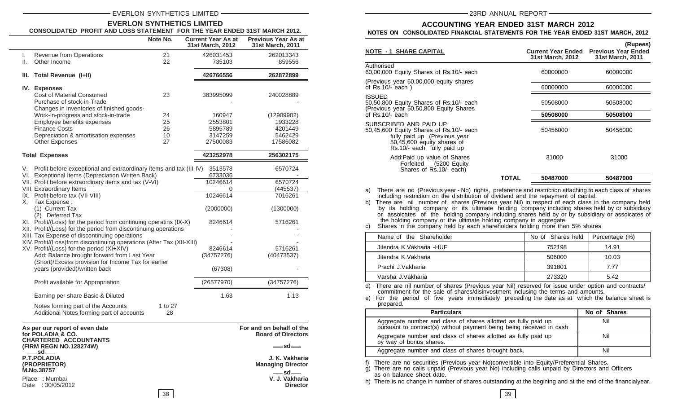#### EVERLON SYNTHETICS LIMITED 2000 23RD ANNUAL REPORT

#### **EVERLON SYNTHETICS LIMITED CONSOLIDATED PROFIT AND LOSS STATEMENT FOR THE YEAR ENDED 31ST MARCH 2012.**

|                                                                                                                                                                                                                                                                                                                                                                                                                                                                                                                                                                                                                                                                                                                                                                         |                                                                                                                                                                                                                          | Note No.                                                                                                    |                                                                                            | <b>Current Year As at</b><br>31st March, 2012 | <b>Previous Year As at</b><br>31st March, 2011 |
|-------------------------------------------------------------------------------------------------------------------------------------------------------------------------------------------------------------------------------------------------------------------------------------------------------------------------------------------------------------------------------------------------------------------------------------------------------------------------------------------------------------------------------------------------------------------------------------------------------------------------------------------------------------------------------------------------------------------------------------------------------------------------|--------------------------------------------------------------------------------------------------------------------------------------------------------------------------------------------------------------------------|-------------------------------------------------------------------------------------------------------------|--------------------------------------------------------------------------------------------|-----------------------------------------------|------------------------------------------------|
| I.                                                                                                                                                                                                                                                                                                                                                                                                                                                                                                                                                                                                                                                                                                                                                                      | Revenue from Operations                                                                                                                                                                                                  | 21                                                                                                          |                                                                                            | 426031453                                     | 262013343                                      |
| ΙΙ.                                                                                                                                                                                                                                                                                                                                                                                                                                                                                                                                                                                                                                                                                                                                                                     | Other Income                                                                                                                                                                                                             | 22                                                                                                          |                                                                                            | 735103                                        | 859556                                         |
| III.                                                                                                                                                                                                                                                                                                                                                                                                                                                                                                                                                                                                                                                                                                                                                                    | <b>Total Revenue (I+II)</b>                                                                                                                                                                                              |                                                                                                             |                                                                                            | 426766556                                     | 262872899                                      |
|                                                                                                                                                                                                                                                                                                                                                                                                                                                                                                                                                                                                                                                                                                                                                                         | IV. Expenses<br><b>Cost of Material Consumed</b><br>Purchase of stock-in-Trade<br>Changes in inventories of finished goods-<br>Work-in-progress and stock-in-trade<br>Employee benefits expenses<br><b>Finance Costs</b> | 23<br>24<br>25<br>26                                                                                        |                                                                                            | 383995099<br>160947<br>2553801<br>5895789     | 240028889<br>(12909902)<br>1933228<br>4201449  |
|                                                                                                                                                                                                                                                                                                                                                                                                                                                                                                                                                                                                                                                                                                                                                                         | Depreciation & amortisation expenses                                                                                                                                                                                     | 10                                                                                                          |                                                                                            | 3147259                                       | 5462429                                        |
|                                                                                                                                                                                                                                                                                                                                                                                                                                                                                                                                                                                                                                                                                                                                                                         | <b>Other Expenses</b>                                                                                                                                                                                                    | 27                                                                                                          |                                                                                            | 27500083                                      | 17586082                                       |
|                                                                                                                                                                                                                                                                                                                                                                                                                                                                                                                                                                                                                                                                                                                                                                         | <b>Total Expenses</b>                                                                                                                                                                                                    |                                                                                                             |                                                                                            | 423252978                                     | 256302175                                      |
| V. Profit before exceptional and extraordinary items and tax (III-IV)<br>VI. Exceptional Items (Depreciation Written Back)<br>VII. Profit before extraordinary items and tax (V-VI)<br>VIII. Extraordinary Items<br>IX. Profit before tax (VII-VIII)<br>Tax Expense:<br>Х.<br>(1) Current Tax<br>(2) Deferred Tax<br>XI. Profit/(Loss) for the period from continuing operatins (IX-X)<br>XII. Profit/(Loss) for the period from discontinuing operations<br>XIII. Tax Expense of discontinuing operations<br>XIV. Profit/(Loss)from discontinuing operations (After Tax (XII-XIII)<br>XV. Profit/(Loss) for the period (XI+XIV)<br>Add: Balance brought forward from Last Year<br>(Short)/Excess provision for Income Tax for earlier<br>years (provided)/written back |                                                                                                                                                                                                                          | 3513578<br>6733036<br>10246614<br>0<br>10246614<br>(2000000)<br>8246614<br>8246614<br>(34757276)<br>(67308) | 6570724<br>6570724<br>(445537)<br>7016261<br>(1300000)<br>5716261<br>5716261<br>(40473537) |                                               |                                                |
|                                                                                                                                                                                                                                                                                                                                                                                                                                                                                                                                                                                                                                                                                                                                                                         | Profit available for Appropriation                                                                                                                                                                                       |                                                                                                             |                                                                                            | (26577970)                                    | (34757276)                                     |
|                                                                                                                                                                                                                                                                                                                                                                                                                                                                                                                                                                                                                                                                                                                                                                         | Earning per share Basic & Diluted<br>Notes forming part of the Accounts<br>Additional Notes forming part of accounts                                                                                                     | 1 to 27<br>28                                                                                               |                                                                                            | 1.63                                          | 1.13                                           |

| As per our report of even date                          | For and on behalf of the                                 | pursuant to contract(s) without payment being be                                                                                          |  |
|---------------------------------------------------------|----------------------------------------------------------|-------------------------------------------------------------------------------------------------------------------------------------------|--|
| for POLADIA & CO.<br><b>CHARTERED ACCOUNTANTS</b>       | <b>Board of Directors</b><br>$-sd-$                      | Aggregate number and class of shares allotted a<br>by way of bonus shares.                                                                |  |
| (FIRM REGN NO.128274W)<br>$-$ sd $-$                    |                                                          | Aggregate number and class of shares brought b                                                                                            |  |
| <b>P.T.POLADIA</b><br>(PROPRIETOR)<br><b>M.No.38757</b> | J. K. Vakharia<br><b>Managing Director</b><br>$-$ sd $-$ | f) There are no securities (Previous year No)convert<br>g) There are no calls unpaid (Previous year No) incl<br>as on balance sheet date. |  |
| Place : Mumbai<br>Date: 30/05/2012                      | V. J. Vakharia<br><b>Director</b>                        | h) There is no change in number of shares outstandin                                                                                      |  |
| 38                                                      |                                                          | 39                                                                                                                                        |  |

#### **ACCOUNTING YEAR ENDED 31ST MARCH 2012 NOTES ON CONSOLIDATED FINANCIAL STATEMENTS FOR THE YEAR ENDED 31ST MARCH, 2012**

|                                                                                                                                                               |       | 31st March, 2012 | 31st March, 2011 |
|---------------------------------------------------------------------------------------------------------------------------------------------------------------|-------|------------------|------------------|
| Authorised<br>60,00,000 Equity Shares of Rs.10/- each                                                                                                         |       | 60000000         | 60000000         |
| (Previous year 60,00,000 equity shares<br>of Rs.10/- each)                                                                                                    |       | 60000000         | 60000000         |
| ISSUED<br>50,50,800 Equity Shares of Rs.10/- each<br>(Previous year 50,50,800 Equity Shares                                                                   |       | 50508000         | 50508000         |
| of Rs.10/- each                                                                                                                                               |       | 50508000         | 50508000         |
| SUBSCRIBED AND PAID UP<br>50,45,600 Equity Shares of Rs.10/- each<br>fully paid up (Previous year<br>50,45,600 equity shares of<br>Rs.10/- each fully paid up |       | 50456000         | 50456000         |
| Add:Paid up value of Shares<br>(5200 Equity<br>Forfeited<br>Shares of Rs.10/- each)                                                                           |       | 31000            | 31000            |
|                                                                                                                                                               | TOTAL | 50487000         | 50487000         |

a) There are no (Previous year - No) rights, preference and restriction attaching to each class of shares including restriction on the distribution of dividend and the repayment of capital.

b) There are nil number of shares (Previous year Nil) in respect of each class in the company held by its holding company or its ultimate holding company including shares held by or subsidiary or assoicates of the holding company including shares held by or by subsidiary or assoicates of the holding company or the ultimate holding company in aggregate.

c) Shares in the company held by each shareholders holding more than 5% shares

| Name of the Shareholder  | No of Shares held | Percentage (%) |
|--------------------------|-------------------|----------------|
| Jitendra K.Vakharia -HUF | 752198            | 14.91          |
| Jitendra K.Vakharia      | 506000            | 10.03          |
| Prachi J.Vakharia        | 391801            | 7.77           |
| Varsha J.Vakharia        | 273320            | 5.42           |

d) There are nil number of shares (Previous year Nil) reserved for issue under option and contracts/ commitment for the sale of shares/disinvestment inclusing the terms and amounts.<br>
e) For the period of five years immediately preceding the date as at which the

For the period of five years immediately preceding the date as at which the balance sheet is prepared.

| <b>Particulars</b>                                                                                                                     | No of Shares |
|----------------------------------------------------------------------------------------------------------------------------------------|--------------|
| Aggregate number and class of shares allotted as fully paid up<br>pursuant to contract(s) without payment being being received in cash | Nil          |
| Aggregate number and class of shares allotted as fully paid up<br>by way of bonus shares.                                              | Nil          |
| Aggregate number and class of shares brought back.                                                                                     | Nil          |

f) There are no securities (Previous year No)convertible into Equity/Preferential Shares.

g) There are no calls unpaid (Previous year No) including calls unpaid by Directors and Officers as on balance sheet date.

h) There is no change in number of shares outstanding at the begining and at the end of the financialyear.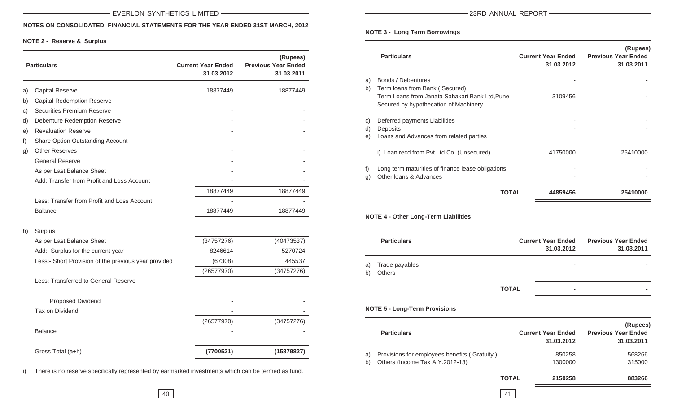#### **NOTES ON CONSOLIDATED FINANCIAL STATEMENTS FOR THE YEAR ENDED 31ST MARCH, 2012**

#### **NOTE 2 - Reserve & Surplus**

|    | <b>Particulars</b>                                   | <b>Current Year Ended</b><br>31.03.2012 | (Rupees)<br><b>Previous Year Ended</b><br>31.03.2011 |
|----|------------------------------------------------------|-----------------------------------------|------------------------------------------------------|
| a) | <b>Capital Reserve</b>                               | 18877449                                | 18877449                                             |
| b) | <b>Capital Redemption Reserve</b>                    |                                         |                                                      |
| C) | Securities Premium Reserve                           |                                         |                                                      |
| d) | <b>Debenture Redemption Reserve</b>                  |                                         |                                                      |
| e) | <b>Revaluation Reserve</b>                           |                                         |                                                      |
| f) | Share Option Outstanding Account                     |                                         |                                                      |
| g) | <b>Other Reserves</b>                                |                                         |                                                      |
|    | <b>General Reserve</b>                               |                                         |                                                      |
|    | As per Last Balance Sheet                            |                                         |                                                      |
|    | Add: Transfer from Profit and Loss Account           |                                         |                                                      |
|    |                                                      | 18877449                                | 18877449                                             |
|    | Less: Transfer from Profit and Loss Account          |                                         |                                                      |
|    | <b>Balance</b>                                       | 18877449                                | 18877449                                             |
| h) | Surplus                                              |                                         |                                                      |
|    | As per Last Balance Sheet                            | (34757276)                              | (40473537)                                           |
|    | Add:- Surplus for the current year                   | 8246614                                 | 5270724                                              |
|    | Less:- Short Provision of the previous year provided | (67308)                                 | 445537                                               |
|    |                                                      | (26577970)                              | (34757276)                                           |
|    | Less: Transferred to General Reserve                 |                                         |                                                      |
|    | <b>Proposed Dividend</b>                             |                                         |                                                      |
|    | Tax on Dividend                                      |                                         |                                                      |
|    |                                                      | (26577970)                              | (34757276)                                           |
|    | <b>Balance</b>                                       |                                         |                                                      |
|    | Gross Total (a+h)                                    | (7700521)                               | (15879827)                                           |

i) There is no reserve specifically represented by earmarked investments which can be termed as fund.

#### **NOTE 3 - Long Term Borrowings**

|    | <b>Particulars</b>                                                                      | <b>Current Year Ended</b><br>31.03.2012 | (Rupees)<br><b>Previous Year Ended</b><br>31.03.2011 |
|----|-----------------------------------------------------------------------------------------|-----------------------------------------|------------------------------------------------------|
| a) | Bonds / Debentures                                                                      |                                         |                                                      |
| b) | Term loans from Bank (Secured)                                                          |                                         |                                                      |
|    | Term Loans from Janata Sahakari Bank Ltd, Pune<br>Secured by hypothecation of Machinery | 3109456                                 |                                                      |
|    |                                                                                         |                                         |                                                      |
| C) | Deferred payments Liabilities                                                           |                                         |                                                      |
| d) | <b>Deposits</b>                                                                         |                                         |                                                      |
| e) | Loans and Advances from related parties                                                 |                                         |                                                      |
|    | i) Loan recd from Pvt. Ltd Co. (Unsecured)                                              | 41750000                                | 25410000                                             |
| f) | Long term maturities of finance lease obligations                                       |                                         |                                                      |
| q) | Other Ioans & Advances                                                                  |                                         |                                                      |
|    | <b>TOTAL</b>                                                                            | 44859456                                | 25410000                                             |
|    |                                                                                         |                                         |                                                      |

#### **NOTE 4 - Other Long-Term Liabilities**

|          | <b>Particulars</b>              |              | <b>Current Year Ended</b><br>31.03.2012 | <b>Previous Year Ended</b><br>31.03.2011 |
|----------|---------------------------------|--------------|-----------------------------------------|------------------------------------------|
| a)<br>b) | Trade payables<br><b>Others</b> |              | $\overline{\phantom{a}}$<br>٠           |                                          |
|          |                                 | <b>TOTAL</b> | $\blacksquare$                          | -                                        |

#### **NOTE 5 - Long-Term Provisions**

|    | <b>Particulars</b>                           |              | <b>Current Year Ended</b><br>31.03.2012 | (Rupees)<br><b>Previous Year Ended</b><br>31.03.2011 |
|----|----------------------------------------------|--------------|-----------------------------------------|------------------------------------------------------|
| a) | Provisions for employees benefits (Gratuity) |              | 850258                                  | 568266                                               |
| b) | Others (Income Tax A.Y.2012-13)              |              | 1300000                                 | 315000                                               |
|    |                                              | <b>TOTAL</b> | 2150258                                 | 883266                                               |
|    |                                              |              |                                         |                                                      |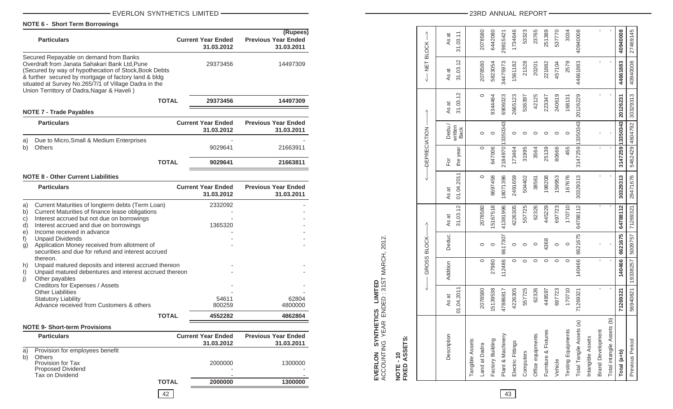#### EVERLON SYNTHETICS LIMITED

**NOTE 6 - Short Term Borrowings**

|                                                               | <b>Particulars</b>                                                                                                                                                                                                                                                                                                                                                                                                                                                                                                                                                                                                                                  |              | <b>Current Year Ended</b><br>31.03.2012          | (Rupees)<br><b>Previous Year Ended</b><br>31.03.2011 |
|---------------------------------------------------------------|-----------------------------------------------------------------------------------------------------------------------------------------------------------------------------------------------------------------------------------------------------------------------------------------------------------------------------------------------------------------------------------------------------------------------------------------------------------------------------------------------------------------------------------------------------------------------------------------------------------------------------------------------------|--------------|--------------------------------------------------|------------------------------------------------------|
|                                                               | Secured Repayable on demand from Banks<br>Overdraft from Janata Sahakari Bank Ltd, Pune<br>(Secured by way of hypothecation of Stock, Book Debts<br>& further secured by mortgage of factory land & bldg<br>situated at Survey No.265/7/1 of Village Dadra in the<br>Union Territtory of Dadra, Nagar & Haveli)                                                                                                                                                                                                                                                                                                                                     |              | 29373456                                         | 14497309                                             |
|                                                               |                                                                                                                                                                                                                                                                                                                                                                                                                                                                                                                                                                                                                                                     | <b>TOTAL</b> | 29373456                                         | 14497309                                             |
|                                                               | <b>NOTE 7 - Trade Payables</b>                                                                                                                                                                                                                                                                                                                                                                                                                                                                                                                                                                                                                      |              |                                                  |                                                      |
|                                                               | <b>Particulars</b>                                                                                                                                                                                                                                                                                                                                                                                                                                                                                                                                                                                                                                  |              | <b>Current Year Ended</b><br>31.03.2012          | <b>Previous Year Ended</b><br>31.03.2011             |
| a)<br>b)                                                      | Due to Micro, Small & Medium Enterprises<br><b>Others</b>                                                                                                                                                                                                                                                                                                                                                                                                                                                                                                                                                                                           |              | 9029641                                          | 21663911                                             |
|                                                               |                                                                                                                                                                                                                                                                                                                                                                                                                                                                                                                                                                                                                                                     | <b>TOTAL</b> | 9029641                                          | 21663811                                             |
|                                                               | <b>NOTE 8 - Other Current Liabilities</b>                                                                                                                                                                                                                                                                                                                                                                                                                                                                                                                                                                                                           |              |                                                  |                                                      |
|                                                               | <b>Particulars</b>                                                                                                                                                                                                                                                                                                                                                                                                                                                                                                                                                                                                                                  |              | <b>Current Year Ended</b><br>31.03.2012          | <b>Previous Year Ended</b><br>31.03.2011             |
| a)<br>b)<br>C)<br>d)<br>e)<br>f)<br>g)<br>h)<br>$\vert$<br>j) | Current Maturities of longterm debts (Term Loan)<br>Current Maturities of finance lease obligations<br>Interest accrued but not due on borrowings<br>Interest accrued and due on borrowings<br>Income received in advance<br><b>Unpaid Dividends</b><br>Application Money received from allotment of<br>securities and due for refund and interest accrued<br>thereon.<br>Unpaid matured deposits and interest accrued thereon<br>Unpaid matured debentures and interest accrued thereon<br>Other payables<br>Creditors for Expenses / Assets<br><b>Other Liabilities</b><br><b>Statutory Liability</b><br>Advance received from Customers & others | <b>TOTAL</b> | 2332092<br>1365320<br>54611<br>800259<br>4552282 | 62804<br>4800000<br>4862804                          |
|                                                               | <b>NOTE 9- Short-term Provisions</b>                                                                                                                                                                                                                                                                                                                                                                                                                                                                                                                                                                                                                |              |                                                  |                                                      |
|                                                               | <b>Particulars</b>                                                                                                                                                                                                                                                                                                                                                                                                                                                                                                                                                                                                                                  |              | <b>Current Year Ended</b><br>31.03.2012          | <b>Previous Year Ended</b><br>31.03.2011             |
| a)<br>b)                                                      | Provision for employees benefit<br>Others<br>Provision for Tax<br>Proposed Dividend<br>Tax on Dividend                                                                                                                                                                                                                                                                                                                                                                                                                                                                                                                                              |              | 2000000                                          | 1300000                                              |
|                                                               |                                                                                                                                                                                                                                                                                                                                                                                                                                                                                                                                                                                                                                                     | <b>TOTAL</b> | 2000000                                          | 1300000                                              |

#### -23RD ANNUAL REPORT-

|                              |            | <--- GROSS BLOCK----> |                |                |            | <---- DEPRECIATION- |                        | ↑        | <-- NET BLOCK--> |          |
|------------------------------|------------|-----------------------|----------------|----------------|------------|---------------------|------------------------|----------|------------------|----------|
| Description                  | As at      | Addition              | Deduc.         | As at          | As at      | Fōr                 | Dedu./                 | As at    | As at            | As at    |
|                              | 01.04.2011 |                       |                | 31.03.12       | 01.04.2011 | the year            | written<br><b>Back</b> | 31.03.12 | 31.03.12         | 31.03.11 |
| Tangible Assets              |            |                       |                |                |            |                     |                        |          |                  |          |
| Land at Dadra                | 2078580    | $\circ$               | $\circ$        | 2078580        | $\circ$    | $\circ$             | 0                      | $\circ$  | 2078580          | 2078580  |
| Factory Building             | 5139538    | 27980                 | 0              | 5167518        | 8697458    | 647006              | 0                      | 9344464  | 5823054          | 6442080  |
| Plant & Machinery            | 47886817   | 112486                | 6617307        | 41381996       | 18071396   | 2184970 13350343    |                        | 6906023  | 34475973         | 29815421 |
| Electric Fittings            | 4226305    | $\circ$               | 0              | 4226305        | 2491659    | 173464              | $\circ$                | 2665123  | 1561182          | 1734646  |
| Computers                    | 557725     | $\circ$               | $\circ$        | 557725         | 504402     | 31995               | 0                      | 536397   | 21328            | 53323    |
| Office equipments            | 62326      | $\circ$               | $\circ$        | 62326          | 38561      | 3564                | $\circ$                | 42125    | 20201            | 23765    |
| Furniture & Fixtures         | 449597     | $\circ$               | 4368           | 445229         | 198208     | 25139               | 0                      | 223347   | 221882           | 251389   |
| Vehicle                      | 697723     | $\circ$               | 0              | 697723         | 159953     | 80666               | $\circ$                | 240619   | 457104           | 537770   |
| Testing Equipments           | 170710     | 0                     | $\circ$        | 170710         | 167676     | 455                 | $\circ$                | 168131   | 2579             | 3034     |
| ত্তি<br>Total Tangile Assets | 71269321   | 140466                | 6621675        | 64788112       | 30329313   |                     | 3147259 13350343       | 20126229 | 44661883         | 40940008 |
| Intangible Assets            |            |                       |                |                |            |                     |                        |          |                  |          |
| <b>Brand Development</b>     | ı          | ı                     |                | ı              |            | ı,                  |                        |          |                  | ï        |
| Э<br>Total intangile Assets  | ı          | ı                     | $\blacksquare$ | $\blacksquare$ | ı          | ı                   |                        |          |                  | ï        |
| Total (a+b)                  | 71269321   | 140466                | 6621675        | 64788112       | 30329313   |                     | 3147259 13350343       | 20126231 | 44661883         | 40940008 |
| Previous Period              | 56940821   | 19338257              | 5009757        | 71269321       | 29471676   | 5462429 4604792     |                        | 30329313 | 40940008         | 27469145 |
|                              |            |                       |                |                |            |                     |                        |          |                  |          |

**EVERLON SYNTHETICS LIMITED**

ACCOUNTING YEAR ENDED : 31ST MARCH, 2012.

EVERLON SYNTHETICS LIMITED<br>ACCOUNTING YEAR ENDED: 31ST MARCH, 2012.

**NOTE - 10 FIXED ASSETS:**

NOTE - 10<br>FIXED ASSETS: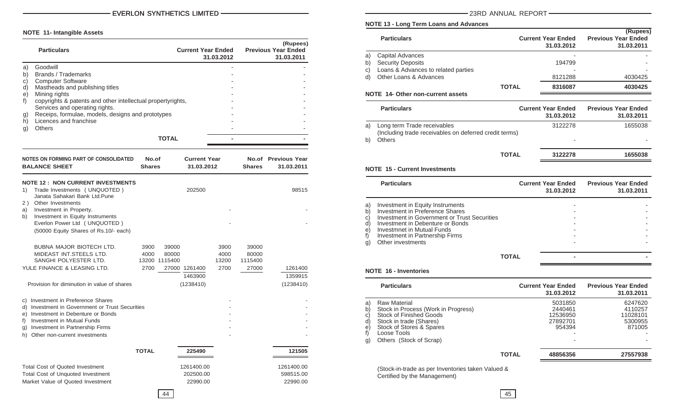#### **NOTE 11- Intangible Assets**

| <b>Particulars</b>                                                                                                                                                                                                                                                                                                                                                     |                                       | <b>Current Year Ended</b>                               | 31.03.2012                    |                                    | (Rupees)<br><b>Previous Year Ended</b><br>31.03.2011 |
|------------------------------------------------------------------------------------------------------------------------------------------------------------------------------------------------------------------------------------------------------------------------------------------------------------------------------------------------------------------------|---------------------------------------|---------------------------------------------------------|-------------------------------|------------------------------------|------------------------------------------------------|
| Goodwill<br>a)<br>Brands / Trademarks<br>b)<br><b>Computer Software</b><br>C)<br>d)<br>Mastheads and publishing titles<br>Mining rights<br>e)<br>f)<br>copyrights & patents and other intellectual propertyrights,<br>Services and operating rights.<br>Receips, formulae, models, designs and prototypes<br>g)<br>Licences and franchise<br>h)<br><b>Others</b><br>g) |                                       | <b>TOTAL</b>                                            |                               |                                    |                                                      |
| NOTES ON FORMING PART OF CONSOLIDATED<br><b>BALANCE SHEET</b>                                                                                                                                                                                                                                                                                                          | No.of<br><b>Shares</b>                | <b>Current Year</b><br>31.03.2012                       |                               | <b>Shares</b>                      | No.of Previous Year<br>31.03.2011                    |
| <b>NOTE 12: NON CURRENT INVESTMENTS</b><br>Trade Investments ( UNQUOTED )<br>1)<br>Janata Sahakari Bank Ltd.Pune<br>Other Investments<br>2)<br>a)<br>Investment in Property.<br>Investment in Equity Instruments<br>b)<br>Everlon Power Ltd ( UNQUOTED )<br>(50000 Equity Shares of Rs.10/- each)                                                                      |                                       | 202500                                                  |                               |                                    | 98515                                                |
| <b>BUBNA MAJOR BIOTECH LTD.</b><br>MIDEAST INT.STEELS LTD.<br>SANGHI POLYESTER LTD.<br>YULE FINANCE & LEASING LTD.<br>Provision for diminution in value of shares                                                                                                                                                                                                      | 3900<br>4000<br>13200 1115400<br>2700 | 39000<br>80000<br>27000 1261400<br>1463900<br>(1238410) | 3900<br>4000<br>13200<br>2700 | 39000<br>80000<br>1115400<br>27000 | 1261400<br>1359915<br>(1238410)                      |
| c) Investment in Preference Shares<br>d) Investment in Government or Trust Securities<br>e) Investment in Debenture or Bonds<br>f) Investment in Mutual Funds<br>g) Investment in Partnership Firms<br>h) Other non-current investments                                                                                                                                |                                       |                                                         |                               |                                    |                                                      |
|                                                                                                                                                                                                                                                                                                                                                                        | <b>TOTAL</b>                          | 225490                                                  |                               |                                    | 121505                                               |
| <b>Total Cost of Quoted Investment</b><br>Total Cost of Unquoted Investment<br>Market Value of Quoted Investment                                                                                                                                                                                                                                                       |                                       | 1261400.00<br>202500.00<br>22990.00                     |                               |                                    | 1261400.00<br>598515.00<br>22990.00                  |

-23RD ANNUAL REPORT-

#### **NOTE 13 - Long Term Loans and Advances**

|    | <b>Particulars</b>                  |              | <b>Current Year Ended</b><br>31.03.2012 | (Rupees)<br><b>Previous Year Ended</b><br>31.03.2011 |
|----|-------------------------------------|--------------|-----------------------------------------|------------------------------------------------------|
| a) | Capital Advances                    |              |                                         |                                                      |
| b) | <b>Security Deposits</b>            |              | 194799                                  |                                                      |
| C) | Loans & Advances to related parties |              |                                         |                                                      |
| d) | Other Loans & Advances              |              | 8121288                                 | 4030425                                              |
|    |                                     | <b>TOTAL</b> | 8316087                                 | 4030425                                              |
|    | NOTE 14- Other non-current assets   |              |                                         |                                                      |

|    | <b>Particulars</b>                                                                    | <b>Current Year Ended</b><br>31.03.2012 | <b>Previous Year Ended</b><br>31.03.2011 |
|----|---------------------------------------------------------------------------------------|-----------------------------------------|------------------------------------------|
| a) | Long term Trade receivables<br>(Including trade receivables on deferred credit terms) | 3122278                                 | 1655038                                  |
| b) | <b>Others</b>                                                                         | -                                       |                                          |
|    | <b>TOTAL</b>                                                                          | 3122278                                 | 1655038                                  |

#### **NOTE 15 - Current Investments**

|                                                  | <b>Particulars</b>                                                                                                                                                                                                                            |       | <b>Current Year Ended</b><br>31.03.2012 | <b>Previous Year Ended</b><br>31.03.2011 |
|--------------------------------------------------|-----------------------------------------------------------------------------------------------------------------------------------------------------------------------------------------------------------------------------------------------|-------|-----------------------------------------|------------------------------------------|
| a)<br>b)<br>$\mathsf{c})$<br>d)<br>e)<br>f<br>g) | Investment in Equity Instruments<br>Investment in Preference Shares<br>Investment in Government or Trust Securities<br>Investment in Debenture or Bonds<br>Investmnet in Mutual Funds<br>Investment in Partnership Firms<br>Other investments |       |                                         |                                          |
|                                                  |                                                                                                                                                                                                                                               | ΤΩΤΑΙ |                                         |                                          |

#### **NOTE 16 - Inventories**

|                                                  | <b>Particulars</b>                                                                                                                                                                            |              | <b>Current Year Ended</b><br>31.03.2012              | <b>Previous Year Ended</b><br>31.03.2011            |
|--------------------------------------------------|-----------------------------------------------------------------------------------------------------------------------------------------------------------------------------------------------|--------------|------------------------------------------------------|-----------------------------------------------------|
| a)<br>$\mathsf{b}$<br>C)<br>d)<br>e)<br>t)<br>g) | <b>Raw Material</b><br>Stock in Process (Work in Progress)<br><b>Stock of Finished Goods</b><br>Stock in trade (Shares)<br>Stock of Stores & Spares<br>Loose Tools<br>Others (Stock of Scrap) |              | 5031850<br>2440461<br>12536950<br>27892701<br>954394 | 6247620<br>4110257<br>11028101<br>5300955<br>871005 |
|                                                  |                                                                                                                                                                                               | <b>TOTAL</b> | 48856356                                             | 27557938                                            |

(Stock-in-trade as per Inventories taken Valued & Certified by the Management)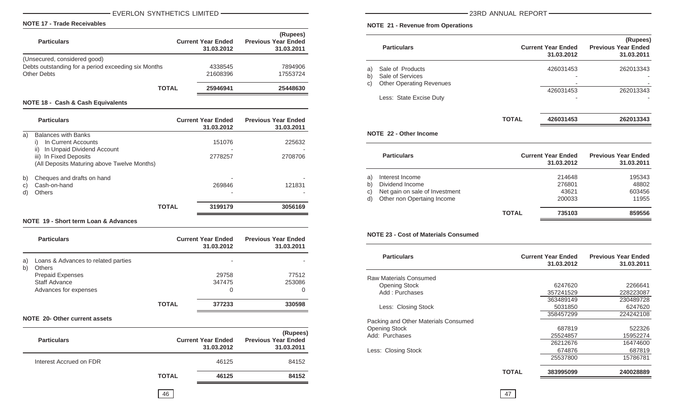#### - EVERLON SYNTHETICS LIMITED - THE SERIES - THE STATE STATE STATE STATE STATE STATE STATE STATE STATE STATE ST

#### **NOTE 17 - Trade Receivables**

| <b>Particulars</b>                                  | <b>Current Year Ended</b><br>31.03.2012 | (Rupees)<br><b>Previous Year Ended</b><br>31.03.2011 |
|-----------------------------------------------------|-----------------------------------------|------------------------------------------------------|
| (Unsecured, considered good)                        |                                         |                                                      |
| Debts outstanding for a period exceeding six Months | 4338545                                 | 7894906                                              |
| <b>Other Debts</b>                                  | 21608396                                | 17553724                                             |
| <b>TOTAL</b>                                        | 25946941                                | 25448630                                             |
|                                                     |                                         |                                                      |

#### **NOTE 18 - Cash & Cash Equivalents**

|                | <b>Particulars</b>                                                                                                                                                    | <b>Current Year Ended</b><br>31.03.2012 | <b>Previous Year Ended</b><br>31.03.2011 |
|----------------|-----------------------------------------------------------------------------------------------------------------------------------------------------------------------|-----------------------------------------|------------------------------------------|
| a)             | <b>Balances with Banks</b><br>In Current Accounts<br>i)<br>ii)<br>In Unpaid Dividend Account<br>iii) In Fixed Deposits<br>(All Deposits Maturing above Twelve Months) | 151076<br>2778257                       | 225632<br>2708706                        |
| b)<br>C)<br>d) | Cheques and drafts on hand<br>Cash-on-hand<br><b>Others</b>                                                                                                           | 269846                                  | 121831                                   |
|                |                                                                                                                                                                       | <b>TOTAL</b><br>3199179                 | 3056169                                  |
|                |                                                                                                                                                                       |                                         |                                          |

**NOTE 19 - Short term Loan & Advances**

|          | <b>Particulars</b>                                   |              | <b>Current Year Ended</b><br>31.03.2012 | <b>Previous Year Ended</b><br>31.03.2011 |
|----------|------------------------------------------------------|--------------|-----------------------------------------|------------------------------------------|
| a)<br>b) | Loans & Advances to related parties<br><b>Others</b> |              | $\overline{\phantom{0}}$                |                                          |
|          | <b>Prepaid Expenses</b><br>Staff Advance             |              | 29758<br>347475                         | 77512<br>253086                          |
|          | Advances for expenses                                |              | 0                                       | 0                                        |
|          |                                                      | <b>TOTAL</b> | 377233                                  | 330598                                   |

#### **NOTE 20- Other current assets**

| <b>Particulars</b>      |              | <b>Current Year Ended</b><br>31.03.2012 | (Rupees)<br><b>Previous Year Ended</b><br>31.03.2011 |
|-------------------------|--------------|-----------------------------------------|------------------------------------------------------|
| Interest Accrued on FDR |              | 46125                                   | 84152                                                |
|                         | <b>TOTAL</b> | 46125                                   | 84152                                                |

-23RD ANNUAL REPORT-

#### **NOTE 21 - Revenue from Operations**

<u> 1989 - Johann Barn, amerikansk politiker (</u>

|    | <b>Particulars</b>              |       | <b>Current Year Ended</b><br>31.03.2012 | (Rupees)<br><b>Previous Year Ended</b><br>31.03.2011 |
|----|---------------------------------|-------|-----------------------------------------|------------------------------------------------------|
| a) | Sale of Products                |       | 426031453                               | 262013343                                            |
| b) | Sale of Services                |       |                                         |                                                      |
| C) | <b>Other Operating Revenues</b> |       |                                         |                                                      |
|    |                                 |       | 426031453                               | 262013343                                            |
|    | Less: State Excise Duty         |       |                                         |                                                      |
|    |                                 |       |                                         |                                                      |
|    |                                 | TOTAL | 426031453                               | 262013343                                            |

#### **NOTE 22 - Other Income**

|                      | <b>Particulars</b>                                                                                 |              | <b>Current Year Ended</b><br>31.03.2012 | <b>Previous Year Ended</b><br>31.03.2011 |
|----------------------|----------------------------------------------------------------------------------------------------|--------------|-----------------------------------------|------------------------------------------|
| a)<br>b)<br>c)<br>d) | Interest Income<br>Dividend Income<br>Net gain on sale of Investment<br>Other non Opertaing Income |              | 214648<br>276801<br>43621<br>200033     | 195343<br>48802<br>603456<br>11955       |
|                      |                                                                                                    | <b>TOTAL</b> | 735103                                  | 859556                                   |

#### **NOTE 23 - Cost of Materials Consumed**

| <b>Particulars</b>                   |       | <b>Current Year Ended</b><br>31.03.2012 | <b>Previous Year Ended</b><br>31.03.2011 |
|--------------------------------------|-------|-----------------------------------------|------------------------------------------|
| Raw Materials Consumed               |       |                                         |                                          |
| <b>Opening Stock</b>                 |       | 6247620                                 | 2266641                                  |
| Add: Purchases                       |       | 357241529                               | 228223087                                |
|                                      |       | 363489149                               | 230489728                                |
| Less: Closing Stock                  |       | 5031850                                 | 6247620                                  |
|                                      |       | 358457299                               | 224242108                                |
| Packing and Other Materials Consumed |       |                                         |                                          |
| <b>Opening Stock</b>                 |       | 687819                                  | 522326                                   |
| Add: Purchases                       |       | 25524857                                | 15952274                                 |
|                                      |       | 26212676                                | 16474600                                 |
| Less: Closing Stock                  |       | 674876                                  | 687819                                   |
|                                      |       | 25537800                                | 15786781                                 |
|                                      | TOTAL | 383995099                               | 240028889                                |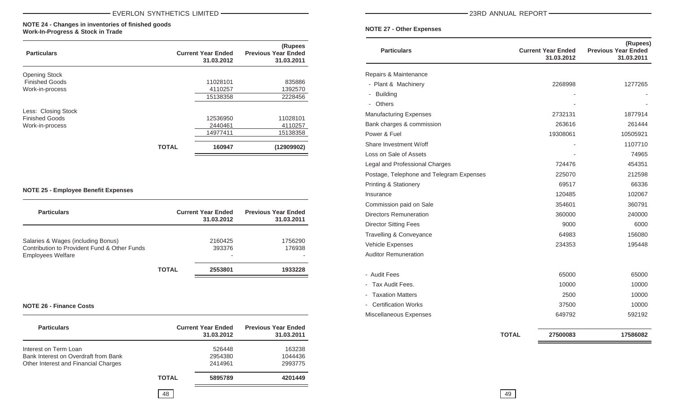#### **NOTE 24 - Changes in inventories of finished goods Work-In-Progress & Stock in Trade**

| <b>Particulars</b>    |              | <b>Current Year Ended</b><br>31.03.2012 | (Rupees<br><b>Previous Year Ended</b><br>31.03.2011 |
|-----------------------|--------------|-----------------------------------------|-----------------------------------------------------|
| <b>Opening Stock</b>  |              |                                         |                                                     |
| <b>Finished Goods</b> |              | 11028101                                | 835886                                              |
| Work-in-process       |              | 4110257                                 | 1392570                                             |
|                       |              | 15138358                                | 2228456                                             |
| Less: Closing Stock   |              |                                         |                                                     |
| <b>Finished Goods</b> |              | 12536950                                | 11028101                                            |
| Work-in-process       |              | 2440461                                 | 4110257                                             |
|                       |              | 14977411                                | 15138358                                            |
|                       | <b>TOTAL</b> | 160947                                  | (12909902)                                          |

#### **NOTE 25 - Employee Benefit Expenses**

| <b>Particulars</b>                                                                                             |              | <b>Current Year Ended</b><br>31.03.2012 | <b>Previous Year Ended</b><br>31.03.2011 |
|----------------------------------------------------------------------------------------------------------------|--------------|-----------------------------------------|------------------------------------------|
| Salaries & Wages (including Bonus)<br>Contribution to Provident Fund & Other Funds<br><b>Employees Welfare</b> |              | 2160425<br>393376<br>-                  | 1756290<br>176938                        |
|                                                                                                                | <b>TOTAL</b> | 2553801                                 | 1933228                                  |

#### **NOTE 26 - Finance Costs**

| <b>Particulars</b>                   |              | <b>Current Year Ended</b><br>31.03.2012 | <b>Previous Year Ended</b><br>31.03.2011 |
|--------------------------------------|--------------|-----------------------------------------|------------------------------------------|
| Interest on Term Loan                |              | 526448                                  | 163238                                   |
| Bank Interest on Overdraft from Bank |              | 2954380                                 | 1044436                                  |
| Other Interest and Financial Charges |              | 2414961                                 | 2993775                                  |
|                                      | <b>TOTAL</b> | 5895789                                 | 4201449                                  |
|                                      | 48           |                                         |                                          |

-23RD ANNUAL REPORT-

#### **NOTE 27 - Other Expenses**

| <b>Particulars</b>                        |              | <b>Current Year Ended</b><br>31.03.2012 | (Rupees)<br><b>Previous Year Ended</b><br>31.03.2011 |
|-------------------------------------------|--------------|-----------------------------------------|------------------------------------------------------|
| Repairs & Maintenance                     |              |                                         |                                                      |
| - Plant & Machinery                       |              | 2268998                                 | 1277265                                              |
| <b>Building</b><br>۰.                     |              |                                         |                                                      |
| Others<br>$\overline{\phantom{a}}$        |              |                                         |                                                      |
| <b>Manufacturing Expenses</b>             |              | 2732131                                 | 1877914                                              |
| Bank charges & commission                 |              | 263616                                  | 261444                                               |
| Power & Fuel                              |              | 19308061                                | 10505921                                             |
| Share Investment W/off                    |              |                                         | 1107710                                              |
| Loss on Sale of Assets                    |              |                                         | 74965                                                |
| Legal and Professional Charges            |              | 724476                                  | 454351                                               |
| Postage, Telephone and Telegram Expenses  |              | 225070                                  | 212598                                               |
| <b>Printing &amp; Stationery</b>          |              | 69517                                   | 66336                                                |
| Insurance                                 |              | 120485                                  | 102067                                               |
| Commission paid on Sale                   |              | 354601                                  | 360791                                               |
| <b>Directors Remuneration</b>             |              | 360000                                  | 240000                                               |
| <b>Director Sitting Fees</b>              |              | 9000                                    | 6000                                                 |
| Travelling & Conveyance                   |              | 64983                                   | 156080                                               |
| Vehicle Expenses                          |              | 234353                                  | 195448                                               |
| <b>Auditor Remuneration</b>               |              |                                         |                                                      |
| - Audit Fees                              |              | 65000                                   | 65000                                                |
| Tax Audit Fees.                           |              | 10000                                   | 10000                                                |
| <b>Taxation Matters</b><br>$\blacksquare$ |              | 2500                                    | 10000                                                |
| <b>Certification Works</b>                |              | 37500                                   | 10000                                                |
| Miscellaneous Expenses                    |              | 649792                                  | 592192                                               |
|                                           | <b>TOTAL</b> | 27500083                                | 17586082                                             |

49

 $=$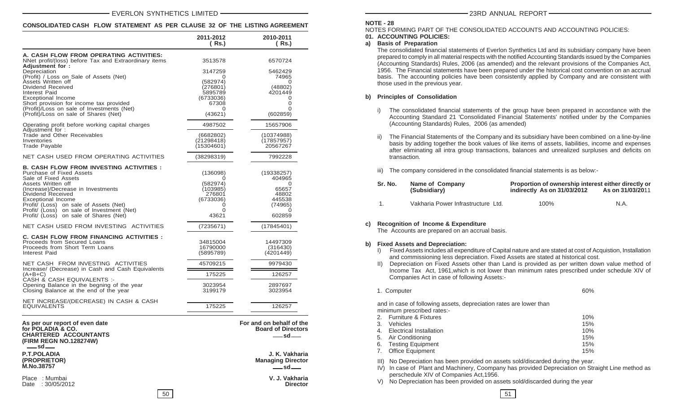#### **CONSOLIDATED CASH FLOW STATEMENT AS PER CLAUSE 32 OF THE LISTING AGREEMENT**

|                                                                                                                                                                                                                                                                                                                                              | 2011-2012<br>( Rs.)                                                                   | 2010-2011<br>( Rs.)                                                             |
|----------------------------------------------------------------------------------------------------------------------------------------------------------------------------------------------------------------------------------------------------------------------------------------------------------------------------------------------|---------------------------------------------------------------------------------------|---------------------------------------------------------------------------------|
| A. CASH FLOW FROM OPERATING ACTIVITIES:<br>NNet profit/(loss) before Tax and Extraordinary items                                                                                                                                                                                                                                             | 3513578                                                                               | 6570724                                                                         |
| Adjustment for:<br>Depreciation<br>(Profit) / Loss on Sale of Assets (Net)<br>Assets Written off<br>Dividend Received<br>Interest Paid<br><b>Exceptional Income</b><br>Short provision for income tax provided<br>(Profit)/Loss on sale of Investments (Net)<br>(Profit)/Loss on sale of Shares (Net)                                        | 3147259<br>0<br>(582974)<br>(276801)<br>5895789<br>(6733036)<br>67308<br>0<br>(43621) | 5462429<br>74965<br>0<br>(48802)<br>4201449<br>0<br>0<br>0<br>(602859)          |
| Operating profit before working capital charges<br>Adjustment for:                                                                                                                                                                                                                                                                           | 4987502                                                                               | 15657906                                                                        |
| Trade and Other Receivables<br>Inventories<br>Trade Payable                                                                                                                                                                                                                                                                                  | (6682802)<br>(21298418)<br>(15304601)                                                 | (10374988)<br>(17857957)<br>20567267                                            |
| NET CASH USED FROM OPERATING ACTIVITIES                                                                                                                                                                                                                                                                                                      | (38298319)                                                                            | 7992228                                                                         |
| <b>B. CASH FLOW FROM INVESTING ACTIVITIES :</b><br>Purchase of Fixed Assets<br>Sale of Fixed Assets<br>Assets Written off<br>(Increase)/Decrease in Investments<br>Dividend Received<br>Exceptional Income<br>Profit/ (Loss) on sale of Assets (Net)<br>Profit/ (Loss) on sale of Investment (Net)<br>Profit/ (Loss) on sale of Shares (Net) | (136098)<br>Ω<br>(582974)<br>(103985)<br>276801<br>(6733036)<br>0<br>0<br>43621       | (19338257)<br>404965<br>0<br>65657<br>48802<br>445538<br>(74965)<br>0<br>602859 |
| NET CASH USED FROM INVESTING ACTIVITIES                                                                                                                                                                                                                                                                                                      | (7235671)                                                                             | (17845401)                                                                      |
| <b>C. CASH FLOW FROM FINANCING ACTIVITIES :</b><br>Proceeds from Secured Loans<br>Proceeds from Short Term Loans<br>Interest Paid                                                                                                                                                                                                            | 34815004<br>16790000<br>(5895789)                                                     | 14497309<br>(316430)<br>(4201449)                                               |
| NET CASH FROM INVESTING ACTIVITIES                                                                                                                                                                                                                                                                                                           | 45709215                                                                              | 9979430                                                                         |
| Increase/ (Decrease) in Cash and Cash Equivalents<br>$(A+B+C)$<br>CASH & CASH EQUIVALENTS :-                                                                                                                                                                                                                                                 | 175225                                                                                | 126257                                                                          |
| Opening Balance in the begning of the year<br>Closing Balance at the end of the year                                                                                                                                                                                                                                                         | 3023954<br>3199179                                                                    | 2897697<br>3023954                                                              |
| NET INCREASE/(DECREASE) IN CASH & CASH<br><b>EQUIVALENTS</b>                                                                                                                                                                                                                                                                                 | 175225                                                                                | 126257                                                                          |
| As per our report of even date<br>for POLADIA & CO.<br><b>CHARTERED ACCOUNTANTS</b><br>(FIRM REGN NO.128274W)                                                                                                                                                                                                                                |                                                                                       | For and on behalf of the<br><b>Board of Directors</b><br>$-$ sd $-$             |
| $-$ sd $-$<br><b>P.T.POLADIA</b><br>(PROPRIETOR)<br>M.No.38757                                                                                                                                                                                                                                                                               |                                                                                       | J. K. Vakharia<br><b>Managing Director</b><br>$-$ sd $-$                        |
| Place : Mumbai<br>Date: 30/05/2012                                                                                                                                                                                                                                                                                                           |                                                                                       | V. J. Vakharia<br>Director                                                      |

23RD ANNUAL REPORT

#### **NOTE - 28**

NOTES FORMING PART OF THE CONSOLIDATED ACCOUNTS AND ACCOUNTING POLICIES:

#### **01. ACCOUNTING POLICIES:**

#### **a) Basis of Preparation**

The consolidated financial statements of Everlon Synthetics Ltd and its subsidiary company have been prepared to comply in all material respects with the notified Accounting Standards issued by the Companies (Accounting Standards) Rules, 2006 (as amended) and the relevant provisions of the Companies Act, 1956. The Financial statements have been prepared under the historical cost convention on an accrual basis. The accounting policies have been consistently applied by Company and are consistent with those used in the previous year.

#### **b) Principles of Consolidation**

- i) The consolidated financial statements of the group have been prepared in accordance with the Accounting Standard 21 'Consolidated Financial Statements' notified under by the Companies (Accounting Standards) Rules, 2006 (as amended)
- ii) The Financial Statements of the Company and its subsidiary have been combined on a line-by-line basis by adding together the book values of like items of assets, liabilities, income and expenses after eliminating all intra group transactions, balances and unrealized surpluses and deficits on transaction.
- iii) The company considered in the consolidated financial statements is as below:-

| Sr. No. | Name of Company<br>(Subsidiary)    | Proportion of ownership interest either directly or<br>indirectly As on 31/03/2012 | As on 31/03/2011 |
|---------|------------------------------------|------------------------------------------------------------------------------------|------------------|
|         | Vakharia Power Infrastructure Ltd. | 100%                                                                               | N.A.             |

#### **c) Recognition of Income & Expenditure**

The Accounts are prepared on an accrual basis.

#### **b) Fixed Assets and Depreciation:**

- I) Fixed Assets includes all expenditure of Capital nature and are stated at cost of Acquistion, Installation and commissioning less depreciation. Fixed Assets are stated at historical cost.
- II) Depreciation on Fixed Assets other than Land is provided as per written down value method of Income Tax Act, 1961,which is not lower than minimum rates prescribed under schedule XIV of Companies Act in case of following Assets:-

1. Computer 60%

and in case of following assets, depreciation rates are lower than minimum prescribed rates:-

|    | 2. Furniture & Fixtures | 10% |
|----|-------------------------|-----|
| 3. | <b>Vehicles</b>         | 15% |
|    | Electrical Installation | 10% |
|    | 5. Air Conditioning     | 15% |
|    | 6. Testing Equipment    | 15% |
| 7. | <b>Office Equipment</b> | 15% |

III) No Depreciation has been provided on assets sold/discarded during the year.

IV) In case of Plant and Machinery, Coompany has provided Depreciation on Straight Line method as perschedule XIV of Companies Act,1956.

V) No Depreciation has been provided on assets sold/discarded during the year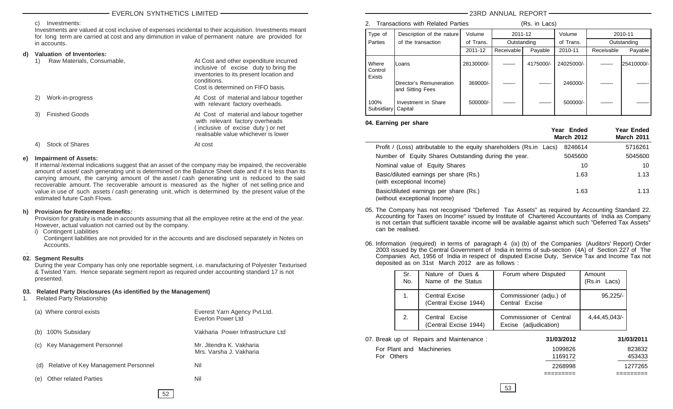#### c) Investments:

Investments are valued at cost inclusive of expenses incidental to their acquisition. Investments meant for long term are carried at cost and any diminution in value of permanent nature are provided for in accounts.

#### **d) Valuation of Inventories:**

|    | Raw Materials, Consumable, | At Cost and other expenditure incurred<br>inclusive of excise duty to bring the<br>inventories to its present location and<br>conditions.<br>Cost is determined on FIFO basis. |
|----|----------------------------|--------------------------------------------------------------------------------------------------------------------------------------------------------------------------------|
| 2) | Work-in-progress           | At Cost of material and labour together<br>with relevant factory overheads.                                                                                                    |
| 3) | <b>Finished Goods</b>      | At Cost of material and labour together<br>with relevant factory overheads<br>(inclusive of excise duty) or net<br>realisable value whichever is lower                         |
|    | <b>Stock of Shares</b>     | At cost                                                                                                                                                                        |

#### **e) Impairment of Assets:**

If internal /external indications suggest that an asset of the company may be impaired, the recoverable amount of asset/ cash generating unit is determined on the Balance Sheet date and if it is less than its carrying amount, the carrying amount of the asset / cash generating unit is reduced to the said recoverable amount. The recoverable amount is measured as the higher of net selling price and value in use of such assets / cash generating unit, which is determined by the present value of the estimated future Cash Flows.

#### **h) Provision for Retirement Benefits:**

Provision for gratuity is made in accounts assuming that all the employee retire at the end of the year. However, actual valuation not carried out by the company.

i) Contingent Liabilities

Contingent liabilities are not provided for in the accounts and are disclosed separately in Notes on Accounts.

#### . **02. Segment Results**

During the year Company has only one reportable segment, i.e. manufacturing of Polyester Texturised & Twisted Yarn. Hence separate segment report as required under accounting standard 17 is not presented.

#### **03. Related Party Disclosures (As identified by the Management)**

1. Related Party Relationship

| (a) Where control exists                    | Everest Yarn Agency Pvt. Ltd.<br>Everlon Power Ltd  |
|---------------------------------------------|-----------------------------------------------------|
| 100% Subsidary<br>(b)                       | Vakharia Power Infrastructure Ltd                   |
| Key Management Personnel<br>(C)             | Mr. Jitendra K. Vakharia<br>Mrs. Varsha J. Vakharia |
| Relative of Key Management Personnel<br>(d) | Nil                                                 |
| <b>Other related Parties</b><br>e)          | Nil                                                 |
|                                             |                                                     |

#### 23RD ANNUAL REPORT

#### 2. Transactions with Related Parties (Rs. in Lacs)

|                            | $11$ undududno with rolatoa 1 antioo         |            | $110.11$ $-000$ |           |            |            |               |
|----------------------------|----------------------------------------------|------------|-----------------|-----------|------------|------------|---------------|
| Type of                    | Description of the nature                    | Volume     | 2011-12         |           | Volume     |            | 2010-11       |
| <b>Parties</b>             | of the transaction                           | of Trans.  | Outstanding     |           | of Trans.  |            | Outstanding   |
|                            |                                              | 2011-12    | Receivable      | Payable   | 2010-11    | Receivable | Payable       |
| Where<br>Control<br>Exists | lLoans                                       | 28130000/- |                 | 4175000/- | 24025000/- |            | l25410000/- l |
|                            | Director's Remuneration<br>land Sitting Fees | 369000/-   |                 |           | 246000/-   |            |               |
| 100%<br>Subsidiary         | Investment in Share<br>Capital               | 500000/-   |                 |           | 500000/-   |            |               |

#### **04. Earning per share**

|                                                                        | Year Ended<br><b>March 2012</b> | Year Ended<br><b>March 2011</b> |
|------------------------------------------------------------------------|---------------------------------|---------------------------------|
| Profit / (Loss) attributable to the equity shareholders (Rs.in Lacs)   | 8246614                         | 5716261                         |
| Number of Equity Shares Outstanding during the year.                   | 5045600                         | 5045600                         |
| Nominal value of Equity Shares                                         | 10                              | 10                              |
| Basic/diluted earnings per share (Rs.)<br>(with exceptional Income)    | 1.63                            | 1.13                            |
| Basic/diluted earnings per share (Rs.)<br>(without exceptional Income) | 1.63                            | 1.13                            |

- 05. The Company has not recognised "Deferred Tax Assets" as required by Accounting Standard 22. Accounting for Taxes on Income" issued by Institute of Chartered Accountants of India as Company is not certain that sufficient taxable income will be available against which such "Deferred Tax Assets" can be realised.
- 06. Information (required) in terms of paragraph 4 (ix) (b) of the Companies (Auditors' Report) Order 2003 issued by the Central Government of India in terms of sub-section (4A) of Section 227 of The Companies Act, 1956 of India in respect of disputed Excise Duty, Service Tax and Income Tax not deposited as on 31st March 2012 are as follows :

| Sr.<br>No. | Nature of Dues &<br>Name of the Status         | Forum where Disputed                             | Amount<br>(Rs.in Lacs) |
|------------|------------------------------------------------|--------------------------------------------------|------------------------|
| 1.         | <b>Central Excise</b><br>(Central Excise 1944) | Commissioner (adju.) of<br>Central Excise        | $95.225/-$             |
| 2.         | Central Excise<br>(Central Excise 1944)        | Commissioner of Central<br>Excise (adjudication) | 4.44.45.043/-          |

| 07. Break up of Repairs and Maintenance: | 31/03/2012 | 31/03/2011 |
|------------------------------------------|------------|------------|
| For Plant and Machineries                | 1099826    | 823832     |
| For Others                               | 1169172    | 453433     |
|                                          | 2268998    | 1277265    |

52

========= =========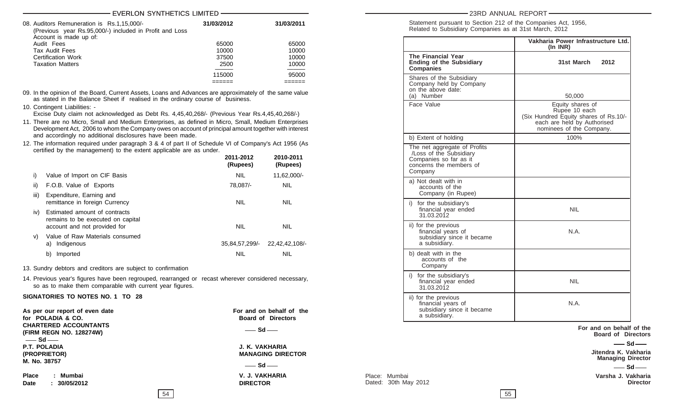#### EVERLON SYNTHETICS LIMITED

| 08. Auditors Remuneration is Rs.1,15,000/-<br>(Previous year Rs.95,000/-) included in Profit and Loss<br>Account is made up of: | 31/03/2012 | 31/03/2011 |
|---------------------------------------------------------------------------------------------------------------------------------|------------|------------|
| Audit Fees                                                                                                                      | 65000      | 65000      |
| Tax Audit Fees                                                                                                                  | 10000      | 10000      |
| Certification Work                                                                                                              | 37500      | 10000      |
| <b>Taxation Matters</b>                                                                                                         | 2500       | 10000      |
|                                                                                                                                 | 115000     | 95000      |
|                                                                                                                                 |            |            |

09. In the opinion of the Board, Current Assets, Loans and Advances are approximately of the same value as stated in the Balance Sheet if realised in the ordinary course of business.

10. Contingent Liabilities: -

Excise Duty claim not acknowledged as Debt Rs. 4,45,40,268/- (Previous Year Rs.4,45,40,268/-)

- 11. There are no Micro, Small and Medium Enterprises, as defined in Micro, Small, Medium Enterprises Development Act, 2006 to whom the Company owes on account of principal amount together with interest and accordingly no additional disclosures have been made.
- 12. The information required under paragraph 3 & 4 of part II of Schedule VI of Company's Act 1956 (As certified by the management) to the extent applicable are as under.

|      |                                                                                                    | 2011-2012<br>(Rupees) | 2010-2011<br>(Rupees) |
|------|----------------------------------------------------------------------------------------------------|-----------------------|-----------------------|
| i)   | Value of Import on CIF Basis                                                                       | <b>NIL</b>            | 11,62,000/-           |
| ii)  | F.O.B. Value of Exports                                                                            | 78,087/-              | <b>NIL</b>            |
| iii) | Expenditure, Earning and<br>remittance in foreign Currency                                         | <b>NIL</b>            | <b>NIL</b>            |
| iv)  | Estimated amount of contracts<br>remains to be executed on capital<br>account and not provided for | <b>NIL</b>            | <b>NIL</b>            |
| V)   | Value of Raw Materials consumed<br>Indigenous<br>a)                                                | 35,84,57,299/-        | 22.42.42.108/-        |
|      | Imported<br>b)                                                                                     | NIL                   | NIL                   |

13. Sundry debtors and creditors are subject to confirmation

14. Previous year's figures have been regrouped, rearranged or recast wherever considered necessary, so as to make them comparable with current year figures.

#### **SIGNATORIES TO NOTES NO. 1 TO 28**

As per our report of even date **For and on behalf of the** For and on behalf of the **for POLADIA & CO. Board of Directors CHARTERED ACCOUNTANTS (FIRM REGN NO. 128274W) P.T. POLADIA J. K. VAKHARIA (PROPRIETOR) MANAGING DIRECTOR M. No. 38757 Place : Mumbai V. J. VAKHARIA Date : 30/05/2012 DIRECTOR** — **Sd** —  $-$ **Sd** $-$  Sd $-$  23RD ANNUAL REPORT

Statement pursuant to Section 212 of the Companies Act, 1956, Related to Subsidiary Companies as at 31st March, 2012

|                                                                                                                         | Vakharia Power Infrastructure Ltd.<br>$(In$ INR $)$                                                                                   |
|-------------------------------------------------------------------------------------------------------------------------|---------------------------------------------------------------------------------------------------------------------------------------|
| <b>The Financial Year</b><br><b>Ending of the Subsidiary</b><br><b>Companies</b>                                        | 31st March<br>2012                                                                                                                    |
| Shares of the Subsidiary<br>Company held by Company<br>on the above date:<br>Number<br>(a)                              | 50,000                                                                                                                                |
| Face Value                                                                                                              | Equity shares of<br>Rupee 10 each<br>(Six Hundred Equity shares of Rs.10/-<br>each are held by Authorised<br>nominees of the Company. |
| b) Extent of holding                                                                                                    | 100%                                                                                                                                  |
| The net aggregate of Profits<br>/Loss of the Subsidiary<br>Companies so far as it<br>concerns the members of<br>Company |                                                                                                                                       |
| a) Not dealt with in<br>accounts of the<br>Company (in Rupee)                                                           |                                                                                                                                       |
| i) for the subsidiary's<br>financial year ended<br>31.03.2012                                                           | NIL                                                                                                                                   |
| ii) for the previous<br>financial years of<br>subsidiary since it became<br>a subsidiary.                               | N.A.                                                                                                                                  |
| b) dealt with in the<br>accounts of the<br>Company                                                                      |                                                                                                                                       |
| i) for the subsidiary's<br>financial year ended<br>31.03.2012                                                           | NIL                                                                                                                                   |
| ii) for the previous<br>financial years of<br>subsidiary since it became<br>a subsidiary.                               | N.A.                                                                                                                                  |

**For and on behalf of the Board of Directors**

 $-$  Sd $-$ 

**Jitendra K. Vakharia Managing Director**

 $\frac{S_d}{S_d}$ 

Place: Mumbai **Varsha J. Vakharia** Dated: 30th May 2012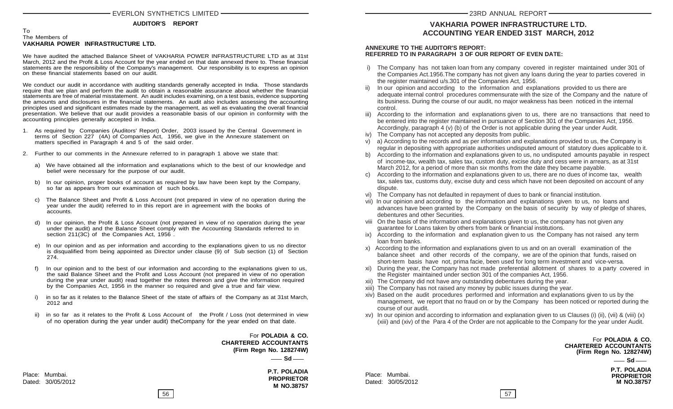#### To The Members of **VAKHARIA POWER INFRASTRUCTURE LTD.**

We have audited the attached Balance Sheet of VAKHARIA POWER INFRASTRUCTURE LTD as at 31st March, 2012 and the Profit & Loss Account for the year ended on that date annexed there to. These financial statements are the responsibility of the Company's management. Our responsibility is to express an opinion on these financial statements based on our audit.

We conduct our audit in accordance with auditing standards generally accepted in India. Those standards require that we plan and perform the audit to obtain a reasonable assurance about whether the financial statements are free of material misstatement. An audit includes examining, on a test basis, evidence supporting the amounts and disclosures in the financial statements. An audit also includes assessing the accounting principles used and significant estimates made by the management, as well as evaluating the overall financial presentation. We believe that our audit provides a reasonable basis of our opinion in conformity with the accounting principles generally accepted in India.

- 1. As required by Companies (Auditors' Report) Order, 2003 issued by the Central Government in terms of Section 227 (4A) of Companies Act, 1956, we give in the Annexure statement on matters specified in Paragraph 4 and 5 of the said order.
- 2. Further to our comments in the Annexure referred to in paragraph 1 above we state that:
	- a) We have obtained all the information and explanations which to the best of our knowledge and belief were necessary for the purpose of our audit.
	- b) In our opinion, proper books of account as required by law have been kept by the Company, so far as appears from our examination of such books.
	- c) The Balance Sheet and Profit & Loss Account (not prepared in view of no operation during the year under the audit) referred to in this report are in agreement with the books of accounts.
	- d) In our opinion, the Profit & Loss Account (not prepared in view of no operation during the year under the audit) and the Balance Sheet comply with the Accounting Standards referred to in section 211(3C) of the Companies Act, 1956.
	- e) In our opinion and as per information and according to the explanations given to us no director is disqualified from being appointed as Director under clause (9) of Sub section (1) of Section 274.
	- In our opinion and to the best of our information and according to the explanations given to us, the said Balance Sheet and the Profit and Loss Account (not prepared in view of no operation during the year under audit) read together the notes thereon and give the information required by the Companies Act, 1956 in the manner so required and give a true and fair view.
	- i) in so far as it relates to the Balance Sheet of the state of affairs of the Company as at 31st March, 2012 and
	- ii) in so far as it relates to the Profit & Loss Account of the Profit / Loss (not determined in view of no operation during the year under audit) theCompany for the year ended on that date.

 For **POLADIA & CO. CHARTERED ACCOUNTANTS (Firm Regn No. 128274W)**  $\equiv$  Sd $\equiv$ 

> **P.T. POLADIA PROPRIETOR M NO.38757**

Place: Mumbai. Dated: 30/05/2012

#### **VAKHARIA POWER INFRASTRUCTURE LTD. ACCOUNTING YEAR ENDED 31ST MARCH, 2012**

#### **ANNEXURE TO THE AUDITOR'S REPORT: REFERRED TO IN PARAGRAPH 3 OF OUR REPORT OF EVEN DATE:**

- i) The Company has not taken loan from any company covered in register maintained under 301 of the Companies Act.1956.The company has not given any loans during the year to parties covered in the register maintained u/s.301 of the Companies Act, 1956.
- ii) In our opinion and according to the information and explanations provided to us there are adequate internal control procedures commensurate with the size of the Company and the nature of its business. During the course of our audit, no major weakness has been noticed in the internal control.
- iii) According to the information and explanations given to us, there are no transactions that need to be entered into the register maintained in pursuance of Section 301 of the Companies Act, 1956. Accordingly, paragraph 4 (v) (b) of the Order is not applicable during the year under Audit.
- iv) The Company has not accepted any deposits from public.
- v) a) According to the records and as per information and explanations provided to us, the Company is regular in depositing with appropriate authorities undisputed amount of statutory dues applicable to it.
- b) According to the information and explanations given to us, no undisputed amounts payable in respect of income-tax, wealth tax, sales tax, custom duty, excise duty and cess were in arrears, as at 31st March 2012, for a period of more than six months from the date they became payable.
- c) According to the information and explanations given to us, there are no dues of income tax, wealth tax, sales tax, customs duty, excise duty and cess which have not been deposited on account of any dispute.
- The Company has not defaulted in repayment of dues to bank or financial institution.
- vii) In our opinion and according to the information and explanations given to us, no loans and advances have been granted by the Company on the basis of security by way of pledge of shares, debentures and other Securities.
- viii On the basis of the information and explanations given to us, the company has not given any guarantee for Loans taken by others from bank or financial institutions.
- ix) According to the information and explanation given to us the Company has not raised any term loan from banks.
- x) According to the information and explanations given to us and on an overall examination of the balance sheet and other records of the company, we are of the opinion that funds, raised on short-term basis have not, prima facie, been used for long term investment and vice-versa.
- xi) During the year, the Company has not made preferential allotment of shares to a party covered in the Register maintained under section 301 of the companies Act, 1956.
- xii) The Company did not have any outstanding debentures during the year.
- xiii) The Company has not raised any money by public issues during the year.
- xiv) Based on the audit procedures performed and information and explanations given to us by the management, we report that no fraud on or by the Company has been noticed or reported during the course of our audit.
- xv) In our opinion and according to information and explanation given to us Clauses (i) (ii), (vii) & (viii) (x) (xiii) and (xiv) of the Para 4 of the Order are not applicable to the Company for the year under Audit.

 For **POLADIA & CO. CHARTERED ACCOUNTANTS (Firm Regn No. 128274W)**

 $-$  Sd $-$ 

**P.T. POLADIA PROPRIETOR M NO.38757**

Place: Mumbai. Dated: 30/05/2012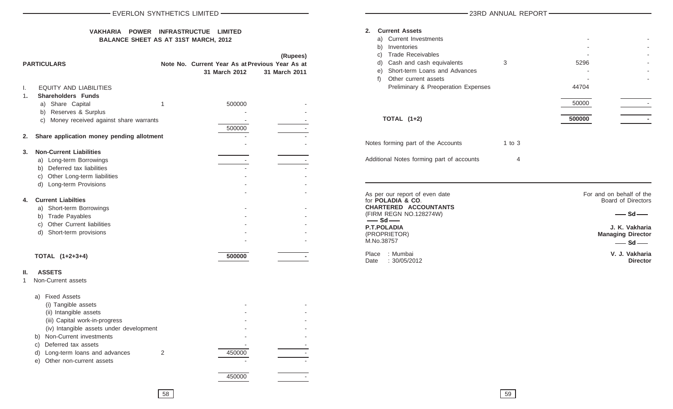#### **VAKHARIA POWER INFRASTRUCTUE LIMITED BALANCE SHEET AS AT 31ST MARCH, 2012**

|          | <b>PARTICULARS</b>                                                                                                                                                                                                                                                                |   | Note No. Current Year As at Previous Year As at<br>31 March 2012 | (Rupees)<br>31 March 2011 |
|----------|-----------------------------------------------------------------------------------------------------------------------------------------------------------------------------------------------------------------------------------------------------------------------------------|---|------------------------------------------------------------------|---------------------------|
| I.<br>1. | <b>EQUITY AND LIABILITIES</b><br><b>Shareholders Funds</b><br>a) Share Capital<br>b) Reserves & Surplus<br>c) Money received against share warrants                                                                                                                               | 1 | 500000                                                           |                           |
| 2.       | Share application money pending allotment                                                                                                                                                                                                                                         |   | 500000                                                           |                           |
| 3.       | <b>Non-Current Liabilities</b><br>a) Long-term Borrowings<br>b) Deferred tax liabilities<br>c) Other Long-term liabilities<br>d) Long-term Provisions                                                                                                                             |   |                                                                  |                           |
| 4.       | <b>Current Liabilties</b><br>a) Short-term Borrowings<br>b) Trade Payables<br>c) Other Current liabilities<br>d) Short-term provisions                                                                                                                                            |   |                                                                  |                           |
|          | TOTAL (1+2+3+4)                                                                                                                                                                                                                                                                   |   | 500000                                                           |                           |
| Ш.<br>1  | <b>ASSETS</b><br>Non-Current assets                                                                                                                                                                                                                                               |   |                                                                  |                           |
|          | a) Fixed Assets<br>(i) Tangible assets<br>(ii) Intangible assets<br>(iii) Capital work-in-progress<br>(iv) Intangible assets under development<br>b) Non-Current investments<br>Deferred tax assets<br>C)<br>Long-term loans and advances<br>d)<br>Other non-current assets<br>e) | 2 | 450000                                                           |                           |

#### -23RD ANNUAL REPORT-

| <b>Current Assets</b><br>2.<br>a) Current Investments<br>Inventories<br>b)<br><b>Trade Receivables</b><br>C)<br>Cash and cash equivalents<br>d)<br>Short-term Loans and Advances<br>e)<br>Other current assets<br>f)<br><b>Preliminary &amp; Preoperation Expenses</b><br><b>TOTAL (1+2)</b> | 3        | 5296<br>44704<br>50000<br>500000 |  |
|----------------------------------------------------------------------------------------------------------------------------------------------------------------------------------------------------------------------------------------------------------------------------------------------|----------|----------------------------------|--|
| Notes forming part of the Accounts                                                                                                                                                                                                                                                           | 1 to $3$ |                                  |  |
| Additional Notes forming part of accounts                                                                                                                                                                                                                                                    | 4        |                                  |  |

| As per our report of even date<br>for <b>POLADIA &amp; CO.</b><br><b>CHARTERED ACCOUNTANTS</b> | For and on behalf of the<br>Board of Directors |  |  |
|------------------------------------------------------------------------------------------------|------------------------------------------------|--|--|
| (FIRM REGN NO.128274W)<br>$-$ Sd $-$                                                           | $-$ Sd $-$                                     |  |  |
| <b>P.T.POLADIA</b><br>(PROPRIETOR)                                                             | J. K. Vakharia<br><b>Managing Director</b>     |  |  |
| M.No.38757                                                                                     | $-$ Sd $-$                                     |  |  |
| : Mumbai<br>Place<br>Date: 30/05/2012                                                          | V. J. Vakharia<br><b>Director</b>              |  |  |

450000 -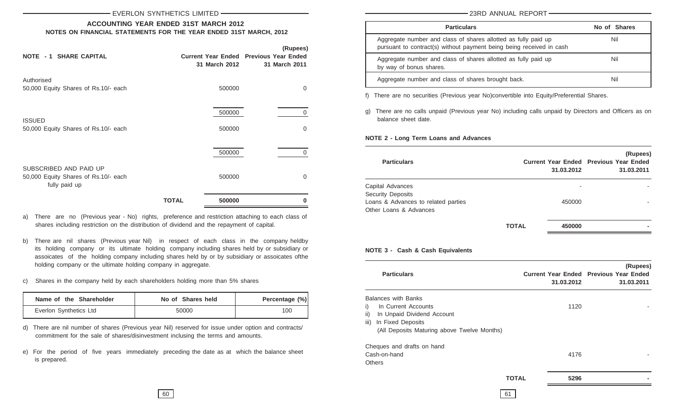#### **ACCOUNTING YEAR ENDED 31ST MARCH 2012 NOTES ON FINANCIAL STATEMENTS FOR THE YEAR ENDED 31ST MARCH, 2012**

| <b>NOTE - 1 SHARE CAPITAL</b>                                                   | 31 March 2012    | (Rupees)<br><b>Current Year Ended Previous Year Ended</b><br>31 March 2011 |
|---------------------------------------------------------------------------------|------------------|----------------------------------------------------------------------------|
| Authorised<br>50,000 Equity Shares of Rs.10/- each                              | 500000           | 0                                                                          |
| <b>ISSUED</b><br>50,000 Equity Shares of Rs.10/- each                           | 500000<br>500000 | $\mathbf{0}$<br>0                                                          |
|                                                                                 | 500000           | 0                                                                          |
| SUBSCRIBED AND PAID UP<br>50,000 Equity Shares of Rs.10/- each<br>fully paid up | 500000           | 0                                                                          |
|                                                                                 | 500000<br>TOTAL  |                                                                            |

- a) There are no (Previous year No) rights, preference and restriction attaching to each class of shares including restriction on the distribution of dividend and the repayment of capital.
- b) There are nil shares (Previous year Nil) in respect of each class in the company heldby its holding company or its ultimate holding company including shares held by or subsidiary or assoicates of the holding company including shares held by or by subsidiary or assoicates ofthe holding company or the ultimate holding company in aggregate.
- c) Shares in the company held by each shareholders holding more than 5% shares

| Name of the Shareholder | No of Shares held | Percentage (%) |
|-------------------------|-------------------|----------------|
| Everlon Synthetics Ltd  | 50000             | 100            |

- d) There are nil number of shares (Previous year Nil) reserved for issue under option and contracts/ commitment for the sale of shares/disinvestment inclusing the terms and amounts.
- e) For the period of five years immediately preceding the date as at which the balance sheet is prepared.

23RD ANNUAL REPORT

| <b>Particulars</b>                                                                                                                     | No of Shares |
|----------------------------------------------------------------------------------------------------------------------------------------|--------------|
| Aggregate number and class of shares allotted as fully paid up<br>pursuant to contract(s) without payment being being received in cash | Nil          |
| Aggregate number and class of shares allotted as fully paid up<br>by way of bonus shares.                                              | Nil          |
| Aggregate number and class of shares brought back.                                                                                     | Nil          |

f) There are no securities (Previous year No)convertible into Equity/Preferential Shares.

g) There are no calls unpaid (Previous year No) including calls unpaid by Directors and Officers as on balance sheet date.

**NOTE 2 - Long Term Loans and Advances**

| <b>Particulars</b>                  |              | 31.03.2012 | (Rupees)<br><b>Current Year Ended Previous Year Ended</b><br>31.03.2011 |
|-------------------------------------|--------------|------------|-------------------------------------------------------------------------|
| Capital Advances                    |              |            |                                                                         |
| <b>Security Deposits</b>            |              |            |                                                                         |
| Loans & Advances to related parties |              | 450000     |                                                                         |
| Other Loans & Advances              |              |            |                                                                         |
|                                     | <b>TOTAL</b> | 450000     |                                                                         |

#### **NOTE 3 - Cash & Cash Equivalents**

| <b>Particulars</b>                          |              | 31.03.2012 | (Rupees)<br><b>Current Year Ended Previous Year Ended</b><br>31.03.2011 |
|---------------------------------------------|--------------|------------|-------------------------------------------------------------------------|
| <b>Balances with Banks</b>                  |              |            |                                                                         |
| i)<br>In Current Accounts                   |              | 1120       |                                                                         |
| ii)<br>In Unpaid Dividend Account           |              |            |                                                                         |
| iii)<br>In Fixed Deposits                   |              |            |                                                                         |
| (All Deposits Maturing above Twelve Months) |              |            |                                                                         |
| Cheques and drafts on hand                  |              |            |                                                                         |
| Cash-on-hand                                |              | 4176       |                                                                         |
| Others                                      |              |            |                                                                         |
|                                             | <b>TOTAL</b> | 5296       |                                                                         |
|                                             | 61           |            |                                                                         |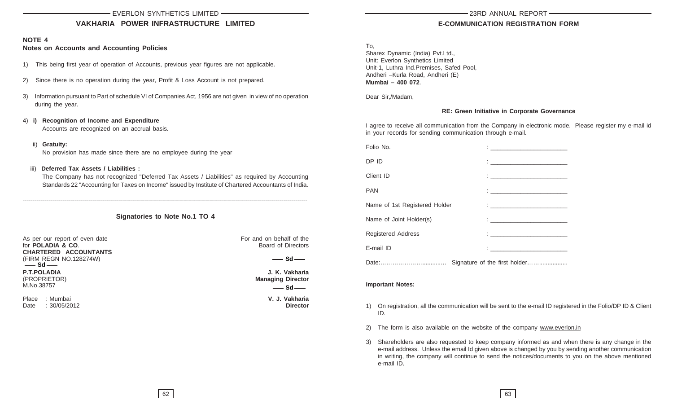#### **VAKHARIA POWER INFRASTRUCTURE LIMITED**

#### **NOTE 4**

#### **Notes on Accounts and Accounting Policies**

- 1) This being first year of operation of Accounts, previous year figures are not applicable.
- 2) Since there is no operation during the year, Profit & Loss Account is not prepared.
- 3) Information pursuant to Part of schedule VI of Companies Act, 1956 are not given in view of no operation during the year.
- 4) **i) Recognition of Income and Expenditure** Accounts are recognized on an accrual basis.
	- ii) **Gratuity:** No provision has made since there are no employee during the year
- iii) **Deferred Tax Assets / Liabilities :**

The Company has not recognized "Deferred Tax Assets / Liabilities" as required by Accounting Standards 22 "Accounting for Taxes on Income" issued by Institute of Chartered Accountants of India.

**Signatories to Note No.1 TO 4**

----------------------------------------------------------------------------------------------------------------------------------------------

As per our report of even date<br>
for **POLADIA & CO**<br>
For and on behalf of the<br>
Roard of Directors for **POLADIA & CO. CHARTERED ACCOUNTANTS** (FIRM REGN NO.128274W) **P.T.POLADIA J. K. Vakharia** (PROPRIETOR) **Managing Director** M.No.38757  $\equiv$  Sd  $\equiv$ 

Place : Mumbai **V. J. Vakharia** Date : 30/05/2012

 $\equiv$  Sd $\equiv$ 

 $\overline{\phantom{0}}$  Sd  $\overline{\phantom{0}}$ 

#### **E-COMMUNICATION REGISTRATION FORM**

To,

Sharex Dynamic (India) Pvt.Ltd., Unit: Everlon Synthetics Limited Unit-1, Luthra Ind.Premises, Safed Pool, Andheri –Kurla Road, Andheri (E) **Mumbai – 400 072**.

Dear Sir,/Madam,

#### **RE: Green Initiative in Corporate Governance**

I agree to receive all communication from the Company in electronic mode. Please register my e-mail id in your records for sending communication through e-mail.

| Folio No.                     | <u> 1988 - Jan Stein Stein, fransk politik (</u>                                                                                                                                                                                       |
|-------------------------------|----------------------------------------------------------------------------------------------------------------------------------------------------------------------------------------------------------------------------------------|
| DP ID                         |                                                                                                                                                                                                                                        |
| Client ID                     |                                                                                                                                                                                                                                        |
| <b>PAN</b>                    | <u> : Charles Communication (Charles Communication)</u>                                                                                                                                                                                |
| Name of 1st Registered Holder | $\mathbf{1}_{\{1,2,3,4,5\}}$ . The contract of the contract of $\mathbf{1}_{\{1,2,3,4,5\}}$                                                                                                                                            |
| Name of Joint Holder(s)       | $\frac{1}{2}$ . The contract of the contract of $\frac{1}{2}$                                                                                                                                                                          |
| <b>Registered Address</b>     | the contract of the contract of the                                                                                                                                                                                                    |
| E-mail ID                     | $\mathbf{C}=\frac{1}{2}$ . The set of the set of the set of the set of the set of the set of the set of the set of the set of the set of the set of the set of the set of the set of the set of the set of the set of the set of the s |
|                               |                                                                                                                                                                                                                                        |

#### **Important Notes:**

- 1) On registration, all the communication will be sent to the e-mail ID registered in the Folio/DP ID & Client ID.
- 2) The form is also available on the website of the company www.everlon.in
- 3) Shareholders are also requested to keep company informed as and when there is any change in the e-mail address. Unless the email Id given above is changed by you by sending another communication in writing, the company will continue to send the notices/documents to you on the above mentioned e-mail ID.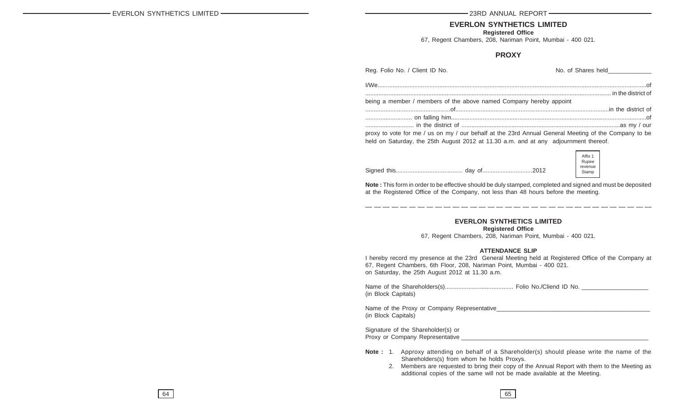#### **EVERLON SYNTHETICS LIMITED**

**Registered Office**

67, Regent Chambers, 208, Nariman Point, Mumbai - 400 021.

#### **PROXY**

| Reg. Folio No. / Client ID No.                                                                       | No. of Shares held |
|------------------------------------------------------------------------------------------------------|--------------------|
|                                                                                                      |                    |
|                                                                                                      |                    |
| being a member / members of the above named Company hereby appoint                                   |                    |
|                                                                                                      |                    |
|                                                                                                      |                    |
|                                                                                                      |                    |
| proxy to vote for me / us on my / our behalf at the 23rd Annual General Meeting of the Company to be |                    |
| held on Saturday, the 25th August 2012 at 11.30 a.m. and at any adjournment thereof.                 |                    |
|                                                                                                      |                    |
|                                                                                                      | Affix 1<br>Rupee   |
|                                                                                                      | revenue            |
|                                                                                                      | Stamn              |

**Note :** This form in order to be effective should be duly stamped, completed and signed and must be deposited at the Registered Office of the Company, not less than 48 hours before the meeting.

Stamp

#### **EVERLON SYNTHETICS LIMITED**

**Registered Office**

67, Regent Chambers, 208, Nariman Point, Mumbai - 400 021.

#### **ATTENDANCE SLIP**

I hereby record my presence at the 23rd General Meeting held at Registered Office of the Company at 67, Regent Chambers, 6th Floor, 208, Nariman Point, Mumbai - 400 021. on Saturday, the 25th August 2012 at 11.30 a.m.

Name of the Shareholders(s)......................................... Folio No./Cliend ID No. \_\_\_\_\_\_\_\_\_\_\_\_\_\_\_\_\_\_\_\_ (in Block Capitals)

Name of the Proxy or Company Representative\_ (in Block Capitals)

Signature of the Shareholder(s) or Proxy or Company Representative \_\_\_\_\_\_\_\_\_\_\_\_\_\_\_\_\_\_\_\_\_\_\_\_\_\_\_\_\_\_\_\_\_\_\_\_\_\_\_\_\_\_\_\_\_\_\_\_\_\_\_\_\_\_\_\_

- **Note :** 1. Approxy attending on behalf of a Shareholder(s) should please write the name of the Shareholders(s) from whom he holds Proxys.
	- 2. Members are requested to bring their copy of the Annual Report with them to the Meeting as additional copies of the same will not be made available at the Meeting.